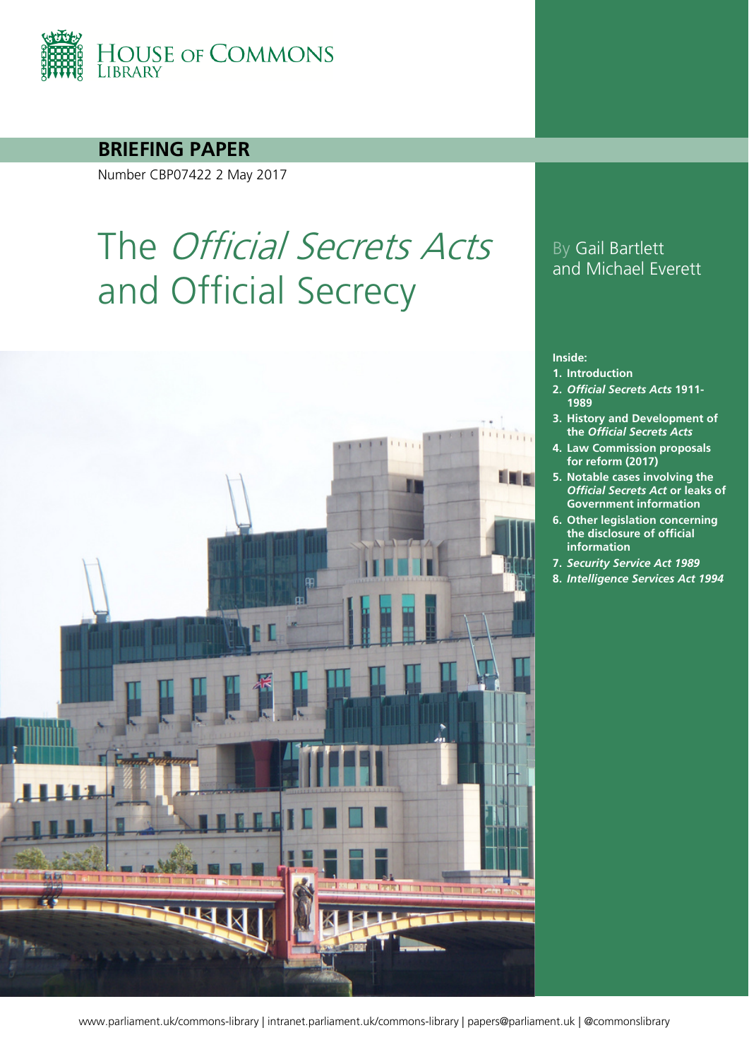

### **BRIEFING PAPER**

Number CBP07422 2 May 2017

# The Official Secrets Acts and Official Secrecy



### By Gail Bartlett and Michael Everett

#### **Inside:**

- **1. [Introduction](#page-5-0)**
- **2.** *[Official Secrets Acts](#page-5-1)* **1911- [1989](#page-5-1)**
- **3. [History and Development of](#page-11-0)  the** *[Official Secrets Acts](#page-11-0)*
- **4. [Law Commission proposals](#page-20-0)  [for reform \(2017\)](#page-20-0)**
- **5. [Notable cases involving the](#page-32-0)**  *[Official Secrets Act](#page-32-0)* **or leaks of [Government information](#page-32-0)**
- **6. [Other legislation concerning](#page-40-0)  [the disclosure of official](#page-40-0)  [information](#page-40-0)**
- **7.** *[Security Service Act 1989](#page-44-0)*
- **8.** *[Intelligence Services Act 1994](#page-45-0)*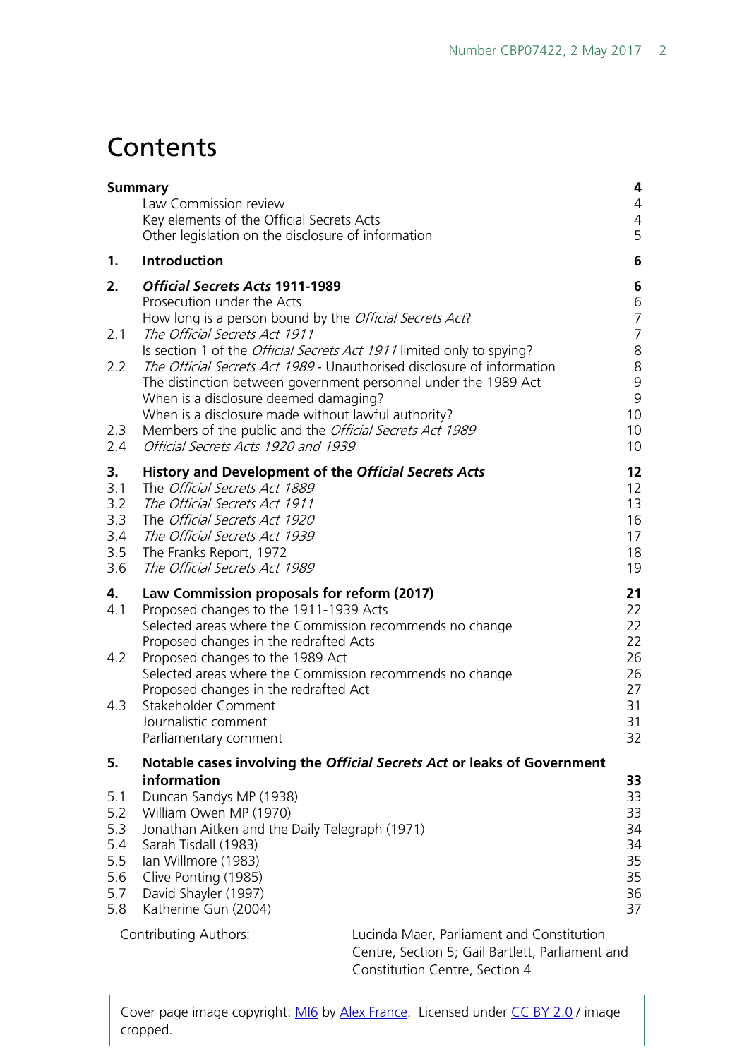# **Contents**

| <b>Summary</b> |                                                                                                               |                                                                                               | 4                   |
|----------------|---------------------------------------------------------------------------------------------------------------|-----------------------------------------------------------------------------------------------|---------------------|
|                | Law Commission review                                                                                         |                                                                                               | $\overline{4}$      |
|                | Key elements of the Official Secrets Acts                                                                     |                                                                                               | $\overline{4}$      |
|                | Other legislation on the disclosure of information                                                            |                                                                                               | 5                   |
| 1.             | Introduction                                                                                                  |                                                                                               | 6                   |
| 2.             | <b>Official Secrets Acts 1911-1989</b>                                                                        |                                                                                               | 6                   |
|                | Prosecution under the Acts                                                                                    |                                                                                               | 6                   |
|                | How long is a person bound by the Official Secrets Act?                                                       |                                                                                               | $\overline{7}$      |
| 2.1            | The Official Secrets Act 1911<br>Is section 1 of the <i>Official Secrets Act 1911</i> limited only to spying? |                                                                                               | $\overline{7}$<br>8 |
| 2.2            |                                                                                                               | The Official Secrets Act 1989 - Unauthorised disclosure of information                        | 8                   |
|                | The distinction between government personnel under the 1989 Act                                               |                                                                                               | 9                   |
|                | When is a disclosure deemed damaging?                                                                         |                                                                                               | 9                   |
|                | When is a disclosure made without lawful authority?                                                           |                                                                                               | 10                  |
| 2.3<br>2.4     | Members of the public and the <i>Official Secrets Act 1989</i><br>Official Secrets Acts 1920 and 1939         |                                                                                               | 10<br>10            |
|                |                                                                                                               |                                                                                               |                     |
| 3.             | <b>History and Development of the Official Secrets Acts</b>                                                   |                                                                                               | 12                  |
| 3.1<br>3.2     | The Official Secrets Act 1889<br>The Official Secrets Act 1911                                                |                                                                                               | 12<br>13            |
| 3.3            | The Official Secrets Act 1920                                                                                 |                                                                                               | 16                  |
| 3.4            | The Official Secrets Act 1939                                                                                 |                                                                                               | 17                  |
| 3.5            | The Franks Report, 1972                                                                                       |                                                                                               | 18                  |
| 3.6            | The Official Secrets Act 1989                                                                                 |                                                                                               | 19                  |
| 4.             | Law Commission proposals for reform (2017)                                                                    |                                                                                               | 21                  |
| 4.1            | Proposed changes to the 1911-1939 Acts                                                                        |                                                                                               | 22                  |
|                | Selected areas where the Commission recommends no change                                                      |                                                                                               | 22<br>22            |
| 4.2            | Proposed changes in the redrafted Acts<br>Proposed changes to the 1989 Act                                    |                                                                                               | 26                  |
|                | Selected areas where the Commission recommends no change                                                      |                                                                                               | 26                  |
|                | Proposed changes in the redrafted Act                                                                         |                                                                                               | 27                  |
| 4.3            | Stakeholder Comment                                                                                           |                                                                                               | 31                  |
|                | Journalistic comment                                                                                          |                                                                                               | 31<br>32            |
|                | Parliamentary comment                                                                                         |                                                                                               |                     |
| 5.             |                                                                                                               | Notable cases involving the Official Secrets Act or leaks of Government                       |                     |
| 5.1            | information<br>Duncan Sandys MP (1938)                                                                        |                                                                                               | 33<br>33            |
| 5.2            | William Owen MP (1970)                                                                                        |                                                                                               | 33                  |
| 5.3            | Jonathan Aitken and the Daily Telegraph (1971)                                                                |                                                                                               | 34                  |
| 5.4            | Sarah Tisdall (1983)                                                                                          |                                                                                               | 34                  |
| 5.5            | Ian Willmore (1983)                                                                                           |                                                                                               | 35                  |
| 5.6            | Clive Ponting (1985)                                                                                          |                                                                                               | 35                  |
| 5.7<br>5.8     | David Shayler (1997)<br>Katherine Gun (2004)                                                                  |                                                                                               | 36<br>37            |
|                |                                                                                                               |                                                                                               |                     |
|                | <b>Contributing Authors:</b>                                                                                  | Lucinda Maer, Parliament and Constitution<br>Centre, Section 5; Gail Bartlett, Parliament and |                     |

Constitution Centre, Section 4

Cover page image copyright: [MI6](https://www.flickr.com/photos/alexfrance/2931884386/in/photolist-48yYzZ-aq91Vi-4tsD8U-4rar69-7y5Hww-6MWis-kmvNDz-5t1utD-5t1SWK-5t1LSp-5t69oL-5t68B7-5t661A-5t5TSL-5t5MXQ-5t5Jrh-5t5HYY-5t1hYK-5t5F5N-hCNVr-7cULj6-ezSgMT-7cYGPb-iq8vdE-8eqfLH-5t2BH4-5t2B4z-5t6YXW-5t1Zyk-5t1XDV-5t1Wqz-5t1VEa-5t1Ryr-5t6ejN-5t1PHH-5t6cC1-5t1sHB-7XUAbw-iq8t1W-9XdRV-iq95fv-maMMhT-maNJdf-iq8qhj-iq8nGN-iq8j2b-iq8p2o-iq8bK8-iq8eye-7cZdku/) by [Alex France.](https://www.flickr.com/photos/alexfrance/) Licensed under [CC BY 2.0](https://creativecommons.org/licenses/by-sa/2.0/) / image cropped.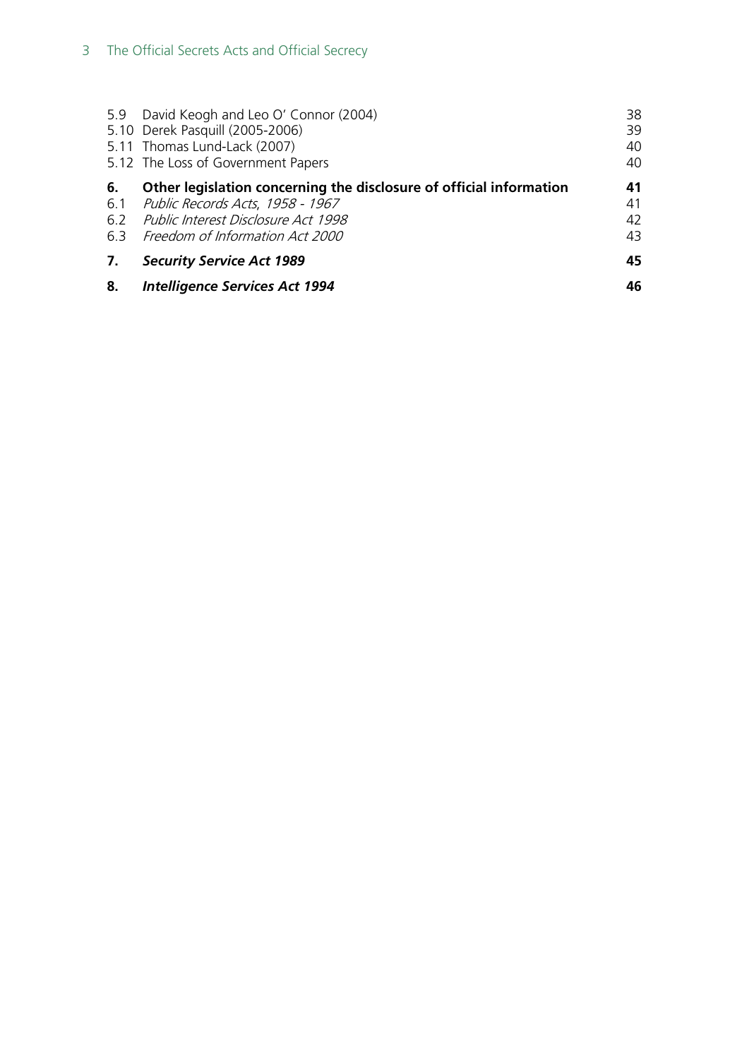| 8.                      | <b>Intelligence Services Act 1994</b>                                                                                                                                             | 46                   |
|-------------------------|-----------------------------------------------------------------------------------------------------------------------------------------------------------------------------------|----------------------|
| 7.                      | <b>Security Service Act 1989</b>                                                                                                                                                  | 45                   |
| 6.<br>6.1<br>6.2<br>6.3 | Other legislation concerning the disclosure of official information<br>Public Records Acts, 1958 - 1967<br>Public Interest Disclosure Act 1998<br>Freedom of Information Act 2000 | 41<br>41<br>42<br>43 |
|                         | 5.9 David Keogh and Leo O' Connor (2004)<br>5.10 Derek Pasquill (2005-2006)<br>5.11 Thomas Lund-Lack (2007)<br>5.12 The Loss of Government Papers                                 | 38<br>39<br>40<br>40 |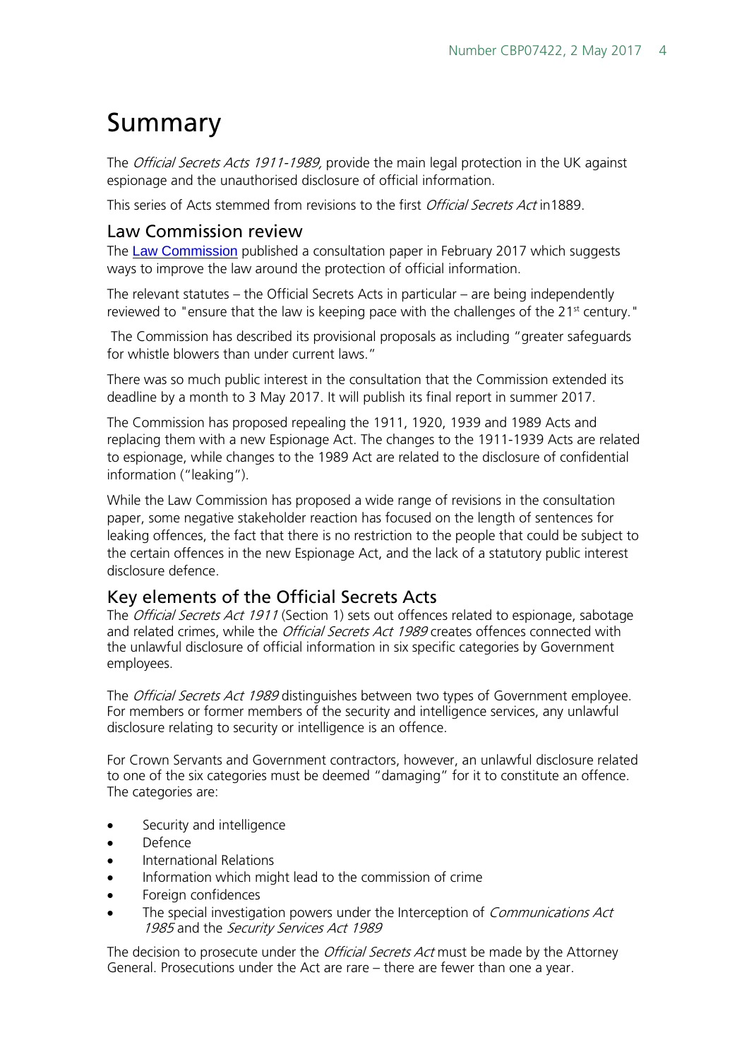# <span id="page-3-0"></span>Summary

The *Official Secrets Acts 1911-1989*, provide the main legal protection in the UK against espionage and the unauthorised disclosure of official information.

This series of Acts stemmed from revisions to the first Official Secrets Act in1889.

### <span id="page-3-1"></span>Law Commission review

The **[Law Commission](http://www.lawcom.gov.uk/)** published a consultation paper in February 2017 which suggests ways to improve the law around the protection of official information.

The relevant statutes – the Official Secrets Acts in particular – are being independently reviewed to "ensure that the law is keeping pace with the challenges of the 21<sup>st</sup> century."

The Commission has described its provisional proposals as including "greater safeguards for whistle blowers than under current laws."

There was so much public interest in the consultation that the Commission extended its deadline by a month to 3 May 2017. It will publish its final report in summer 2017.

The Commission has proposed repealing the 1911, 1920, 1939 and 1989 Acts and replacing them with a new Espionage Act. The changes to the 1911-1939 Acts are related to espionage, while changes to the 1989 Act are related to the disclosure of confidential information ("leaking").

While the Law Commission has proposed a wide range of revisions in the consultation paper, some negative stakeholder reaction has focused on the length of sentences for leaking offences, the fact that there is no restriction to the people that could be subject to the certain offences in the new Espionage Act, and the lack of a statutory public interest disclosure defence.

### <span id="page-3-2"></span>Key elements of the Official Secrets Acts

The *Official Secrets Act 1911* (Section 1) sets out offences related to espionage, sabotage and related crimes, while the *Official Secrets Act 1989* creates offences connected with the unlawful disclosure of official information in six specific categories by Government employees.

The Official Secrets Act 1989 distinguishes between two types of Government employee. For members or former members of the security and intelligence services, any unlawful disclosure relating to security or intelligence is an offence.

For Crown Servants and Government contractors, however, an unlawful disclosure related to one of the six categories must be deemed "damaging" for it to constitute an offence. The categories are:

- Security and intelligence
- Defence
- International Relations
- Information which might lead to the commission of crime
- Foreign confidences
- The special investigation powers under the Interception of *Communications Act* 1985 and the Security Services Act 1989

The decision to prosecute under the *Official Secrets Act* must be made by the Attorney General. Prosecutions under the Act are rare – there are fewer than one a year.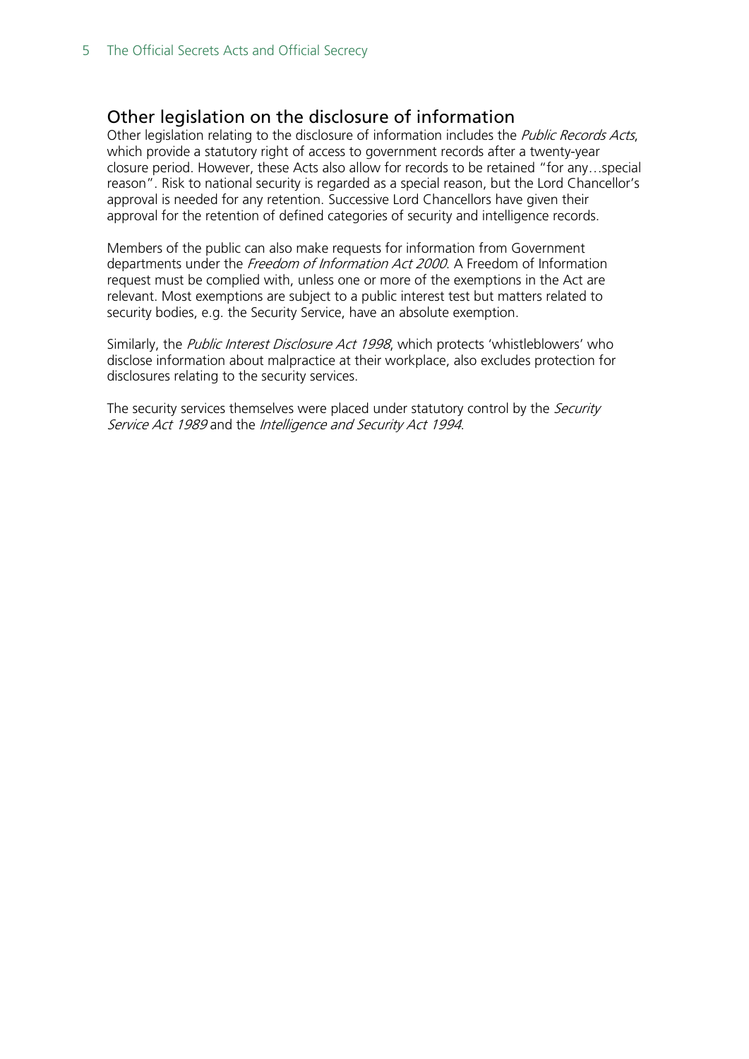### <span id="page-4-0"></span>Other legislation on the disclosure of information

Other legislation relating to the disclosure of information includes the *Public Records Acts*, which provide a statutory right of access to government records after a twenty-year closure period. However, these Acts also allow for records to be retained "for any…special reason". Risk to national security is regarded as a special reason, but the Lord Chancellor's approval is needed for any retention. Successive Lord Chancellors have given their approval for the retention of defined categories of security and intelligence records.

Members of the public can also make requests for information from Government departments under the Freedom of Information Act 2000. A Freedom of Information request must be complied with, unless one or more of the exemptions in the Act are relevant. Most exemptions are subject to a public interest test but matters related to security bodies, e.g. the Security Service, have an absolute exemption.

Similarly, the Public Interest Disclosure Act 1998, which protects 'whistleblowers' who disclose information about malpractice at their workplace, also excludes protection for disclosures relating to the security services.

The security services themselves were placed under statutory control by the *Security* Service Act 1989 and the Intelligence and Security Act 1994.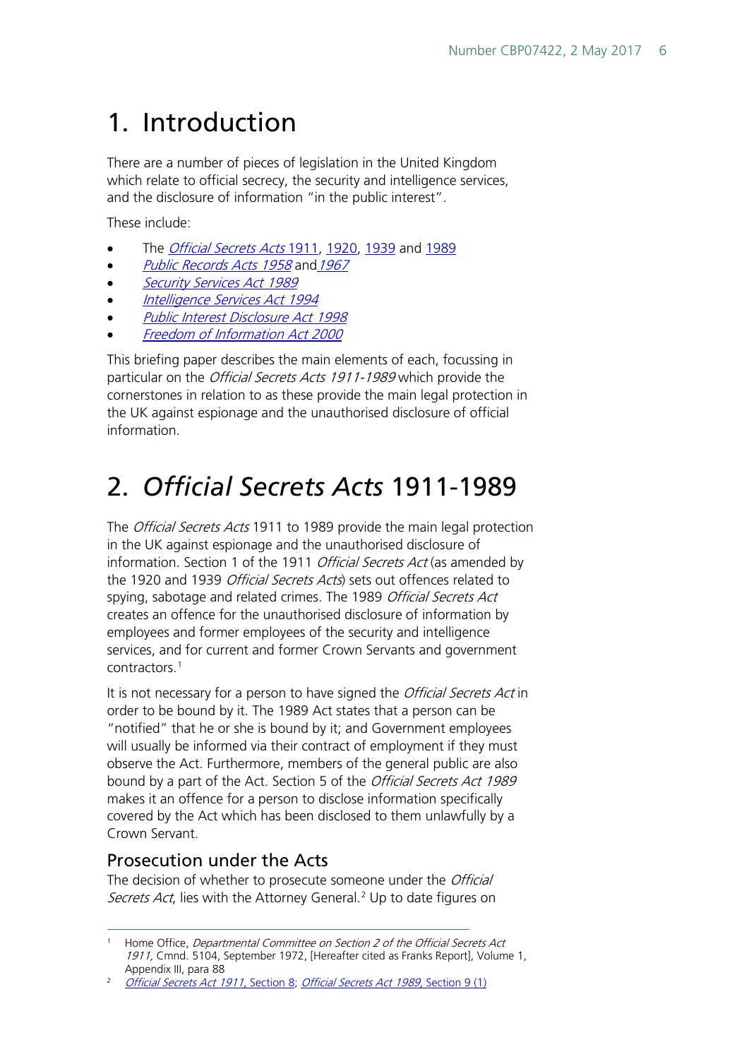# <span id="page-5-0"></span>1. Introduction

There are a number of pieces of legislation in the United Kingdom which relate to official secrecy, the security and intelligence services, and the disclosure of information "in the public interest".

These include:

- The *[Official Secrets Acts](http://www.legislation.gov.uk/ukpga/Geo5/1-2/28/contents)* 1911, [1920,](http://www.legislation.gov.uk/ukpga/Geo5/10-11/75/contents) [1939](http://www.legislation.gov.uk/cy/ukpga/Geo6/2-3/121/enacted?view=plain) and [1989](http://www.legislation.gov.uk/ukpga/1989/6/section/5)
- [Public Records Acts 1958](http://www.legislation.gov.uk/ukpga/Eliz2/6-7/51) and [1967](http://www.legislation.gov.uk/ukpga/1967/44/contents)
- **[Security Services Act 1989](http://www.legislation.gov.uk/ukpga/1989/5/pdfs/ukpga_19890005_en.pdf)**
- [Intelligence Services Act 1994](http://www.legislation.gov.uk/ukpga/1994/13/pdfs/ukpga_19940013_en.pdf)
- [Public Interest Disclosure Act 1998](http://www.legislation.gov.uk/ukpga/1998/23/contents)
- [Freedom of Information Act 2000](http://www.legislation.gov.uk/ukpga/2000/36/contents)

This briefing paper describes the main elements of each, focussing in particular on the *Official Secrets Acts 1911-1989* which provide the cornerstones in relation to as these provide the main legal protection in the UK against espionage and the unauthorised disclosure of official information.

# <span id="page-5-1"></span>2. *Official Secrets Acts* 1911-1989

The *Official Secrets Acts* 1911 to 1989 provide the main legal protection in the UK against espionage and the unauthorised disclosure of information. Section 1 of the 1911 *Official Secrets Act* (as amended by the 1920 and 1939 Official Secrets Acts) sets out offences related to spying, sabotage and related crimes. The 1989 Official Secrets Act creates an offence for the unauthorised disclosure of information by employees and former employees of the security and intelligence services, and for current and former Crown Servants and government contractors. [1](#page-5-3)

It is not necessary for a person to have signed the *Official Secrets Act* in order to be bound by it. The 1989 Act states that a person can be "notified" that he or she is bound by it; and Government employees will usually be informed via their contract of employment if they must observe the Act. Furthermore, members of the general public are also bound by a part of the Act. Section 5 of the *Official Secrets Act 1989* makes it an offence for a person to disclose information specifically covered by the Act which has been disclosed to them unlawfully by a Crown Servant.

### <span id="page-5-2"></span>Prosecution under the Acts

The decision of whether to prosecute someone under the Official Secrets Act, lies with the Attorney General.<sup>[2](#page-5-4)</sup> Up to date figures on

<span id="page-5-3"></span><sup>&</sup>lt;sup>1</sup> Home Office, *Departmental Committee on Section 2 of the Official Secrets Act* 1911, Cmnd. 5104, September 1972, [Hereafter cited as Franks Report], Volume 1, Appendix III, para 88

<span id="page-5-4"></span>[Official Secrets Act 1911](http://www.legislation.gov.uk/ukpga/Geo5/1-2/28/section/8), Section 8; [Official Secrets Act 1989](http://www.legislation.gov.uk/ukpga/1989/6/section/9), Section 9 (1)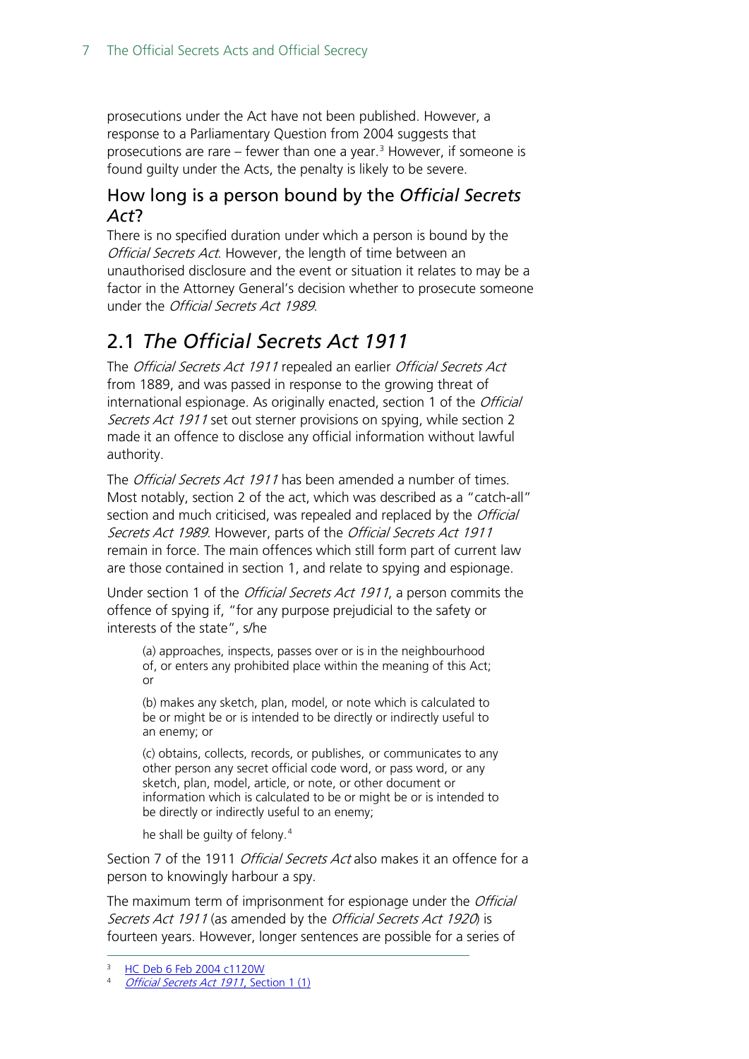prosecutions under the Act have not been published. However, a response to a Parliamentary Question from 2004 suggests that prosecutions are rare – fewer than one a year.<sup>[3](#page-6-2)</sup> However, if someone is found guilty under the Acts, the penalty is likely to be severe.

### <span id="page-6-0"></span>How long is a person bound by the *Official Secrets Act*?

There is no specified duration under which a person is bound by the Official Secrets Act. However, the length of time between an unauthorised disclosure and the event or situation it relates to may be a factor in the Attorney General's decision whether to prosecute someone under the *Official Secrets Act 1989*.

# <span id="page-6-1"></span>2.1 *The Official Secrets Act 1911*

The Official Secrets Act 1911 repealed an earlier Official Secrets Act from 1889, and was passed in response to the growing threat of international espionage. As originally enacted, section 1 of the *Official* Secrets Act 1911 set out sterner provisions on spying, while section 2 made it an offence to disclose any official information without lawful authority.

The *Official Secrets Act 1911* has been amended a number of times. Most notably, section 2 of the act, which was described as a "catch-all" section and much criticised, was repealed and replaced by the Official Secrets Act 1989. However, parts of the Official Secrets Act 1911 remain in force. The main offences which still form part of current law are those contained in section 1, and relate to spying and espionage.

Under section 1 of the *Official Secrets Act 1911*, a person commits the offence of spying if, "for any purpose prejudicial to the safety or interests of the state", s/he

(a) approaches, inspects, passes over or is in the neighbourhood of, or enters any prohibited place within the meaning of this Act; or

(b) makes any sketch, plan, model, or note which is calculated to be or might be or is intended to be directly or indirectly useful to an enemy; or

(c) obtains, collects, records, or publishes, or communicates to any other person any secret official code word, or pass word, or any sketch, plan, model, article, or note, or other document or information which is calculated to be or might be or is intended to be directly or indirectly useful to an enemy;

he shall be guilty of felony.[4](#page-6-3)

Section 7 of the 1911 Official Secrets Act also makes it an offence for a person to knowingly harbour a spy.

The maximum term of imprisonment for espionage under the *Official* Secrets Act 1911 (as amended by the Official Secrets Act 1920) is fourteen years. However, longer sentences are possible for a series of

<span id="page-6-2"></span> <sup>3</sup> [HC Deb 6 Feb 2004 c1120W](http://www.publications.parliament.uk/pa/cm200304/cmhansrd/vo040206/text/40206w11.htm#40206w11.html_wqn8)

<span id="page-6-3"></span>[Official Secrets Act 1911](http://www.legislation.gov.uk/ukpga/Geo5/1-2/28/section/1#commentary-c579399), Section 1 (1)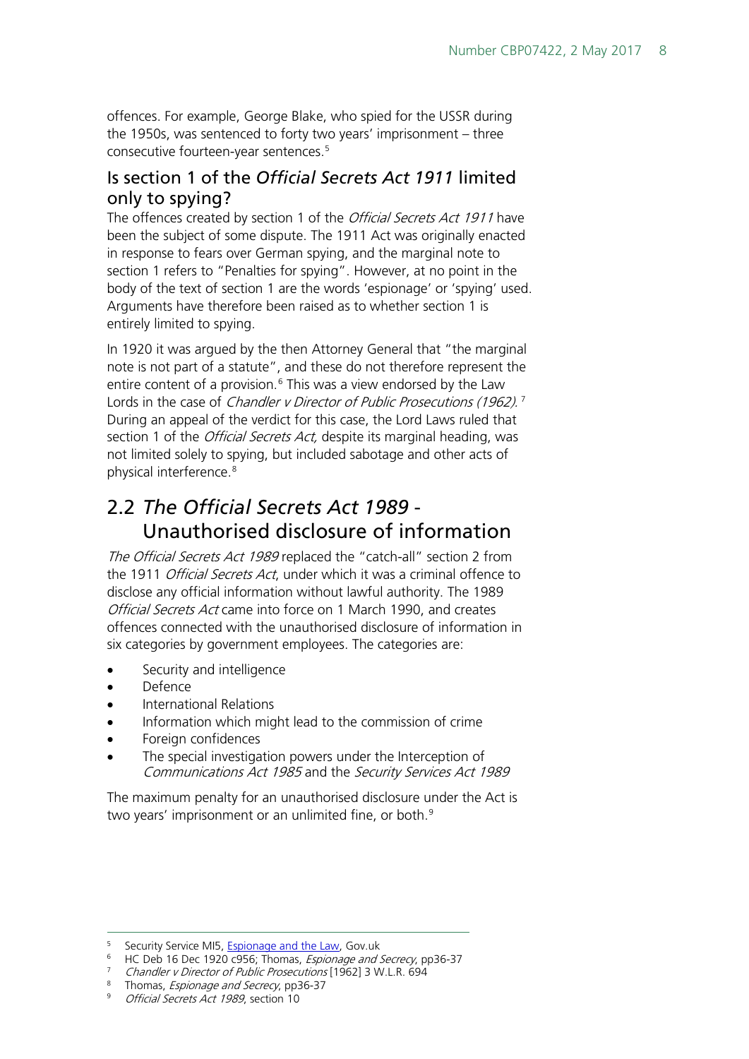offences. For example, George Blake, who spied for the USSR during the 1950s, was sentenced to forty two years' imprisonment – three consecutive fourteen-year sentences[.5](#page-7-2)

### <span id="page-7-0"></span>Is section 1 of the *Official Secrets Act 1911* limited only to spying?

The offences created by section 1 of the Official Secrets Act 1911 have been the subject of some dispute. The 1911 Act was originally enacted in response to fears over German spying, and the marginal note to section 1 refers to "Penalties for spying". However, at no point in the body of the text of section 1 are the words 'espionage' or 'spying' used. Arguments have therefore been raised as to whether section 1 is entirely limited to spying.

In 1920 it was argued by the then Attorney General that "the marginal note is not part of a statute", and these do not therefore represent the entire content of a provision. $6$  This was a view endorsed by the Law Lords in the case of *Chandler v Director of Public Prosecutions (1962)*.<sup>[7](#page-7-4)</sup> During an appeal of the verdict for this case, the Lord Laws ruled that section 1 of the *Official Secrets Act*, despite its marginal heading, was not limited solely to spying, but included sabotage and other acts of physical interference.[8](#page-7-5)

## <span id="page-7-1"></span>2.2 *The Official Secrets Act 1989* - Unauthorised disclosure of information

The Official Secrets Act 1989 replaced the "catch-all" section 2 from the 1911 *Official Secrets Act*, under which it was a criminal offence to disclose any official information without lawful authority. The 1989 Official Secrets Act came into force on 1 March 1990, and creates offences connected with the unauthorised disclosure of information in six categories by government employees. The categories are:

- Security and intelligence
- Defence
- International Relations
- Information which might lead to the commission of crime
- Foreign confidences
- The special investigation powers under the Interception of Communications Act 1985 and the Security Services Act 1989

The maximum penalty for an unauthorised disclosure under the Act is two years' imprisonment or an unlimited fine, or both.<sup>[9](#page-7-6)</sup>

<span id="page-7-3"></span><span id="page-7-2"></span><sup>&</sup>lt;sup>5</sup> Security Service MI5, *Espionage and the Law, Gov.uk* 6 HC Deb 16 Dec 1920 c956; Thomas, *Espionage and Secrecy*, pp36-37

<sup>7</sup> Chandler v Director of Public Prosecutions [1962] 3 W.L.R. 694

<span id="page-7-5"></span><span id="page-7-4"></span><sup>&</sup>lt;sup>8</sup> Thomas, *Espionage and Secrecy*, pp36-37

<span id="page-7-6"></span><sup>&</sup>lt;sup>9</sup> *Official Secrets Act 1989*, section 10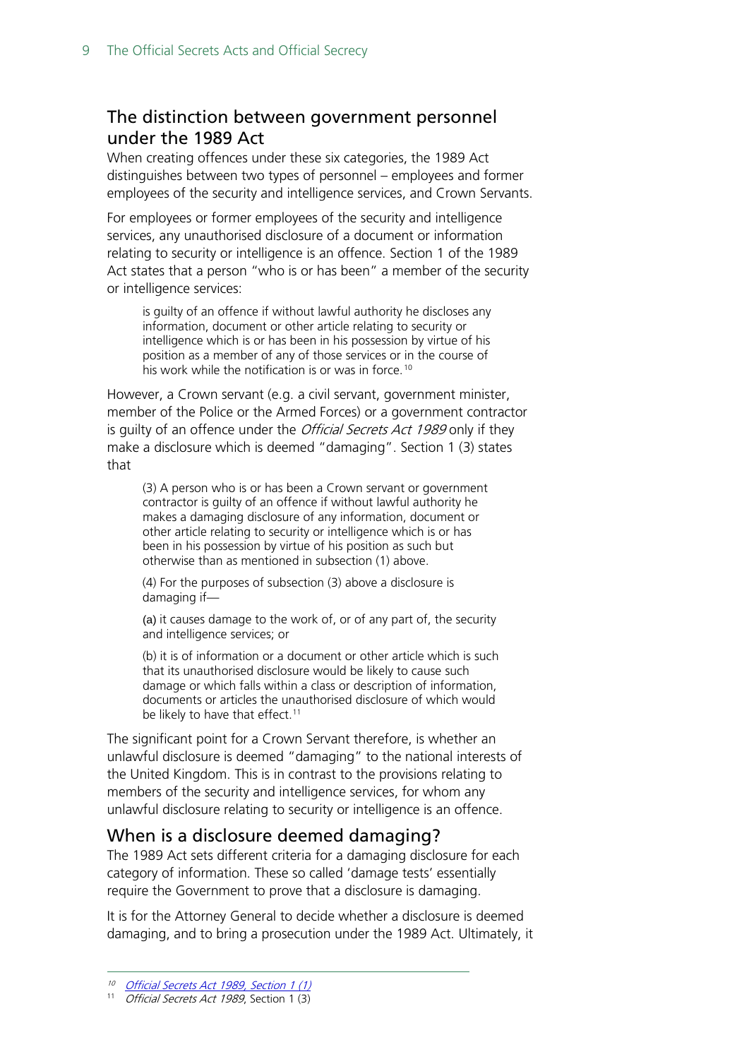### <span id="page-8-0"></span>The distinction between government personnel under the 1989 Act

When creating offences under these six categories, the 1989 Act distinguishes between two types of personnel – employees and former employees of the security and intelligence services, and Crown Servants.

For employees or former employees of the security and intelligence services, any unauthorised disclosure of a document or information relating to security or intelligence is an offence. Section 1 of the 1989 Act states that a person "who is or has been" a member of the security or intelligence services:

is guilty of an offence if without lawful authority he discloses any information, document or other article relating to security or intelligence which is or has been in his possession by virtue of his position as a member of any of those services or in the course of his work while the notification is or was in force.<sup>[10](#page-8-2)</sup>

However, a Crown servant (e.g. a civil servant, government minister, member of the Police or the Armed Forces) or a government contractor is guilty of an offence under the *Official Secrets Act 1989* only if they make a disclosure which is deemed "damaging". Section 1 (3) states that

(3) A person who is or has been a Crown servant or government contractor is guilty of an offence if without lawful authority he makes a damaging disclosure of any information, document or other article relating to security or intelligence which is or has been in his possession by virtue of his position as such but otherwise than as mentioned in subsection (1) above.

(4) For the purposes of subsection (3) above a disclosure is damaging if—

(a) it causes damage to the work of, or of any part of, the security and intelligence services; or

(b) it is of information or a document or other article which is such that its unauthorised disclosure would be likely to cause such damage or which falls within a class or description of information, documents or articles the unauthorised disclosure of which would be likely to have that effect.<sup>[11](#page-8-3)</sup>

The significant point for a Crown Servant therefore, is whether an unlawful disclosure is deemed "damaging" to the national interests of the United Kingdom. This is in contrast to the provisions relating to members of the security and intelligence services, for whom any unlawful disclosure relating to security or intelligence is an offence.

### <span id="page-8-1"></span>When is a disclosure deemed damaging?

The 1989 Act sets different criteria for a damaging disclosure for each category of information. These so called 'damage tests' essentially require the Government to prove that a disclosure is damaging.

It is for the Attorney General to decide whether a disclosure is deemed damaging, and to bring a prosecution under the 1989 Act. Ultimately, it

<sup>-</sup><sup>10</sup> [Official Secrets Act 1989, Section 1 \(1\)](http://www.legislation.gov.uk/ukpga/1989/6/section/1)

<span id="page-8-3"></span><span id="page-8-2"></span><sup>&</sup>lt;sup>11</sup> *Official Secrets Act 1989*, Section 1 (3)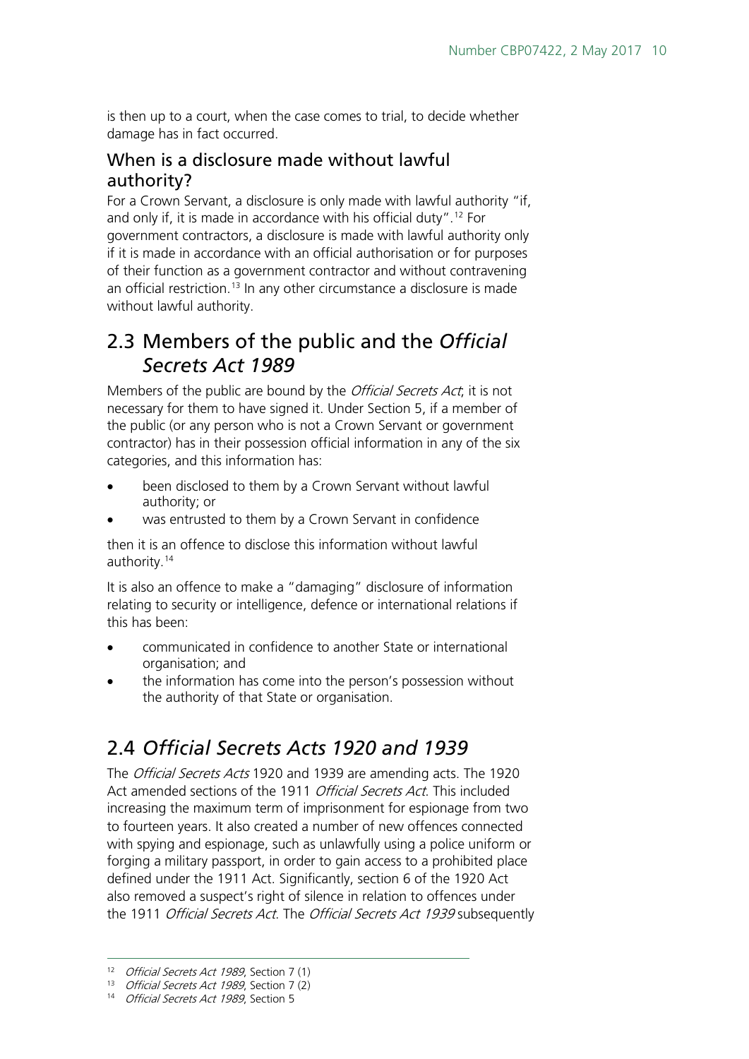is then up to a court, when the case comes to trial, to decide whether damage has in fact occurred.

### <span id="page-9-0"></span>When is a disclosure made without lawful authority?

For a Crown Servant, a disclosure is only made with lawful authority "if, and only if, it is made in accordance with his official duty".<sup>[12](#page-9-3)</sup> For government contractors, a disclosure is made with lawful authority only if it is made in accordance with an official authorisation or for purposes of their function as a government contractor and without contravening an official restriction.<sup>[13](#page-9-4)</sup> In any other circumstance a disclosure is made without lawful authority.

## <span id="page-9-1"></span>2.3 Members of the public and the *Official Secrets Act 1989*

Members of the public are bound by the *Official Secrets Act*, it is not necessary for them to have signed it. Under Section 5, if a member of the public (or any person who is not a Crown Servant or government contractor) has in their possession official information in any of the six categories, and this information has:

- been disclosed to them by a Crown Servant without lawful authority; or
- was entrusted to them by a Crown Servant in confidence

then it is an offence to disclose this information without lawful authority.[14](#page-9-5)

It is also an offence to make a "damaging" disclosure of information relating to security or intelligence, defence or international relations if this has been:

- communicated in confidence to another State or international organisation; and
- the information has come into the person's possession without the authority of that State or organisation.

# <span id="page-9-2"></span>2.4 *Official Secrets Acts 1920 and 1939*

The Official Secrets Acts 1920 and 1939 are amending acts. The 1920 Act amended sections of the 1911 *Official Secrets Act*. This included increasing the maximum term of imprisonment for espionage from two to fourteen years. It also created a number of new offences connected with spying and espionage, such as unlawfully using a police uniform or forging a military passport, in order to gain access to a prohibited place defined under the 1911 Act. Significantly, section 6 of the 1920 Act also removed a suspect's right of silence in relation to offences under the 1911 Official Secrets Act. The Official Secrets Act 1939 subsequently

<span id="page-9-3"></span><sup>12</sup> *Official Secrets Act 1989*, Section 7 (1)

<span id="page-9-4"></span><sup>13</sup> *Official Secrets Act 1989*, Section 7 (2)

<span id="page-9-5"></span><sup>14</sup> *Official Secrets Act 1989*, Section 5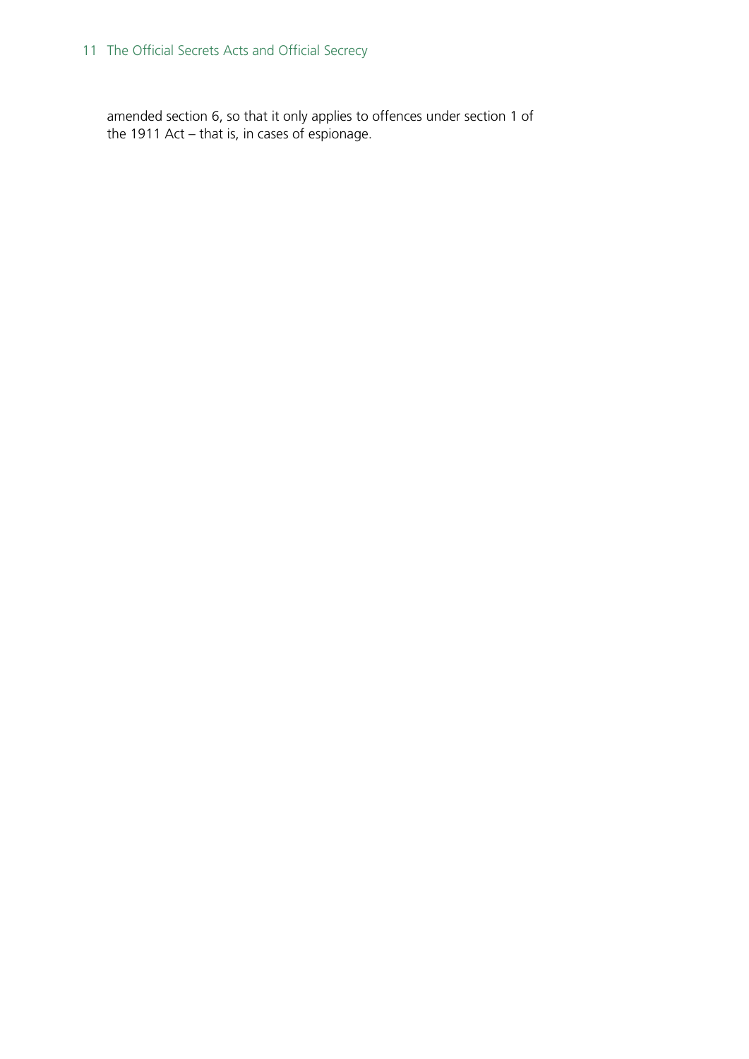#### 11 The Official Secrets Acts and Official Secrecy

amended section 6, so that it only applies to offences under section 1 of the 1911 Act – that is, in cases of espionage.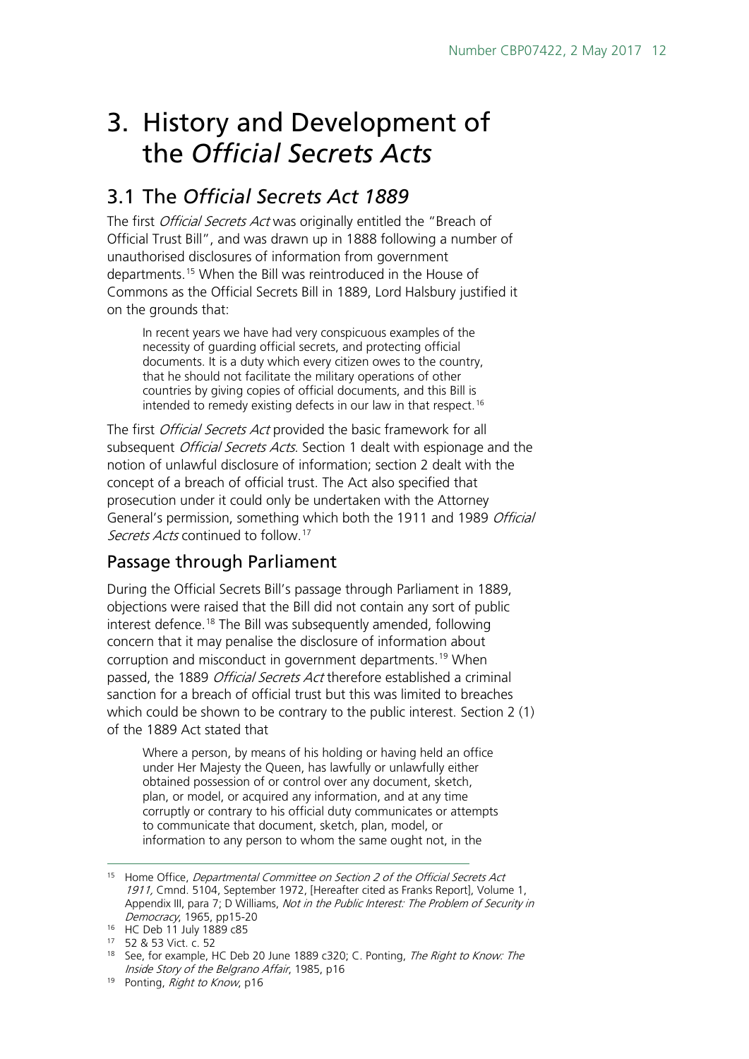# <span id="page-11-0"></span>3. History and Development of the *Official Secrets Acts*

# <span id="page-11-1"></span>3.1 The *Official Secrets Act 1889*

The first *Official Secrets Act* was originally entitled the "Breach of Official Trust Bill", and was drawn up in 1888 following a number of unauthorised disclosures of information from government departments. [15](#page-11-2) When the Bill was reintroduced in the House of Commons as the Official Secrets Bill in 1889, Lord Halsbury justified it on the grounds that:

In recent years we have had very conspicuous examples of the necessity of guarding official secrets, and protecting official documents. It is a duty which every citizen owes to the country, that he should not facilitate the military operations of other countries by giving copies of official documents, and this Bill is intended to remedy existing defects in our law in that respect.<sup>[16](#page-11-3)</sup>

The first *Official Secrets Act* provided the basic framework for all subsequent *Official Secrets Acts*. Section 1 dealt with espionage and the notion of unlawful disclosure of information; section 2 dealt with the concept of a breach of official trust. The Act also specified that prosecution under it could only be undertaken with the Attorney General's permission, something which both the 1911 and 1989 Official Secrets Acts continued to follow.<sup>[17](#page-11-4)</sup>

### Passage through Parliament

During the Official Secrets Bill's passage through Parliament in 1889, objections were raised that the Bill did not contain any sort of public interest defence.<sup>[18](#page-11-5)</sup> The Bill was subsequently amended, following concern that it may penalise the disclosure of information about corruption and misconduct in government departments.<sup>[19](#page-11-6)</sup> When passed, the 1889 Official Secrets Act therefore established a criminal sanction for a breach of official trust but this was limited to breaches which could be shown to be contrary to the public interest. Section 2 (1) of the 1889 Act stated that

Where a person, by means of his holding or having held an office under Her Majesty the Queen, has lawfully or unlawfully either obtained possession of or control over any document, sketch, plan, or model, or acquired any information, and at any time corruptly or contrary to his official duty communicates or attempts to communicate that document, sketch, plan, model, or information to any person to whom the same ought not, in the

<span id="page-11-2"></span><sup>&</sup>lt;sup>15</sup> Home Office, Departmental Committee on Section 2 of the Official Secrets Act 1911, Cmnd. 5104, September 1972, [Hereafter cited as Franks Report], Volume 1, Appendix III, para 7; D Williams, Not in the Public Interest: The Problem of Security in Democracy, 1965, pp15-20

<span id="page-11-3"></span><sup>16</sup> HC Deb 11 July 1889 c85

<span id="page-11-4"></span><sup>17</sup> 52 & 53 Vict. c. 52

<span id="page-11-5"></span><sup>&</sup>lt;sup>18</sup> See, for example, HC Deb 20 June 1889 c320; C. Ponting, The Right to Know: The Inside Story of the Belgrano Affair, 1985, p16

<span id="page-11-6"></span><sup>&</sup>lt;sup>19</sup> Ponting, *Right to Know*, p16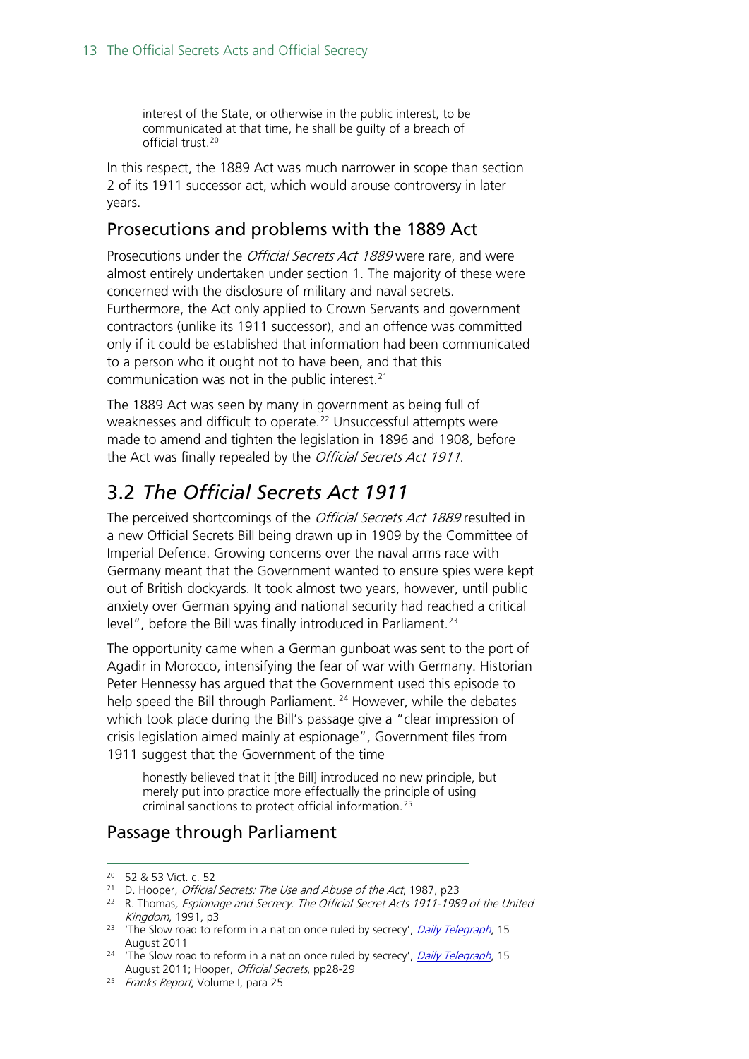interest of the State, or otherwise in the public interest, to be communicated at that time, he shall be guilty of a breach of official trust.[20](#page-12-1)

In this respect, the 1889 Act was much narrower in scope than section 2 of its 1911 successor act, which would arouse controversy in later years.

### Prosecutions and problems with the 1889 Act

Prosecutions under the *Official Secrets Act 1889* were rare, and were almost entirely undertaken under section 1. The majority of these were concerned with the disclosure of military and naval secrets. Furthermore, the Act only applied to Crown Servants and government contractors (unlike its 1911 successor), and an offence was committed only if it could be established that information had been communicated to a person who it ought not to have been, and that this communication was not in the public interest.[21](#page-12-2)

The 1889 Act was seen by many in government as being full of weaknesses and difficult to operate. [22](#page-12-3) Unsuccessful attempts were made to amend and tighten the legislation in 1896 and 1908, before the Act was finally repealed by the Official Secrets Act 1911.

# <span id="page-12-0"></span>3.2 *The Official Secrets Act 1911*

The perceived shortcomings of the *Official Secrets Act 1889* resulted in a new Official Secrets Bill being drawn up in 1909 by the Committee of Imperial Defence. Growing concerns over the naval arms race with Germany meant that the Government wanted to ensure spies were kept out of British dockyards. It took almost two years, however, until public anxiety over German spying and national security had reached a critical level", before the Bill was finally introduced in Parliament.<sup>[23](#page-12-4)</sup>

The opportunity came when a German gunboat was sent to the port of Agadir in Morocco, intensifying the fear of war with Germany. Historian Peter Hennessy has argued that the Government used this episode to help speed the Bill through Parliament.<sup>[24](#page-12-5)</sup> However, while the debates which took place during the Bill's passage give a "clear impression of crisis legislation aimed mainly at espionage", Government files from 1911 suggest that the Government of the time

honestly believed that it [the Bill] introduced no new principle, but merely put into practice more effectually the principle of using criminal sanctions to protect official information. [25](#page-12-6)

### Passage through Parliament

- <span id="page-12-4"></span><sup>23</sup> 'The Slow road to reform in a nation once ruled by secrecy', *[Daily Telegraph](http://www.telegraph.co.uk/news/politics/8701483/The-slow-road-to-reform-in-a-nation-once-ruled-by-secrecy.html)*, 15 August 2011
- <span id="page-12-5"></span><sup>24</sup> 'The Slow road to reform in a nation once ruled by secrecy', *[Daily Telegraph](http://www.telegraph.co.uk/news/politics/8701483/The-slow-road-to-reform-in-a-nation-once-ruled-by-secrecy.html)*, 15 August 2011; Hooper, Official Secrets, pp28-29
- <span id="page-12-6"></span><sup>25</sup> Franks Report, Volume I, para 25

<span id="page-12-1"></span> <sup>20</sup> 52 & 53 Vict. c. 52

<span id="page-12-2"></span><sup>&</sup>lt;sup>21</sup> D. Hooper, *Official Secrets: The Use and Abuse of the Act*, 1987, p23

<span id="page-12-3"></span><sup>&</sup>lt;sup>22</sup> R. Thomas, *Espionage and Secrecy: The Official Secret Acts 1911-1989 of the United* Kingdom, 1991, p3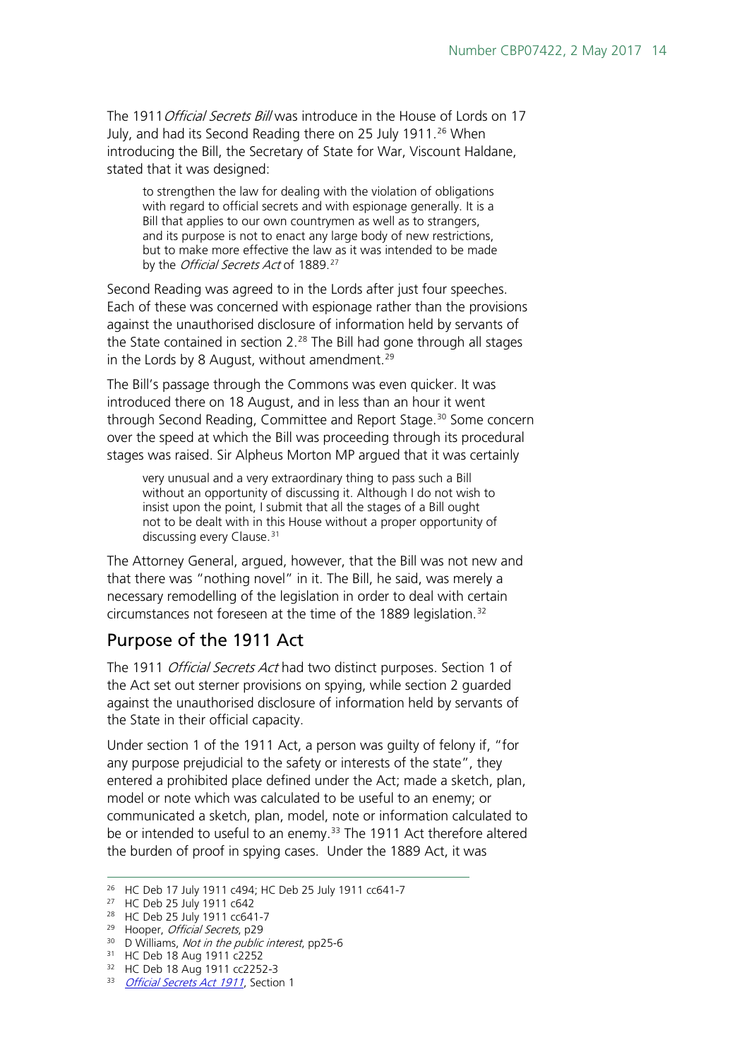The 1911 Official Secrets Bill was introduce in the House of Lords on 17 July, and had its Second Reading there on 25 July 1911.<sup>[26](#page-13-0)</sup> When introducing the Bill, the Secretary of State for War, Viscount Haldane, stated that it was designed:

to strengthen the law for dealing with the violation of obligations with regard to official secrets and with espionage generally. It is a Bill that applies to our own countrymen as well as to strangers, and its purpose is not to enact any large body of new restrictions, but to make more effective the law as it was intended to be made by the *Official Secrets Act* of 1889.<sup>[27](#page-13-1)</sup>

Second Reading was agreed to in the Lords after just four speeches. Each of these was concerned with espionage rather than the provisions against the unauthorised disclosure of information held by servants of the State contained in section  $2.^{28}$  $2.^{28}$  $2.^{28}$  The Bill had gone through all stages in the Lords by 8 August, without amendment. $29$ 

The Bill's passage through the Commons was even quicker. It was introduced there on 18 August, and in less than an hour it went through Second Reading, Committee and Report Stage.<sup>[30](#page-13-4)</sup> Some concern over the speed at which the Bill was proceeding through its procedural stages was raised. Sir Alpheus Morton MP argued that it was certainly

very unusual and a very extraordinary thing to pass such a Bill without an opportunity of discussing it. Although I do not wish to insist upon the point, I submit that all the stages of a Bill ought not to be dealt with in this House without a proper opportunity of discussing every Clause.<sup>[31](#page-13-5)</sup>

The Attorney General, argued, however, that the Bill was not new and that there was "nothing novel" in it. The Bill, he said, was merely a necessary remodelling of the legislation in order to deal with certain circumstances not foreseen at the time of the 1889 legislation. [32](#page-13-6)

### Purpose of the 1911 Act

The 1911 Official Secrets Act had two distinct purposes. Section 1 of the Act set out sterner provisions on spying, while section 2 guarded against the unauthorised disclosure of information held by servants of the State in their official capacity.

Under section 1 of the 1911 Act, a person was guilty of felony if, "for any purpose prejudicial to the safety or interests of the state", they entered a prohibited place defined under the Act; made a sketch, plan, model or note which was calculated to be useful to an enemy; or communicated a sketch, plan, model, note or information calculated to be or intended to useful to an enemy.<sup>[33](#page-13-7)</sup> The 1911 Act therefore altered the burden of proof in spying cases. Under the 1889 Act, it was

<span id="page-13-0"></span> <sup>26</sup> HC Deb 17 July 1911 c494; HC Deb 25 July 1911 cc641-7

<span id="page-13-1"></span><sup>27</sup> HC Deb 25 July 1911 c642

<span id="page-13-2"></span><sup>28</sup> HC Deb 25 July 1911 cc641-7

<span id="page-13-3"></span><sup>&</sup>lt;sup>29</sup> Hooper, *Official Secrets*, p29

<span id="page-13-4"></span><sup>&</sup>lt;sup>30</sup> D Williams, *Not in the public interest*, pp25-6

<span id="page-13-5"></span><sup>31</sup> HC Deb 18 Aug 1911 c2252

<span id="page-13-6"></span><sup>32</sup> HC Deb 18 Aug 1911 cc2252-3

<span id="page-13-7"></span><sup>&</sup>lt;sup>33</sup> [Official Secrets Act 1911](http://www.legislation.gov.uk/ukpga/Geo5/1-2/28/contents), Section 1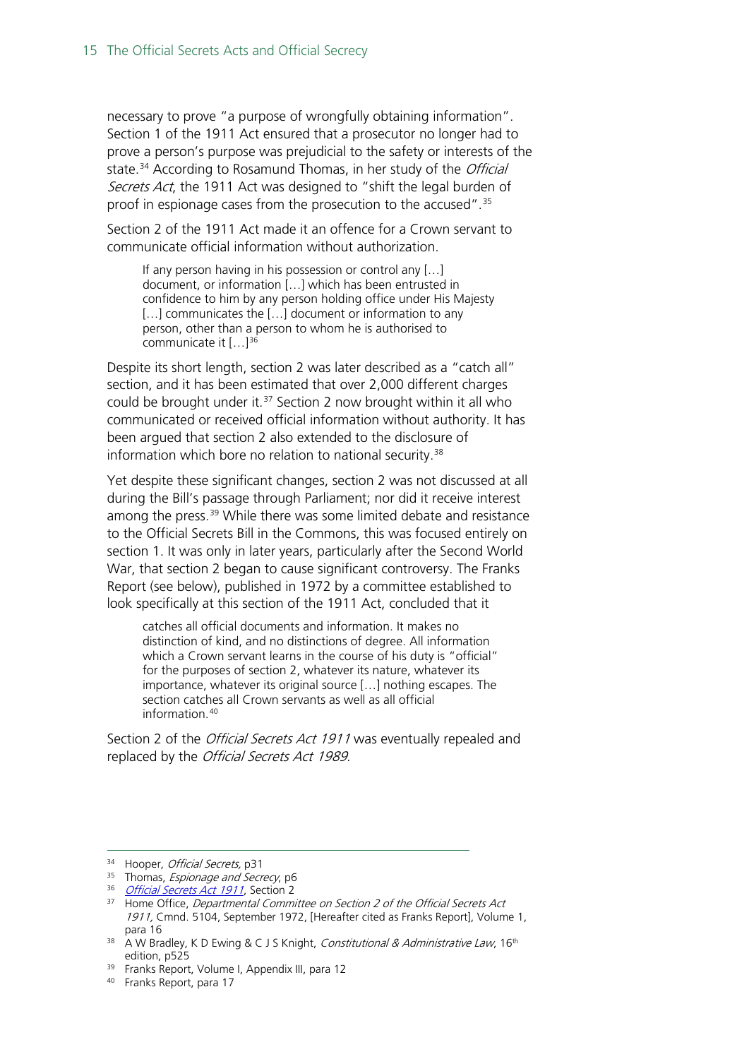necessary to prove "a purpose of wrongfully obtaining information". Section 1 of the 1911 Act ensured that a prosecutor no longer had to prove a person's purpose was prejudicial to the safety or interests of the state.<sup>[34](#page-14-0)</sup> According to Rosamund Thomas, in her study of the *Official* Secrets Act, the 1911 Act was designed to "shift the legal burden of proof in espionage cases from the prosecution to the accused".<sup>[35](#page-14-1)</sup>

Section 2 of the 1911 Act made it an offence for a Crown servant to communicate official information without authorization.

If any person having in his possession or control any […] document, or information […] which has been entrusted in confidence to him by any person holding office under His Majesty [...] communicates the [...] document or information to any person, other than a person to whom he is authorised to communicate it  $[...]^{36}$  $[...]^{36}$  $[...]^{36}$ 

Despite its short length, section 2 was later described as a "catch all" section, and it has been estimated that over 2,000 different charges could be brought under it.<sup>[37](#page-14-3)</sup> Section 2 now brought within it all who communicated or received official information without authority. It has been argued that section 2 also extended to the disclosure of information which bore no relation to national security.<sup>[38](#page-14-4)</sup>

Yet despite these significant changes, section 2 was not discussed at all during the Bill's passage through Parliament; nor did it receive interest among the press.<sup>[39](#page-14-5)</sup> While there was some limited debate and resistance to the Official Secrets Bill in the Commons, this was focused entirely on section 1. It was only in later years, particularly after the Second World War, that section 2 began to cause significant controversy. The Franks Report (see below), published in 1972 by a committee established to look specifically at this section of the 1911 Act, concluded that it

catches all official documents and information. It makes no distinction of kind, and no distinctions of degree. All information which a Crown servant learns in the course of his duty is "official" for the purposes of section 2, whatever its nature, whatever its importance, whatever its original source […] nothing escapes. The section catches all Crown servants as well as all official information. [40](#page-14-6)

Section 2 of the *Official Secrets Act 1911* was eventually repealed and replaced by the Official Secrets Act 1989.

<span id="page-14-0"></span><sup>&</sup>lt;sup>34</sup> Hooper, Official Secrets, p31

<span id="page-14-2"></span><span id="page-14-1"></span><sup>&</sup>lt;sup>35</sup> Thomas, *Espionage and Secrecy*, p6

<sup>&</sup>lt;sup>36</sup> *[Official Secrets Act 1911](http://www.legislation.gov.uk/ukpga/Geo5/1-2/28/contents)*, Section 2

<span id="page-14-3"></span><sup>&</sup>lt;sup>37</sup> Home Office, *Departmental Committee on Section 2 of the Official Secrets Act* 1911, Cmnd. 5104, September 1972, [Hereafter cited as Franks Report], Volume 1, para 16

<span id="page-14-4"></span> $38$  A W Bradley, K D Ewing & C J S Knight, Constitutional & Administrative Law, 16<sup>th</sup> edition, p525

<sup>&</sup>lt;sup>39</sup> Franks Report, Volume I, Appendix III, para 12

<span id="page-14-6"></span><span id="page-14-5"></span><sup>40</sup> Franks Report, para 17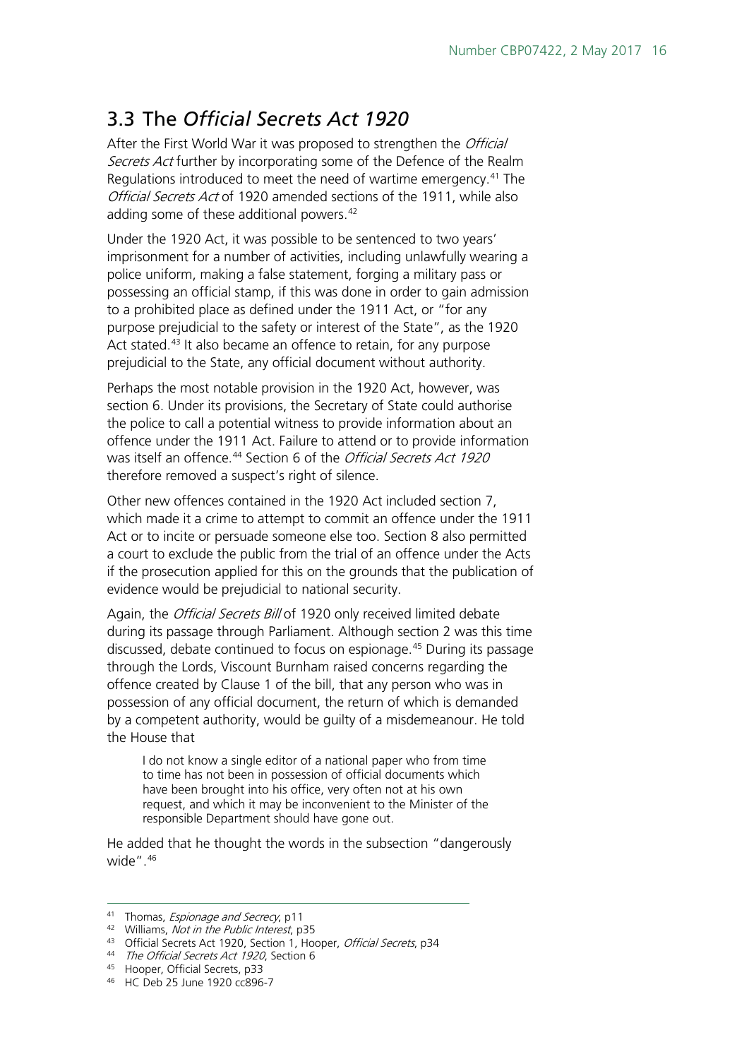## <span id="page-15-0"></span>3.3 The *Official Secrets Act 1920*

After the First World War it was proposed to strengthen the Official Secrets Act further by incorporating some of the Defence of the Realm Regulations introduced to meet the need of wartime emergency. [41](#page-15-1) The Official Secrets Act of 1920 amended sections of the 1911, while also adding some of these additional powers. [42](#page-15-2)

Under the 1920 Act, it was possible to be sentenced to two years' imprisonment for a number of activities, including unlawfully wearing a police uniform, making a false statement, forging a military pass or possessing an official stamp, if this was done in order to gain admission to a prohibited place as defined under the 1911 Act, or "for any purpose prejudicial to the safety or interest of the State", as the 1920 Act stated.<sup>[43](#page-15-3)</sup> It also became an offence to retain, for any purpose prejudicial to the State, any official document without authority.

Perhaps the most notable provision in the 1920 Act, however, was section 6. Under its provisions, the Secretary of State could authorise the police to call a potential witness to provide information about an offence under the 1911 Act. Failure to attend or to provide information was itself an offence.<sup>[44](#page-15-4)</sup> Section 6 of the *Official Secrets Act 1920* therefore removed a suspect's right of silence.

Other new offences contained in the 1920 Act included section 7, which made it a crime to attempt to commit an offence under the 1911 Act or to incite or persuade someone else too. Section 8 also permitted a court to exclude the public from the trial of an offence under the Acts if the prosecution applied for this on the grounds that the publication of evidence would be prejudicial to national security.

Again, the *Official Secrets Bill* of 1920 only received limited debate during its passage through Parliament. Although section 2 was this time discussed, debate continued to focus on espionage.<sup>[45](#page-15-5)</sup> During its passage through the Lords, Viscount Burnham raised concerns regarding the offence created by Clause 1 of the bill, that any person who was in possession of any official document, the return of which is demanded by a competent authority, would be guilty of a misdemeanour. He told the House that

I do not know a single editor of a national paper who from time to time has not been in possession of official documents which have been brought into his office, very often not at his own request, and which it may be inconvenient to the Minister of the responsible Department should have gone out.

He added that he thought the words in the subsection "dangerously wide".<sup>[46](#page-15-6)</sup>

<span id="page-15-1"></span><sup>41</sup> Thomas, *Espionage and Secrecy*, p11

<span id="page-15-2"></span><sup>42</sup> Williams, Not in the Public Interest, p35

<span id="page-15-3"></span><sup>&</sup>lt;sup>43</sup> Official Secrets Act 1920, Section 1, Hooper, Official Secrets, p34

<span id="page-15-4"></span><sup>44</sup> The Official Secrets Act 1920, Section 6

<span id="page-15-5"></span><sup>45</sup> Hooper, Official Secrets, p33

<span id="page-15-6"></span><sup>46</sup> HC Deb 25 June 1920 cc896-7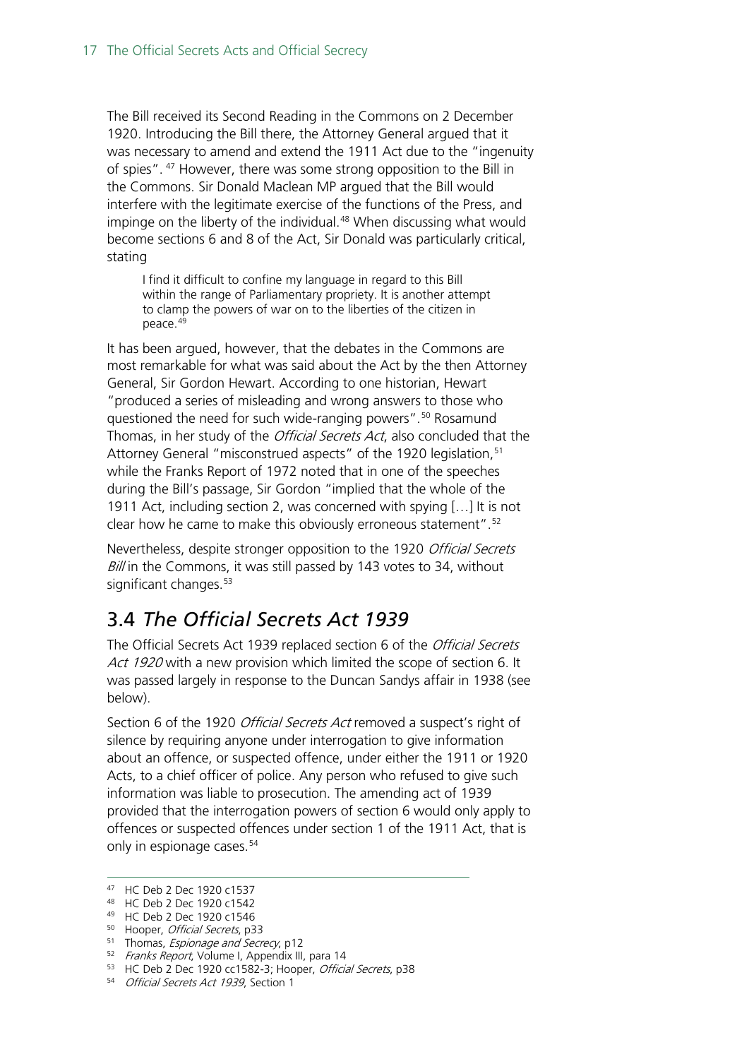The Bill received its Second Reading in the Commons on 2 December 1920. Introducing the Bill there, the Attorney General argued that it was necessary to amend and extend the 1911 Act due to the "ingenuity of spies". [47](#page-16-1) However, there was some strong opposition to the Bill in the Commons. Sir Donald Maclean MP argued that the Bill would interfere with the legitimate exercise of the functions of the Press, and impinge on the liberty of the individual.<sup>[48](#page-16-2)</sup> When discussing what would become sections 6 and 8 of the Act, Sir Donald was particularly critical, stating

I find it difficult to confine my language in regard to this Bill within the range of Parliamentary propriety. It is another attempt to clamp the powers of war on to the liberties of the citizen in peace.<sup>[49](#page-16-3)</sup>

It has been argued, however, that the debates in the Commons are most remarkable for what was said about the Act by the then Attorney General, Sir Gordon Hewart. According to one historian, Hewart "produced a series of misleading and wrong answers to those who questioned the need for such wide-ranging powers".<sup>[50](#page-16-4)</sup> Rosamund Thomas, in her study of the *Official Secrets Act*, also concluded that the Attorney General "misconstrued aspects" of the 1920 legislation,<sup>[51](#page-16-5)</sup> while the Franks Report of 1972 noted that in one of the speeches during the Bill's passage, Sir Gordon "implied that the whole of the 1911 Act, including section 2, was concerned with spying […] It is not clear how he came to make this obviously erroneous statement".<sup>[52](#page-16-6)</sup>

Nevertheless, despite stronger opposition to the 1920 Official Secrets Bill in the Commons, it was still passed by 143 votes to 34, without significant changes.<sup>[53](#page-16-7)</sup>

## <span id="page-16-0"></span>3.4 *The Official Secrets Act 1939*

The Official Secrets Act 1939 replaced section 6 of the Official Secrets Act 1920 with a new provision which limited the scope of section 6. It was passed largely in response to the Duncan Sandys affair in 1938 (see below).

Section 6 of the 1920 Official Secrets Act removed a suspect's right of silence by requiring anyone under interrogation to give information about an offence, or suspected offence, under either the 1911 or 1920 Acts, to a chief officer of police. Any person who refused to give such information was liable to prosecution. The amending act of 1939 provided that the interrogation powers of section 6 would only apply to offences or suspected offences under section 1 of the 1911 Act, that is only in espionage cases.<sup>[54](#page-16-8)</sup>

<span id="page-16-8"></span>54 *Official Secrets Act 1939*, Section 1

<span id="page-16-1"></span> <sup>47</sup> HC Deb 2 Dec 1920 c1537

<span id="page-16-2"></span><sup>48</sup> HC Deb 2 Dec 1920 c1542

<span id="page-16-3"></span><sup>49</sup> HC Deb 2 Dec 1920 c1546

<span id="page-16-4"></span><sup>50</sup> Hooper, Official Secrets, p33

<span id="page-16-5"></span><sup>&</sup>lt;sup>51</sup> Thomas, *Espionage and Secrecy*, p12

<span id="page-16-6"></span><sup>&</sup>lt;sup>52</sup> Franks Report, Volume I, Appendix III, para 14

<span id="page-16-7"></span><sup>&</sup>lt;sup>53</sup> HC Deb 2 Dec 1920 cc1582-3; Hooper, Official Secrets, p38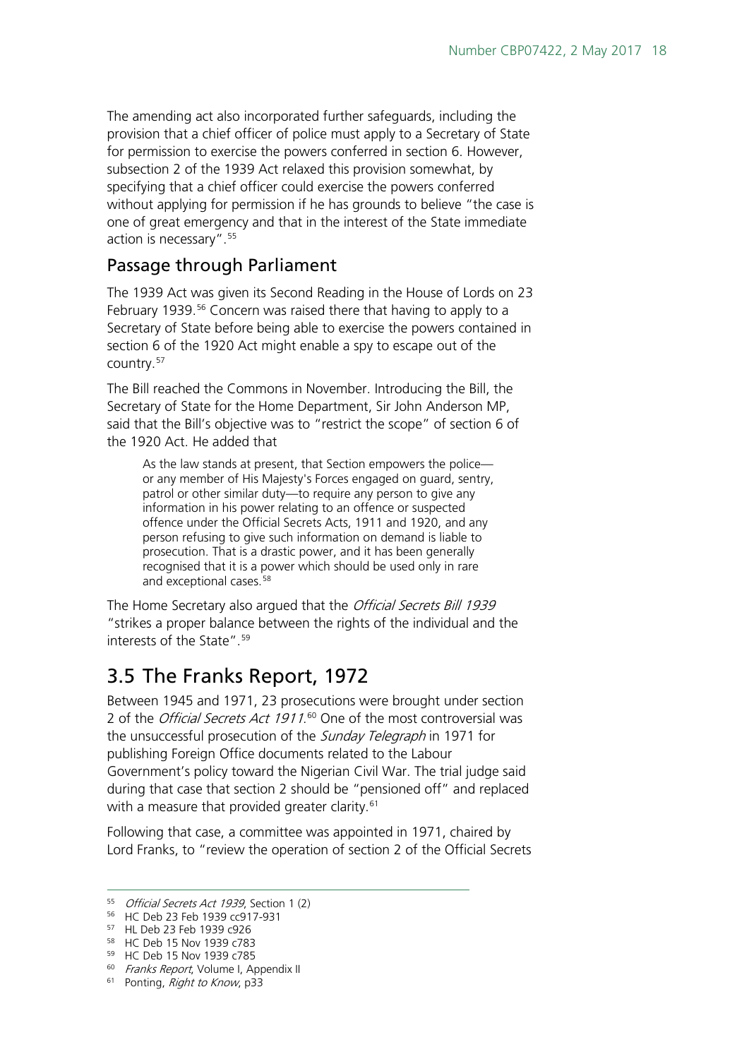The amending act also incorporated further safeguards, including the provision that a chief officer of police must apply to a Secretary of State for permission to exercise the powers conferred in section 6. However, subsection 2 of the 1939 Act relaxed this provision somewhat, by specifying that a chief officer could exercise the powers conferred without applying for permission if he has grounds to believe "the case is one of great emergency and that in the interest of the State immediate action is necessary".[55](#page-17-1)

### Passage through Parliament

The 1939 Act was given its Second Reading in the House of Lords on 23 February 1939.<sup>56</sup> Concern was raised there that having to apply to a Secretary of State before being able to exercise the powers contained in section 6 of the 1920 Act might enable a spy to escape out of the country.[57](#page-17-3)

The Bill reached the Commons in November. Introducing the Bill, the Secretary of State for the Home Department, Sir John Anderson MP, said that the Bill's objective was to "restrict the scope" of section 6 of the 1920 Act. He added that

As the law stands at present, that Section empowers the police or any member of His Majesty's Forces engaged on guard, sentry, patrol or other similar duty—to require any person to give any information in his power relating to an offence or suspected offence under the Official Secrets Acts, 1911 and 1920, and any person refusing to give such information on demand is liable to prosecution. That is a drastic power, and it has been generally recognised that it is a power which should be used only in rare and exceptional cases.<sup>[58](#page-17-4)</sup>

The Home Secretary also argued that the Official Secrets Bill 1939 "strikes a proper balance between the rights of the individual and the interests of the State".[59](#page-17-5)

### <span id="page-17-0"></span>3.5 The Franks Report, 1972

Between 1945 and 1971, 23 prosecutions were brought under section 2 of the *Official Secrets Act 1911*.<sup>[60](#page-17-6)</sup> One of the most controversial was the unsuccessful prosecution of the Sunday Telegraph in 1971 for publishing Foreign Office documents related to the Labour Government's policy toward the Nigerian Civil War. The trial judge said during that case that section 2 should be "pensioned off" and replaced with a measure that provided greater clarity.<sup>[61](#page-17-7)</sup>

Following that case, a committee was appointed in 1971, chaired by Lord Franks, to "review the operation of section 2 of the Official Secrets

<span id="page-17-1"></span><sup>55</sup> Official Secrets Act 1939, Section 1 (2)

<span id="page-17-2"></span><sup>&</sup>lt;sup>56</sup> HC Deb 23 Feb 1939 cc917-931<br><sup>57</sup> HL Deb 23 Feb 1939 c926

<span id="page-17-4"></span><span id="page-17-3"></span><sup>58</sup> HC Deb 15 Nov 1939 c783

<span id="page-17-5"></span><sup>59</sup> HC Deb 15 Nov 1939 c785

<span id="page-17-6"></span><sup>&</sup>lt;sup>60</sup> Franks Report, Volume I, Appendix II

<span id="page-17-7"></span><sup>&</sup>lt;sup>61</sup> Ponting, *Right to Know*, p33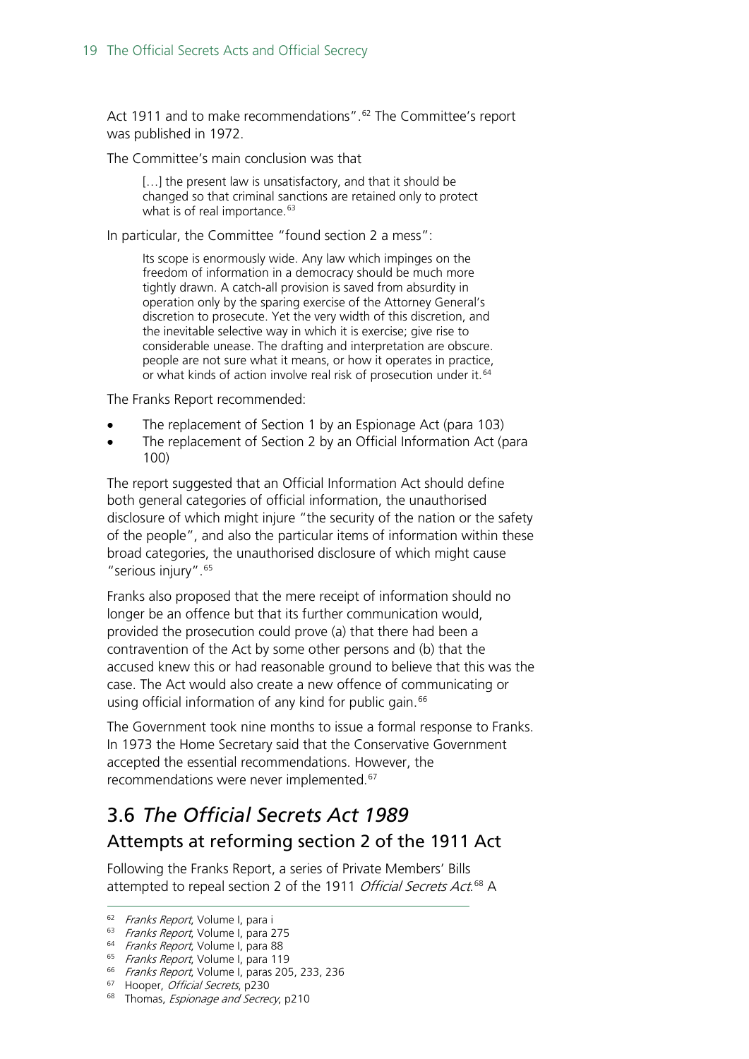Act 1911 and to make recommendations". [62](#page-18-1) The Committee's report was published in 1972.

The Committee's main conclusion was that

[...] the present law is unsatisfactory, and that it should be changed so that criminal sanctions are retained only to protect what is of real importance.<sup>[63](#page-18-2)</sup>

In particular, the Committee "found section 2 a mess":

Its scope is enormously wide. Any law which impinges on the freedom of information in a democracy should be much more tightly drawn. A catch-all provision is saved from absurdity in operation only by the sparing exercise of the Attorney General's discretion to prosecute. Yet the very width of this discretion, and the inevitable selective way in which it is exercise; give rise to considerable unease. The drafting and interpretation are obscure. people are not sure what it means, or how it operates in practice, or what kinds of action involve real risk of prosecution under it.<sup>[64](#page-18-3)</sup>

The Franks Report recommended:

- The replacement of Section 1 by an Espionage Act (para 103)
- The replacement of Section 2 by an Official Information Act (para 100)

The report suggested that an Official Information Act should define both general categories of official information, the unauthorised disclosure of which might injure "the security of the nation or the safety of the people", and also the particular items of information within these broad categories, the unauthorised disclosure of which might cause "serious injury".<sup>[65](#page-18-4)</sup>

Franks also proposed that the mere receipt of information should no longer be an offence but that its further communication would, provided the prosecution could prove (a) that there had been a contravention of the Act by some other persons and (b) that the accused knew this or had reasonable ground to believe that this was the case. The Act would also create a new offence of communicating or using official information of any kind for public gain.<sup>[66](#page-18-5)</sup>

The Government took nine months to issue a formal response to Franks. In 1973 the Home Secretary said that the Conservative Government accepted the essential recommendations. However, the recommendations were never implemented.<sup>[67](#page-18-6)</sup>

## <span id="page-18-0"></span>3.6 *The Official Secrets Act 1989* Attempts at reforming section 2 of the 1911 Act

Following the Franks Report, a series of Private Members' Bills attempted to repeal section 2 of the 1911 *Official Secrets Act*.<sup>[68](#page-18-7)</sup> A

<span id="page-18-1"></span><sup>&</sup>lt;sup>62</sup> Franks Report, Volume I, para i

<sup>&</sup>lt;sup>63</sup> Franks Report, Volume I, para 275

<span id="page-18-2"></span><sup>&</sup>lt;sup>64</sup> Franks Report, Volume I, para 88

<span id="page-18-4"></span><span id="page-18-3"></span><sup>&</sup>lt;sup>65</sup> Franks Report, Volume I, para 119

<span id="page-18-5"></span><sup>&</sup>lt;sup>66</sup> Franks Report, Volume I, paras 205, 233, 236

<span id="page-18-6"></span><sup>&</sup>lt;sup>67</sup> Hooper, Official Secrets, p230

<span id="page-18-7"></span><sup>&</sup>lt;sup>68</sup> Thomas, *Espionage and Secrecy*, p210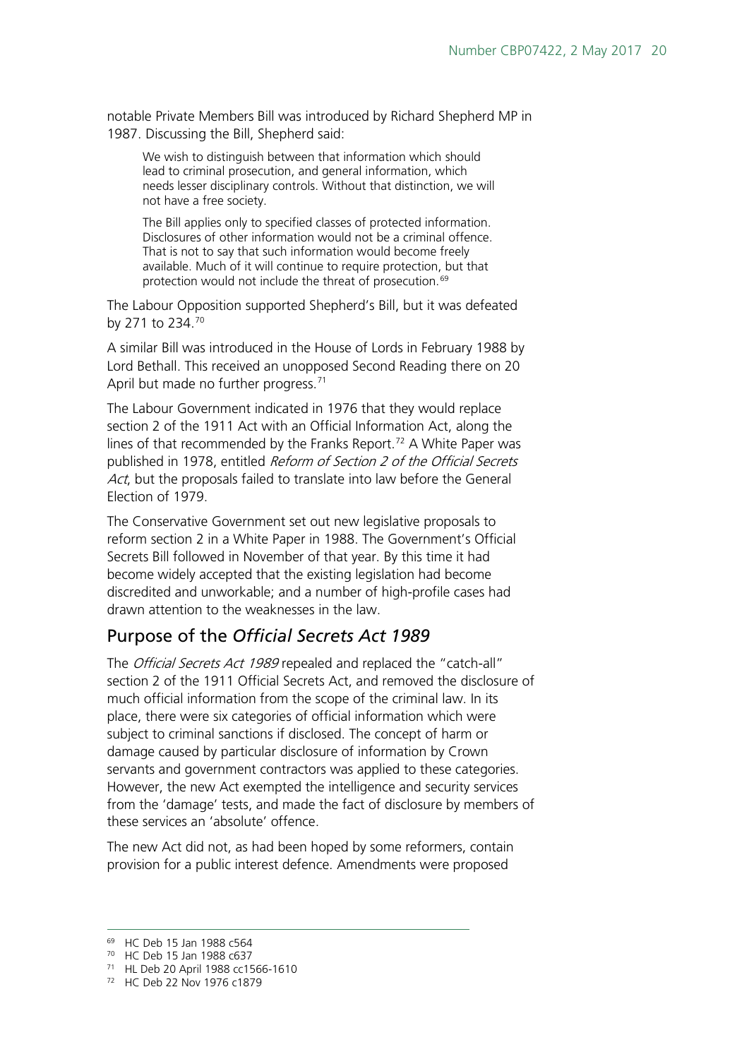notable Private Members Bill was introduced by Richard Shepherd MP in 1987. Discussing the Bill, Shepherd said:

We wish to distinguish between that information which should lead to criminal prosecution, and general information, which needs lesser disciplinary controls. Without that distinction, we will not have a free society.

The Bill applies only to specified classes of protected information. Disclosures of other information would not be a criminal offence. That is not to say that such information would become freely available. Much of it will continue to require protection, but that protection would not include the threat of prosecution.<sup>[69](#page-19-0)</sup>

The Labour Opposition supported Shepherd's Bill, but it was defeated by 271 to 234.[70](#page-19-1)

A similar Bill was introduced in the House of Lords in February 1988 by Lord Bethall. This received an unopposed Second Reading there on 20 April but made no further progress.<sup>71</sup>

The Labour Government indicated in 1976 that they would replace section 2 of the 1911 Act with an Official Information Act, along the lines of that recommended by the Franks Report.<sup>[72](#page-19-3)</sup> A White Paper was published in 1978, entitled Reform of Section 2 of the Official Secrets Act, but the proposals failed to translate into law before the General Election of 1979.

The Conservative Government set out new legislative proposals to reform section 2 in a White Paper in 1988. The Government's Official Secrets Bill followed in November of that year. By this time it had become widely accepted that the existing legislation had become discredited and unworkable; and a number of high-profile cases had drawn attention to the weaknesses in the law.

### Purpose of the *Official Secrets Act 1989*

The *Official Secrets Act 1989* repealed and replaced the "catch-all" section 2 of the 1911 Official Secrets Act, and removed the disclosure of much official information from the scope of the criminal law. In its place, there were six categories of official information which were subject to criminal sanctions if disclosed. The concept of harm or damage caused by particular disclosure of information by Crown servants and government contractors was applied to these categories. However, the new Act exempted the intelligence and security services from the 'damage' tests, and made the fact of disclosure by members of these services an 'absolute' offence.

The new Act did not, as had been hoped by some reformers, contain provision for a public interest defence. Amendments were proposed

<span id="page-19-0"></span> <sup>69</sup> HC Deb 15 Jan 1988 c564

<span id="page-19-1"></span><sup>70</sup> HC Deb 15 Jan 1988 c637

<span id="page-19-2"></span><sup>71</sup> HL Deb 20 April 1988 cc1566-1610

<span id="page-19-3"></span><sup>72</sup> HC Deb 22 Nov 1976 c1879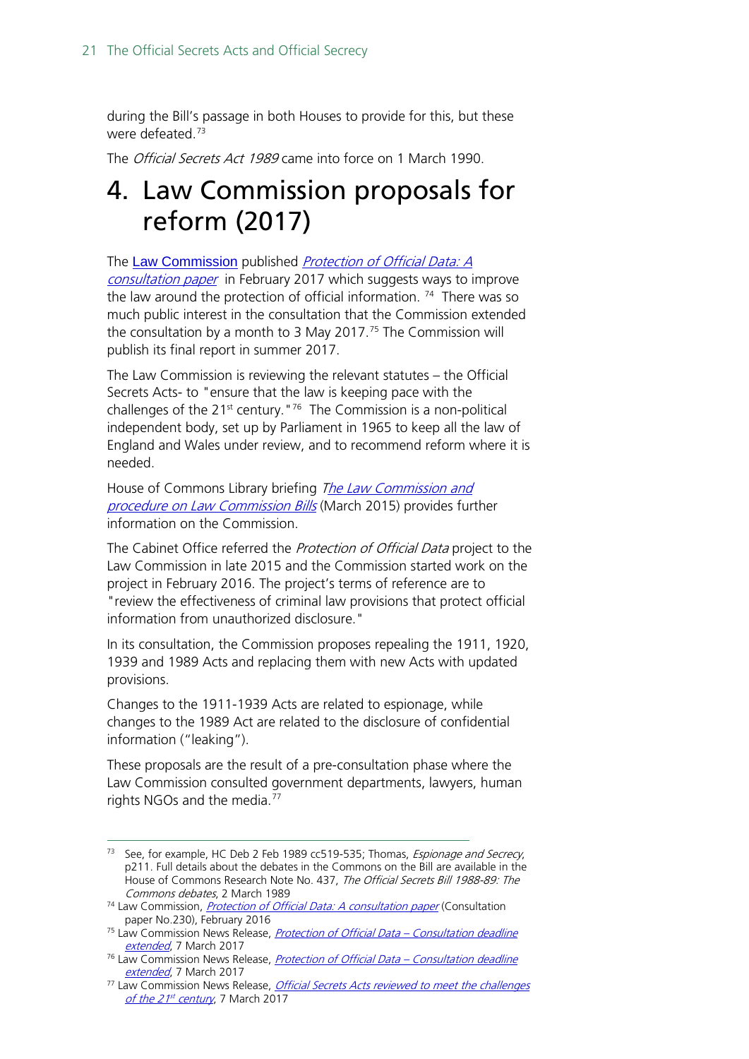during the Bill's passage in both Houses to provide for this, but these were defeated.<sup>73</sup>

The *Official Secrets Act 1989* came into force on 1 March 1990.

# <span id="page-20-0"></span>4. Law Commission proposals for reform (2017)

The [Law Commission](http://www.lawcom.gov.uk/) published *Protection of Official Data: A* [consultation paper](http://www.lawcom.gov.uk/wp-content/uploads/2017/02/cp230_protection_of_official_data.pdf) in February 2017 which suggests ways to improve the law around the protection of official information.<sup>[74](#page-20-2)</sup> There was so much public interest in the consultation that the Commission extended the consultation by a month to 3 May 2017.<sup>[75](#page-20-3)</sup> The Commission will publish its final report in summer 2017.

The Law Commission is reviewing the relevant statutes – the Official Secrets Acts- to "ensure that the law is keeping pace with the challenges of the  $21^{st}$  century. "<sup>76</sup> The Commission is a non-political independent body, set up by Parliament in 1965 to keep all the law of England and Wales under review, and to recommend reform where it is needed.

House of Commons Library briefing The Law Commission and [procedure on Law Commission Bills](http://researchbriefings.parliament.uk/ResearchBriefing/Summary/SN07156) (March 2015) provides further information on the Commission.

The Cabinet Office referred the Protection of Official Data project to the Law Commission in late 2015 and the Commission started work on the project in February 2016. The project's terms of reference are to "review the effectiveness of criminal law provisions that protect official information from unauthorized disclosure."

In its consultation, the Commission proposes repealing the 1911, 1920, 1939 and 1989 Acts and replacing them with new Acts with updated provisions.

Changes to the 1911-1939 Acts are related to espionage, while changes to the 1989 Act are related to the disclosure of confidential information ("leaking").

These proposals are the result of a pre-consultation phase where the Law Commission consulted government departments, lawyers, human rights NGOs and the media.<sup>[77](#page-20-5)</sup>

<span id="page-20-1"></span><sup>&</sup>lt;sup>73</sup> See, for example, HC Deb 2 Feb 1989 cc519-535; Thomas, *Espionage and Secrecy*, p211. Full details about the debates in the Commons on the Bill are available in the House of Commons Research Note No. 437, The Official Secrets Bill 1988-89: The Commons debates, 2 March 1989

<span id="page-20-2"></span><sup>&</sup>lt;sup>74</sup> Law Commission, *[Protection of Official Data: A consultation paper](http://www.lawcom.gov.uk/wp-content/uploads/2017/02/cp230_protection_of_official_data.pdf)* (Consultation paper No.230), February 2016

<span id="page-20-3"></span><sup>&</sup>lt;sup>75</sup> Law Commission News Release, *[Protection of Official Data –](http://www.lawcom.gov.uk/protection-of-official-data-consultation-deadline-extended/) Consultation deadline* [extended](http://www.lawcom.gov.uk/protection-of-official-data-consultation-deadline-extended/), 7 March 2017

<span id="page-20-4"></span><sup>&</sup>lt;sup>76</sup> Law Commission News Release, *[Protection of Official Data –](http://www.lawcom.gov.uk/protection-of-official-data-consultation-deadline-extended/) Consultation deadline* [extended](http://www.lawcom.gov.uk/protection-of-official-data-consultation-deadline-extended/), 7 March 2017

<span id="page-20-5"></span><sup>&</sup>lt;sup>77</sup> Law Commission News Release, Official Secrets Acts reviewed to meet the challenges of the 21<sup>st</sup> century, 7 March 2017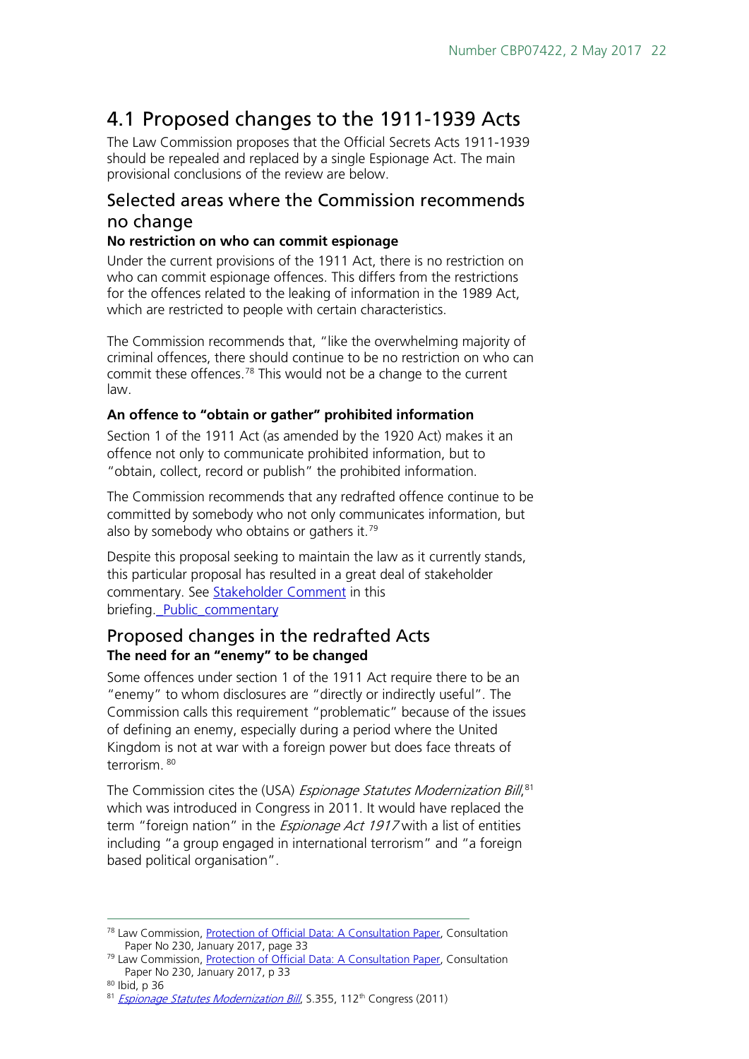# <span id="page-21-0"></span>4.1 Proposed changes to the 1911-1939 Acts

The Law Commission proposes that the Official Secrets Acts 1911-1939 should be repealed and replaced by a single Espionage Act. The main provisional conclusions of the review are below.

### <span id="page-21-1"></span>Selected areas where the Commission recommends no change

#### **No restriction on who can commit espionage**

Under the current provisions of the 1911 Act, there is no restriction on who can commit espionage offences. This differs from the restrictions for the offences related to the leaking of information in the 1989 Act, which are restricted to people with certain characteristics.

The Commission recommends that, "like the overwhelming majority of criminal offences, there should continue to be no restriction on who can commit these offences.<sup>[78](#page-21-3)</sup> This would not be a change to the current law.

#### **An offence to "obtain or gather" prohibited information**

Section 1 of the 1911 Act (as amended by the 1920 Act) makes it an offence not only to communicate prohibited information, but to "obtain, collect, record or publish" the prohibited information.

The Commission recommends that any redrafted offence continue to be committed by somebody who not only communicates information, but also by somebody who obtains or gathers it.<sup>[79](#page-21-4)</sup>

Despite this proposal seeking to maintain the law as it currently stands, this particular proposal has resulted in a great deal of stakeholder commentary. See [Stakeholder Comment](#page-30-0) in this briefing. Public commentary

#### <span id="page-21-2"></span>Proposed changes in the redrafted Acts **The need for an "enemy" to be changed**

Some offences under section 1 of the 1911 Act require there to be an "enemy" to whom disclosures are "directly or indirectly useful". The Commission calls this requirement "problematic" because of the issues of defining an enemy, especially during a period where the United Kingdom is not at war with a foreign power but does face threats of terrorism.<sup>[80](#page-21-5)</sup>

The Commission cites the (USA) *Espionage Statutes Modernization Bill*,<sup>[81](#page-21-6)</sup> which was introduced in Congress in 2011. It would have replaced the term "foreign nation" in the *Espionage Act 1917* with a list of entities including "a group engaged in international terrorism" and "a foreign based political organisation".

<span id="page-21-3"></span><sup>&</sup>lt;sup>78</sup> Law Commission[, Protection of Official Data: A Consultation Paper,](http://www.lawcom.gov.uk/wp-content/uploads/2017/02/cp230_protection_of_official_data.pdf) Consultation Paper No 230, January 2017, page 33

<span id="page-21-4"></span><sup>&</sup>lt;sup>79</sup> Law Commission[, Protection of Official Data: A Consultation Paper,](http://www.lawcom.gov.uk/wp-content/uploads/2017/02/cp230_protection_of_official_data.pdf) Consultation Paper No 230, January 2017, p 33

<span id="page-21-5"></span><sup>80</sup> Ibid, p 36

<span id="page-21-6"></span><sup>81</sup> [Espionage Statutes Modernization Bill](https://www.congress.gov/112/bills/s355/BILLS-112s355is.pdf), S.355, 112<sup>th</sup> Congress (2011)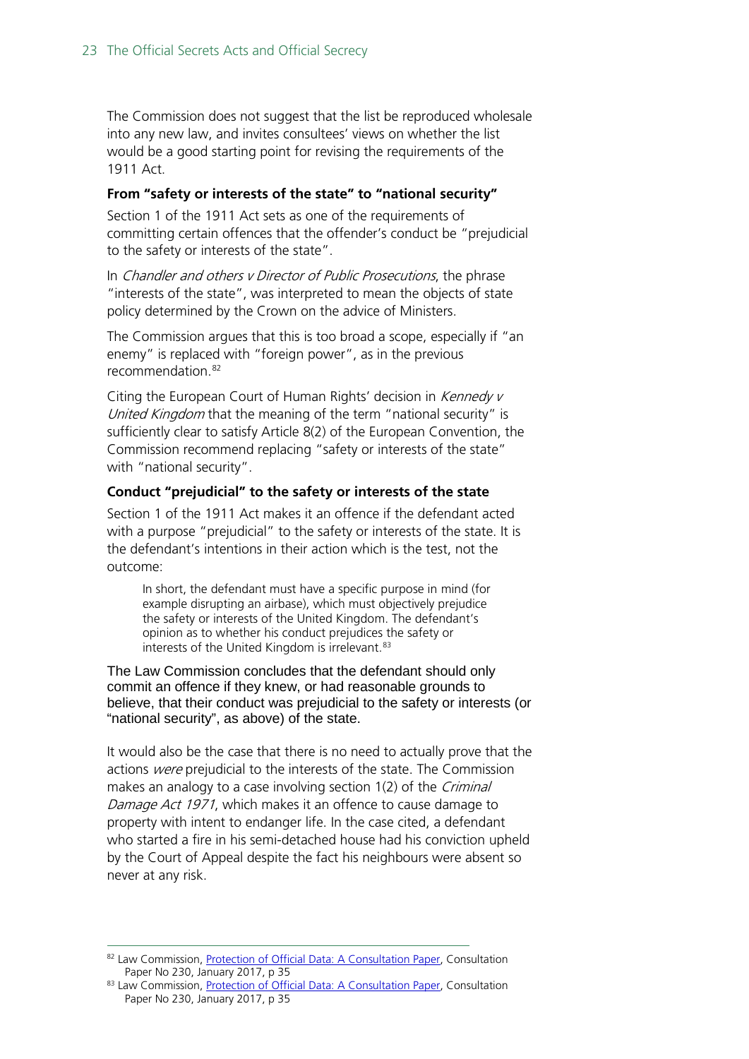The Commission does not suggest that the list be reproduced wholesale into any new law, and invites consultees' views on whether the list would be a good starting point for revising the requirements of the 1911 Act.

#### **From "safety or interests of the state" to "national security"**

Section 1 of the 1911 Act sets as one of the requirements of committing certain offences that the offender's conduct be "prejudicial to the safety or interests of the state".

In Chandler and others v Director of Public Prosecutions, the phrase "interests of the state", was interpreted to mean the objects of state policy determined by the Crown on the advice of Ministers.

The Commission argues that this is too broad a scope, especially if "an enemy" is replaced with "foreign power", as in the previous recommendation.[82](#page-22-0)

Citing the European Court of Human Rights' decision in Kennedy v United Kingdom that the meaning of the term "national security" is sufficiently clear to satisfy Article 8(2) of the European Convention, the Commission recommend replacing "safety or interests of the state" with "national security".

#### **Conduct "prejudicial" to the safety or interests of the state**

Section 1 of the 1911 Act makes it an offence if the defendant acted with a purpose "prejudicial" to the safety or interests of the state. It is the defendant's intentions in their action which is the test, not the outcome:

In short, the defendant must have a specific purpose in mind (for example disrupting an airbase), which must objectively prejudice the safety or interests of the United Kingdom. The defendant's opinion as to whether his conduct prejudices the safety or interests of the United Kingdom is irrelevant.<sup>[83](#page-22-1)</sup>

The Law Commission concludes that the defendant should only commit an offence if they knew, or had reasonable grounds to believe, that their conduct was prejudicial to the safety or interests (or "national security", as above) of the state.

It would also be the case that there is no need to actually prove that the actions *were* prejudicial to the interests of the state. The Commission makes an analogy to a case involving section 1(2) of the *Criminal* Damage Act 1971, which makes it an offence to cause damage to property with intent to endanger life. In the case cited, a defendant who started a fire in his semi-detached house had his conviction upheld by the Court of Appeal despite the fact his neighbours were absent so never at any risk.

<span id="page-22-0"></span><sup>82</sup> Law Commission[, Protection of Official Data: A Consultation Paper,](http://www.lawcom.gov.uk/wp-content/uploads/2017/02/cp230_protection_of_official_data.pdf) Consultation Paper No 230, January 2017, p 35

<span id="page-22-1"></span><sup>83</sup> Law Commission[, Protection of Official Data: A Consultation Paper,](http://www.lawcom.gov.uk/wp-content/uploads/2017/02/cp230_protection_of_official_data.pdf) Consultation Paper No 230, January 2017, p 35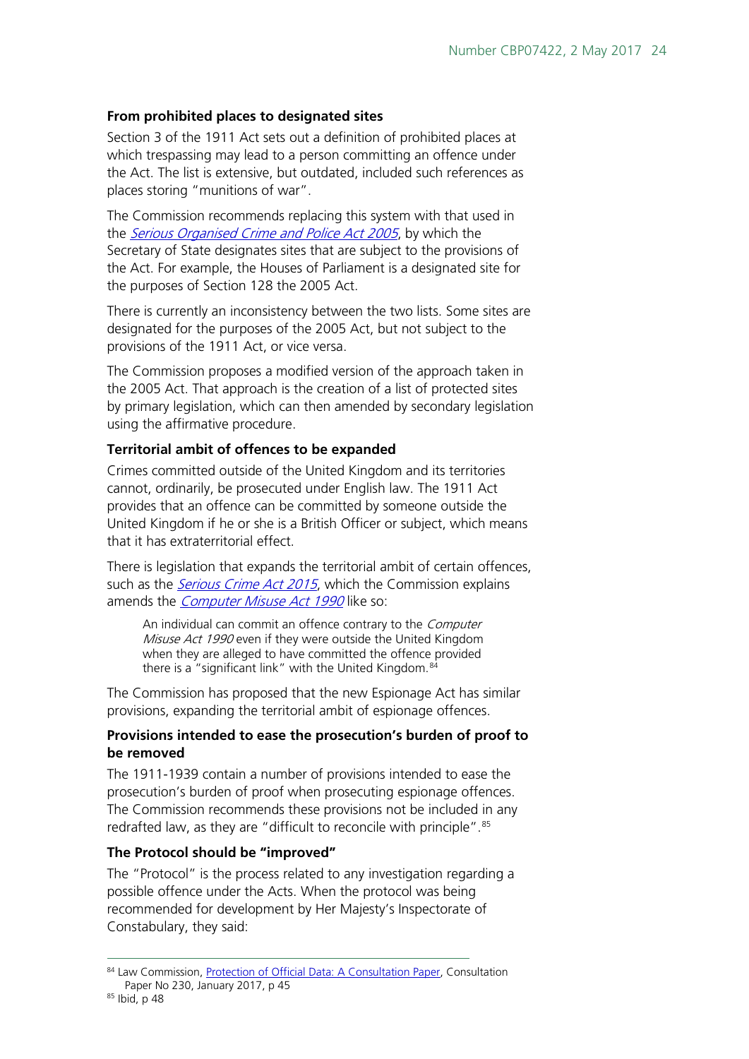#### **From prohibited places to designated sites**

Section 3 of the 1911 Act sets out a definition of prohibited places at which trespassing may lead to a person committing an offence under the Act. The list is extensive, but outdated, included such references as places storing "munitions of war".

The Commission recommends replacing this system with that used in the *[Serious Organised Crime and Police Act 2005](http://www.legislation.gov.uk/ukpga/2005/15/contents)*, by which the Secretary of State designates sites that are subject to the provisions of the Act. For example, the Houses of Parliament is a designated site for the purposes of Section 128 the 2005 Act.

There is currently an inconsistency between the two lists. Some sites are designated for the purposes of the 2005 Act, but not subject to the provisions of the 1911 Act, or vice versa.

The Commission proposes a modified version of the approach taken in the 2005 Act. That approach is the creation of a list of protected sites by primary legislation, which can then amended by secondary legislation using the affirmative procedure.

#### **Territorial ambit of offences to be expanded**

Crimes committed outside of the United Kingdom and its territories cannot, ordinarily, be prosecuted under English law. The 1911 Act provides that an offence can be committed by someone outside the United Kingdom if he or she is a British Officer or subject, which means that it has extraterritorial effect.

There is legislation that expands the territorial ambit of certain offences, such as the *[Serious Crime Act 2015](http://www.legislation.gov.uk/ukpga/2015/9/contents)*, which the Commission explains amends the *[Computer Misuse Act 1990](http://www.legislation.gov.uk/ukpga/1990/18/contents)* like so:

An individual can commit an offence contrary to the *Computer* Misuse Act 1990 even if they were outside the United Kingdom when they are alleged to have committed the offence provided there is a "significant link" with the United Kingdom. $84$ 

The Commission has proposed that the new Espionage Act has similar provisions, expanding the territorial ambit of espionage offences.

#### **Provisions intended to ease the prosecution's burden of proof to be removed**

The 1911-1939 contain a number of provisions intended to ease the prosecution's burden of proof when prosecuting espionage offences. The Commission recommends these provisions not be included in any redrafted law, as they are "difficult to reconcile with principle".<sup>[85](#page-23-1)</sup>

#### **The Protocol should be "improved"**

The "Protocol" is the process related to any investigation regarding a possible offence under the Acts. When the protocol was being recommended for development by Her Majesty's Inspectorate of Constabulary, they said:

<span id="page-23-1"></span><span id="page-23-0"></span><sup>84</sup> Law Commission[, Protection of Official Data: A Consultation Paper,](http://www.lawcom.gov.uk/wp-content/uploads/2017/02/cp230_protection_of_official_data.pdf) Consultation Paper No 230, January 2017, p 45

<sup>85</sup> Ibid, p 48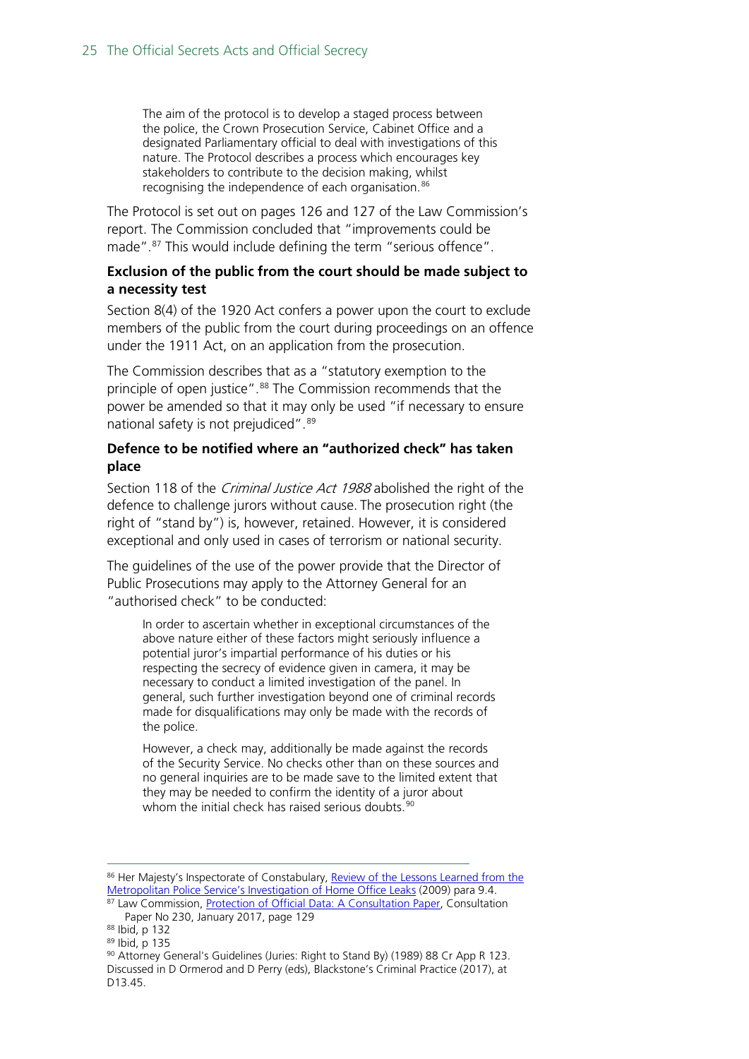The aim of the protocol is to develop a staged process between the police, the Crown Prosecution Service, Cabinet Office and a designated Parliamentary official to deal with investigations of this nature. The Protocol describes a process which encourages key stakeholders to contribute to the decision making, whilst recognising the independence of each organisation.<sup>[86](#page-24-0)</sup>

The Protocol is set out on pages 126 and 127 of the Law Commission's report. The Commission concluded that "improvements could be made".<sup>[87](#page-24-1)</sup> This would include defining the term "serious offence".

#### **Exclusion of the public from the court should be made subject to a necessity test**

Section 8(4) of the 1920 Act confers a power upon the court to exclude members of the public from the court during proceedings on an offence under the 1911 Act, on an application from the prosecution.

The Commission describes that as a "statutory exemption to the principle of open justice".<sup>[88](#page-24-2)</sup> The Commission recommends that the power be amended so that it may only be used "if necessary to ensure national safety is not prejudiced".<sup>[89](#page-24-3)</sup>

#### **Defence to be notified where an "authorized check" has taken place**

Section 118 of the *Criminal Justice Act 1988* abolished the right of the defence to challenge jurors without cause. The prosecution right (the right of "stand by") is, however, retained. However, it is considered exceptional and only used in cases of terrorism or national security.

The guidelines of the use of the power provide that the Director of Public Prosecutions may apply to the Attorney General for an "authorised check" to be conducted:

In order to ascertain whether in exceptional circumstances of the above nature either of these factors might seriously influence a potential juror's impartial performance of his duties or his respecting the secrecy of evidence given in camera, it may be necessary to conduct a limited investigation of the panel. In general, such further investigation beyond one of criminal records made for disqualifications may only be made with the records of the police.

However, a check may, additionally be made against the records of the Security Service. No checks other than on these sources and no general inquiries are to be made save to the limited extent that they may be needed to confirm the identity of a juror about whom the initial check has raised serious doubts.<sup>[90](#page-24-4)</sup>

<span id="page-24-1"></span><span id="page-24-0"></span><sup>86</sup> Her Majesty's Inspectorate of Constabulary, [Review of the Lessons Learned from the](https://www.justiceinspectorates.gov.uk/hmic/publications/lessons-learned-report/) [Metropolitan Police Service's Investigation of Home Office Leaks](https://www.justiceinspectorates.gov.uk/hmic/publications/lessons-learned-report/) (2009) para 9.4. 87 Law Commission[, Protection of Official Data: A Consultation Paper,](http://www.lawcom.gov.uk/wp-content/uploads/2017/02/cp230_protection_of_official_data.pdf) Consultation

Paper No 230, January 2017, page 129

<span id="page-24-2"></span><sup>88</sup> Ibid, p 132

<sup>89</sup> Ibid, p 135

<span id="page-24-4"></span><span id="page-24-3"></span><sup>90</sup> Attorney General's Guidelines (Juries: Right to Stand By) (1989) 88 Cr App R 123. Discussed in D Ormerod and D Perry (eds), Blackstone's Criminal Practice (2017), at D13.45.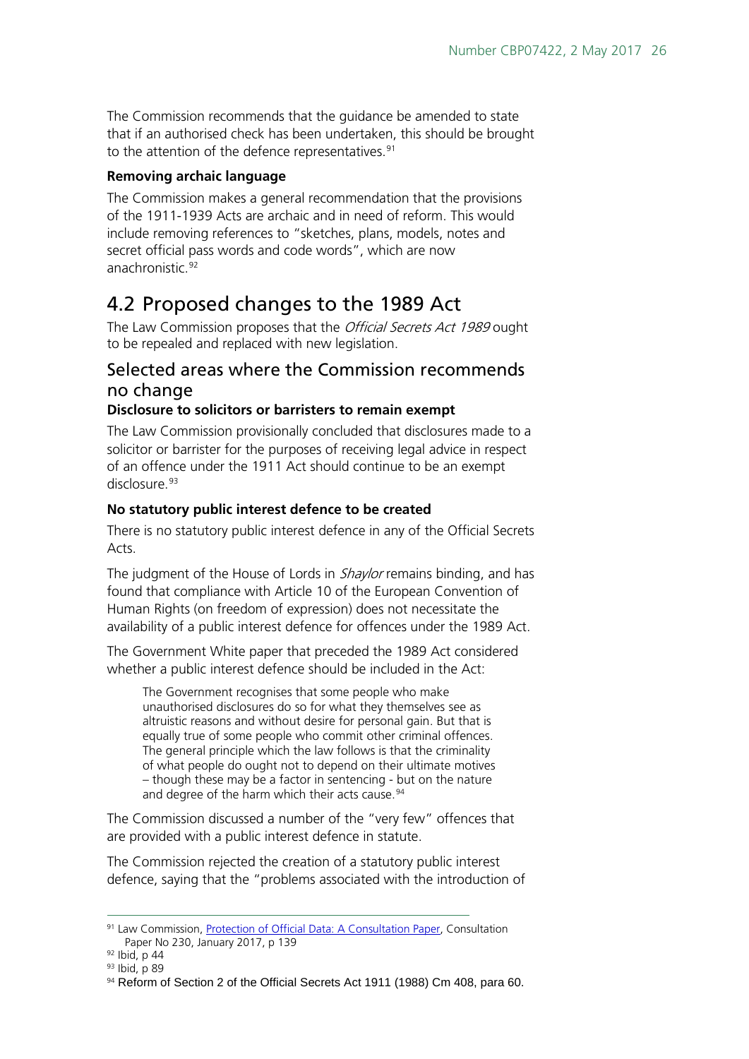The Commission recommends that the guidance be amended to state that if an authorised check has been undertaken, this should be brought to the attention of the defence representatives.<sup>[91](#page-25-2)</sup>

#### **Removing archaic language**

The Commission makes a general recommendation that the provisions of the 1911-1939 Acts are archaic and in need of reform. This would include removing references to "sketches, plans, models, notes and secret official pass words and code words", which are now anachronistic.<sup>[92](#page-25-3)</sup>

## <span id="page-25-0"></span>4.2 Proposed changes to the 1989 Act

The Law Commission proposes that the *Official Secrets Act 1989* ought to be repealed and replaced with new legislation.

### <span id="page-25-1"></span>Selected areas where the Commission recommends no change

#### **Disclosure to solicitors or barristers to remain exempt**

The Law Commission provisionally concluded that disclosures made to a solicitor or barrister for the purposes of receiving legal advice in respect of an offence under the 1911 Act should continue to be an exempt disclosure.<sup>[93](#page-25-4)</sup>

#### **No statutory public interest defence to be created**

There is no statutory public interest defence in any of the Official Secrets Acts.

The judgment of the House of Lords in *Shaylor* remains binding, and has found that compliance with Article 10 of the European Convention of Human Rights (on freedom of expression) does not necessitate the availability of a public interest defence for offences under the 1989 Act.

The Government White paper that preceded the 1989 Act considered whether a public interest defence should be included in the Act:

The Government recognises that some people who make unauthorised disclosures do so for what they themselves see as altruistic reasons and without desire for personal gain. But that is equally true of some people who commit other criminal offences. The general principle which the law follows is that the criminality of what people do ought not to depend on their ultimate motives – though these may be a factor in sentencing - but on the nature and degree of the harm which their acts cause.<sup>[94](#page-25-5)</sup>

The Commission discussed a number of the "very few" offences that are provided with a public interest defence in statute.

The Commission rejected the creation of a statutory public interest defence, saying that the "problems associated with the introduction of

<span id="page-25-2"></span> <sup>91</sup> Law Commission[, Protection of Official Data: A Consultation Paper,](http://www.lawcom.gov.uk/wp-content/uploads/2017/02/cp230_protection_of_official_data.pdf) Consultation Paper No 230, January 2017, p 139

<span id="page-25-3"></span><sup>92</sup> Ibid, p 44

<sup>93</sup> Ibid, p 89

<span id="page-25-5"></span><span id="page-25-4"></span><sup>94</sup> Reform of Section 2 of the Official Secrets Act 1911 (1988) Cm 408, para 60.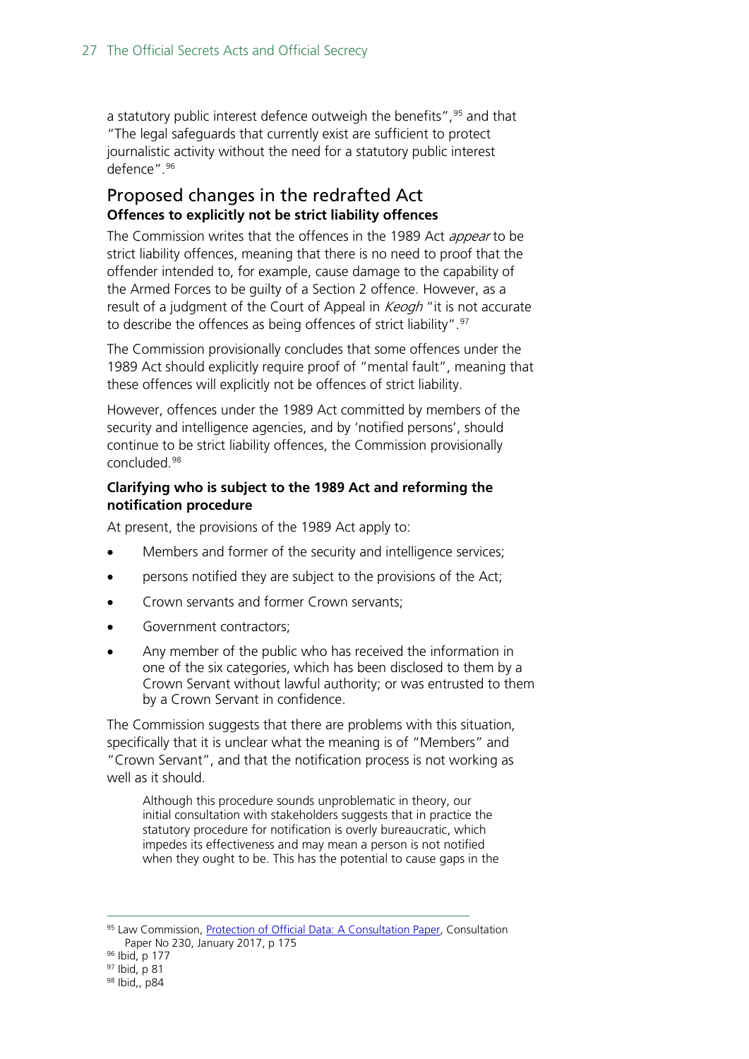a statutory public interest defence outweigh the benefits",<sup>[95](#page-26-1)</sup> and that "The legal safeguards that currently exist are sufficient to protect journalistic activity without the need for a statutory public interest defence".[96](#page-26-2)

### <span id="page-26-0"></span>Proposed changes in the redrafted Act **Offences to explicitly not be strict liability offences**

The Commission writes that the offences in the 1989 Act *appear* to be strict liability offences, meaning that there is no need to proof that the offender intended to, for example, cause damage to the capability of the Armed Forces to be guilty of a Section 2 offence. However, as a result of a judgment of the Court of Appeal in *Keogh* "it is not accurate to describe the offences as being offences of strict liability".<sup>[97](#page-26-3)</sup>

The Commission provisionally concludes that some offences under the 1989 Act should explicitly require proof of "mental fault", meaning that these offences will explicitly not be offences of strict liability.

However, offences under the 1989 Act committed by members of the security and intelligence agencies, and by 'notified persons', should continue to be strict liability offences, the Commission provisionally concluded.[98](#page-26-4)

#### **Clarifying who is subject to the 1989 Act and reforming the notification procedure**

At present, the provisions of the 1989 Act apply to:

- Members and former of the security and intelligence services;
- persons notified they are subject to the provisions of the Act;
- Crown servants and former Crown servants;
- Government contractors;
- Any member of the public who has received the information in one of the six categories, which has been disclosed to them by a Crown Servant without lawful authority; or was entrusted to them by a Crown Servant in confidence.

The Commission suggests that there are problems with this situation, specifically that it is unclear what the meaning is of "Members" and "Crown Servant", and that the notification process is not working as well as it should.

Although this procedure sounds unproblematic in theory, our initial consultation with stakeholders suggests that in practice the statutory procedure for notification is overly bureaucratic, which impedes its effectiveness and may mean a person is not notified when they ought to be. This has the potential to cause gaps in the

<span id="page-26-1"></span> <sup>95</sup> Law Commission[, Protection of Official Data: A Consultation Paper,](http://www.lawcom.gov.uk/wp-content/uploads/2017/02/cp230_protection_of_official_data.pdf) Consultation Paper No 230, January 2017, p 175

<span id="page-26-2"></span><sup>96</sup> Ibid, p 177

<span id="page-26-3"></span><sup>97</sup> Ibid, p 81

<span id="page-26-4"></span><sup>98</sup> Ibid,, p84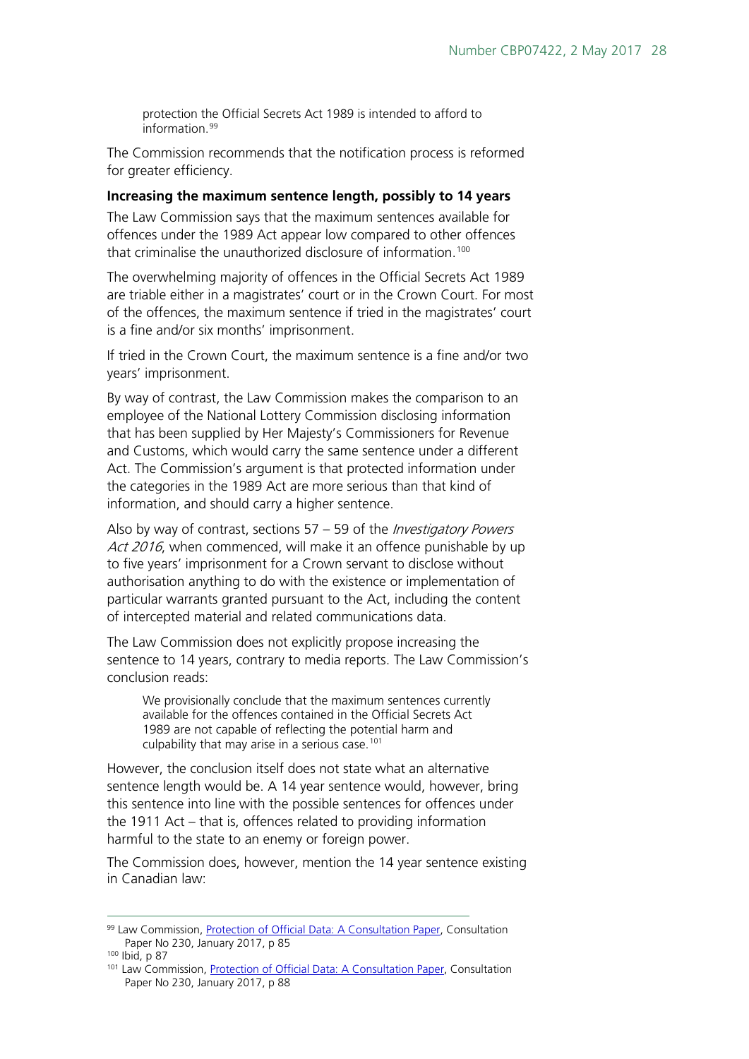protection the Official Secrets Act 1989 is intended to afford to information.[99](#page-27-0)

The Commission recommends that the notification process is reformed for greater efficiency.

#### **Increasing the maximum sentence length, possibly to 14 years**

The Law Commission says that the maximum sentences available for offences under the 1989 Act appear low compared to other offences that criminalise the unauthorized disclosure of information.[100](#page-27-1)

The overwhelming majority of offences in the Official Secrets Act 1989 are triable either in a magistrates' court or in the Crown Court. For most of the offences, the maximum sentence if tried in the magistrates' court is a fine and/or six months' imprisonment.

If tried in the Crown Court, the maximum sentence is a fine and/or two years' imprisonment.

By way of contrast, the Law Commission makes the comparison to an employee of the National Lottery Commission disclosing information that has been supplied by Her Majesty's Commissioners for Revenue and Customs, which would carry the same sentence under a different Act. The Commission's argument is that protected information under the categories in the 1989 Act are more serious than that kind of information, and should carry a higher sentence.

Also by way of contrast, sections 57 – 59 of the *Investigatory Powers* Act 2016, when commenced, will make it an offence punishable by up to five years' imprisonment for a Crown servant to disclose without authorisation anything to do with the existence or implementation of particular warrants granted pursuant to the Act, including the content of intercepted material and related communications data.

The Law Commission does not explicitly propose increasing the sentence to 14 years, contrary to media reports. The Law Commission's conclusion reads:

We provisionally conclude that the maximum sentences currently available for the offences contained in the Official Secrets Act 1989 are not capable of reflecting the potential harm and culpability that may arise in a serious case.<sup>[101](#page-27-2)</sup>

However, the conclusion itself does not state what an alternative sentence length would be. A 14 year sentence would, however, bring this sentence into line with the possible sentences for offences under the 1911 Act – that is, offences related to providing information harmful to the state to an enemy or foreign power.

The Commission does, however, mention the 14 year sentence existing in Canadian law:

<span id="page-27-0"></span><sup>99</sup> Law Commission[, Protection of Official Data: A Consultation Paper,](http://www.lawcom.gov.uk/wp-content/uploads/2017/02/cp230_protection_of_official_data.pdf) Consultation Paper No 230, January 2017, p 85

<span id="page-27-1"></span><sup>100</sup> Ibid, p 87

<span id="page-27-2"></span><sup>&</sup>lt;sup>101</sup> Law Commission[, Protection of Official Data: A Consultation Paper,](http://www.lawcom.gov.uk/wp-content/uploads/2017/02/cp230_protection_of_official_data.pdf) Consultation Paper No 230, January 2017, p 88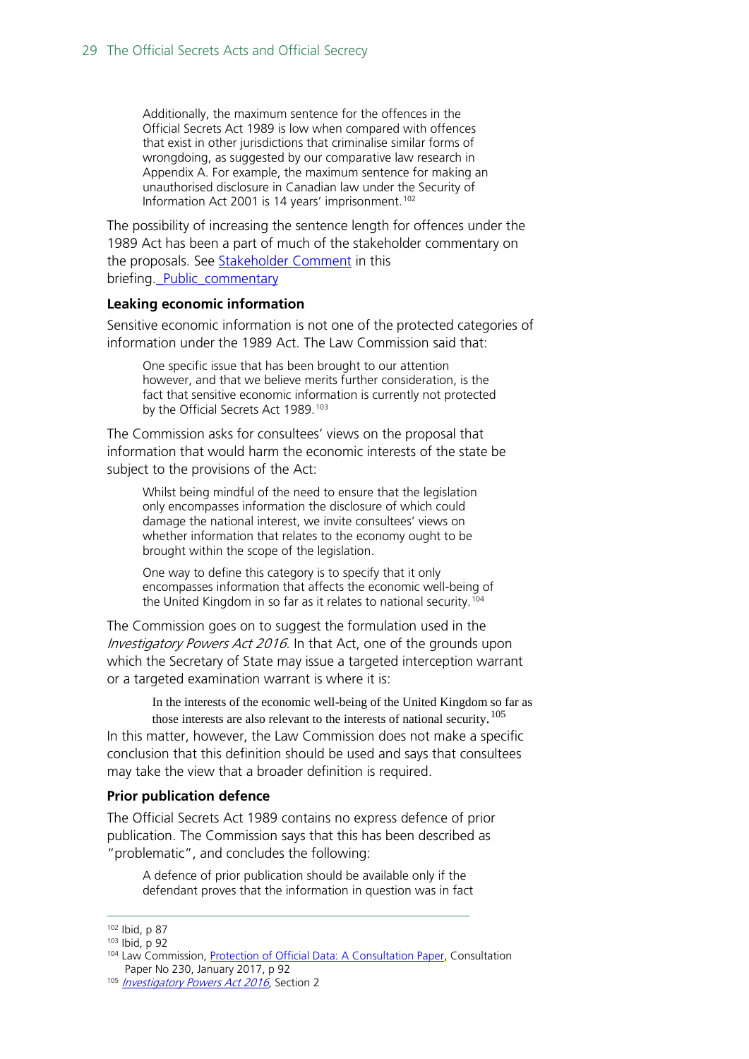Additionally, the maximum sentence for the offences in the Official Secrets Act 1989 is low when compared with offences that exist in other jurisdictions that criminalise similar forms of wrongdoing, as suggested by our comparative law research in Appendix A. For example, the maximum sentence for making an unauthorised disclosure in Canadian law under the Security of Information Act 2001 is 14 years' imprisonment.<sup>[102](#page-28-0)</sup>

The possibility of increasing the sentence length for offences under the 1989 Act has been a part of much of the stakeholder commentary on the proposals. See [Stakeholder Comment](#page-30-0) in this briefing. Public\_commentary

#### **Leaking economic information**

Sensitive economic information is not one of the protected categories of information under the 1989 Act. The Law Commission said that:

One specific issue that has been brought to our attention however, and that we believe merits further consideration, is the fact that sensitive economic information is currently not protected by the Official Secrets Act 1989.<sup>[103](#page-28-1)</sup>

The Commission asks for consultees' views on the proposal that information that would harm the economic interests of the state be subject to the provisions of the Act:

Whilst being mindful of the need to ensure that the legislation only encompasses information the disclosure of which could damage the national interest, we invite consultees' views on whether information that relates to the economy ought to be brought within the scope of the legislation.

One way to define this category is to specify that it only encompasses information that affects the economic well-being of the United Kingdom in so far as it relates to national security.<sup>[104](#page-28-2)</sup>

The Commission goes on to suggest the formulation used in the Investigatory Powers Act 2016. In that Act, one of the grounds upon which the Secretary of State may issue a targeted interception warrant or a targeted examination warrant is where it is:

> In the interests of the economic well-being of the United Kingdom so far as those interests are also relevant to the interests of national security.<sup>[105](#page-28-3)</sup>

In this matter, however, the Law Commission does not make a specific conclusion that this definition should be used and says that consultees may take the view that a broader definition is required.

#### **Prior publication defence**

The Official Secrets Act 1989 contains no express defence of prior publication. The Commission says that this has been described as "problematic", and concludes the following:

A defence of prior publication should be available only if the defendant proves that the information in question was in fact

<span id="page-28-0"></span> <sup>102</sup> Ibid, p 87

<span id="page-28-1"></span> $103$  Ibid, p 92

<span id="page-28-2"></span><sup>104</sup> Law Commission[, Protection of Official Data: A Consultation Paper,](http://www.lawcom.gov.uk/wp-content/uploads/2017/02/cp230_protection_of_official_data.pdf) Consultation Paper No 230, January 2017, p 92

<span id="page-28-3"></span><sup>&</sup>lt;sup>105</sup> [Investigatory Powers Act 2016,](http://www.legislation.gov.uk/ukpga/2016/25/pdfs/ukpga_20160025_en.pdf) Section 2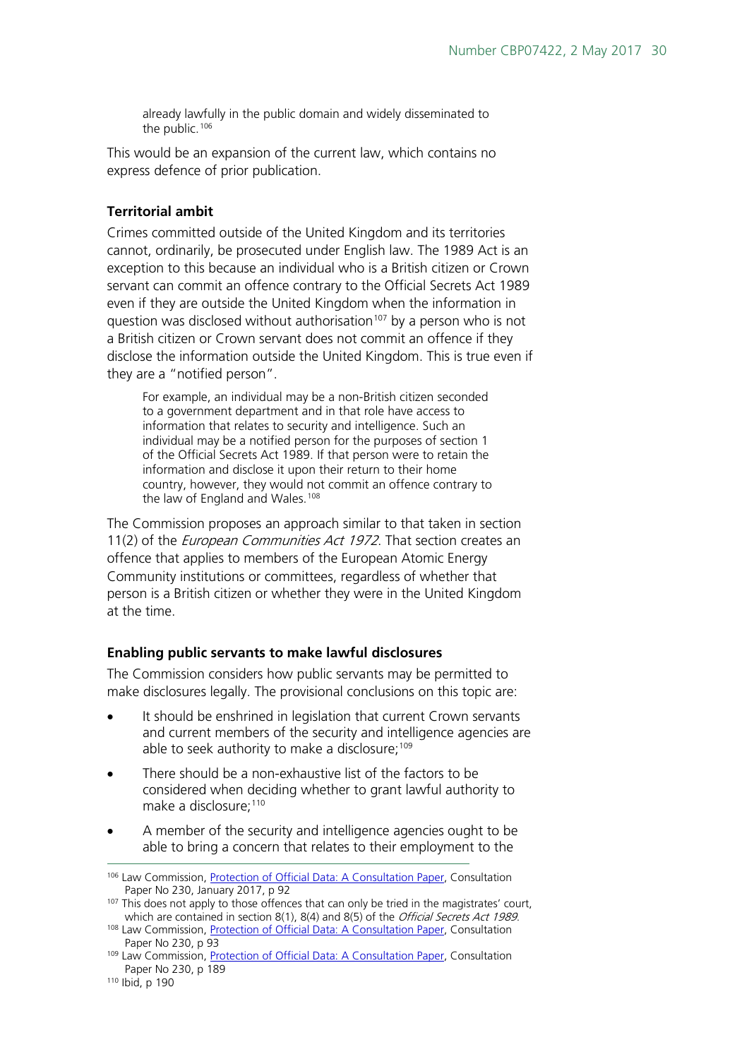already lawfully in the public domain and widely disseminated to the public.<sup>[106](#page-29-0)</sup>

This would be an expansion of the current law, which contains no express defence of prior publication.

#### **Territorial ambit**

Crimes committed outside of the United Kingdom and its territories cannot, ordinarily, be prosecuted under English law. The 1989 Act is an exception to this because an individual who is a British citizen or Crown servant can commit an offence contrary to the Official Secrets Act 1989 even if they are outside the United Kingdom when the information in question was disclosed without authorisation<sup>[107](#page-29-1)</sup> by a person who is not a British citizen or Crown servant does not commit an offence if they disclose the information outside the United Kingdom. This is true even if they are a "notified person".

For example, an individual may be a non-British citizen seconded to a government department and in that role have access to information that relates to security and intelligence. Such an individual may be a notified person for the purposes of section 1 of the Official Secrets Act 1989. If that person were to retain the information and disclose it upon their return to their home country, however, they would not commit an offence contrary to the law of England and Wales.<sup>[108](#page-29-2)</sup>

The Commission proposes an approach similar to that taken in section 11(2) of the *European Communities Act 1972*. That section creates an offence that applies to members of the European Atomic Energy Community institutions or committees, regardless of whether that person is a British citizen or whether they were in the United Kingdom at the time.

#### **Enabling public servants to make lawful disclosures**

The Commission considers how public servants may be permitted to make disclosures legally. The provisional conclusions on this topic are:

- It should be enshrined in legislation that current Crown servants and current members of the security and intelligence agencies are able to seek authority to make a disclosure; $109$
- There should be a non-exhaustive list of the factors to be considered when deciding whether to grant lawful authority to make a disclosure;<sup>[110](#page-29-4)</sup>
- A member of the security and intelligence agencies ought to be able to bring a concern that relates to their employment to the

<span id="page-29-0"></span><sup>106</sup> Law Commission[, Protection of Official Data: A Consultation Paper,](http://www.lawcom.gov.uk/wp-content/uploads/2017/02/cp230_protection_of_official_data.pdf) Consultation Paper No 230, January 2017, p 92

<span id="page-29-1"></span><sup>&</sup>lt;sup>107</sup> This does not apply to those offences that can only be tried in the magistrates' court, which are contained in section 8(1), 8(4) and 8(5) of the *Official Secrets Act 1989*.

<span id="page-29-2"></span><sup>108</sup> Law Commission[, Protection of Official Data: A Consultation Paper,](http://www.lawcom.gov.uk/wp-content/uploads/2017/02/cp230_protection_of_official_data.pdf) Consultation Paper No 230, p 93

<span id="page-29-3"></span><sup>109</sup> Law Commission[, Protection of Official Data: A Consultation Paper,](http://www.lawcom.gov.uk/wp-content/uploads/2017/02/cp230_protection_of_official_data.pdf) Consultation Paper No 230, p 189

<span id="page-29-4"></span><sup>110</sup> Ibid, p 190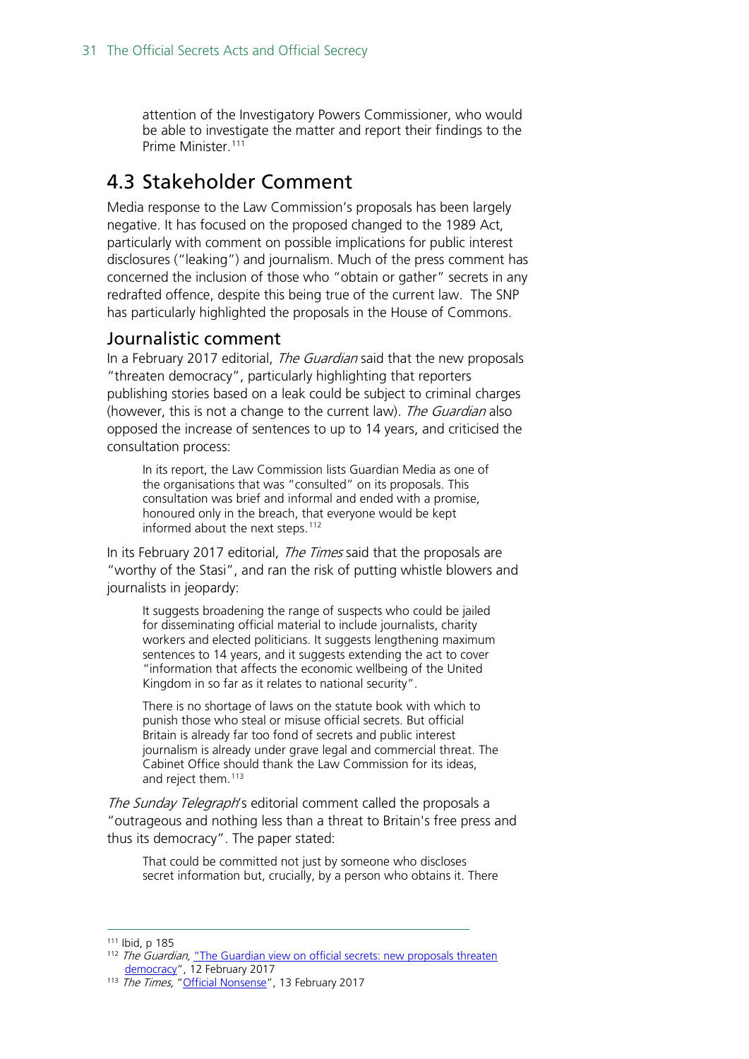attention of the Investigatory Powers Commissioner, who would be able to investigate the matter and report their findings to the Prime Minister.<sup>[111](#page-30-2)</sup>

### <span id="page-30-0"></span>4.3 Stakeholder Comment

Media response to the Law Commission's proposals has been largely negative. It has focused on the proposed changed to the 1989 Act, particularly with comment on possible implications for public interest disclosures ("leaking") and journalism. Much of the press comment has concerned the inclusion of those who "obtain or gather" secrets in any redrafted offence, despite this being true of the current law. The SNP has particularly highlighted the proposals in the House of Commons.

#### <span id="page-30-1"></span>Journalistic comment

In a February 2017 editorial, *The Guardian* said that the new proposals "threaten democracy", particularly highlighting that reporters publishing stories based on a leak could be subject to criminal charges (however, this is not a change to the current law). The Guardian also opposed the increase of sentences to up to 14 years, and criticised the consultation process:

In its report, the Law Commission lists Guardian Media as one of the organisations that was "consulted" on its proposals. This consultation was brief and informal and ended with a promise, honoured only in the breach, that everyone would be kept informed about the next steps.[112](#page-30-3)

In its February 2017 editorial, The Times said that the proposals are "worthy of the Stasi", and ran the risk of putting whistle blowers and journalists in jeopardy:

It suggests broadening the range of suspects who could be jailed for disseminating official material to include journalists, charity workers and elected politicians. It suggests lengthening maximum sentences to 14 years, and it suggests extending the act to cover "information that affects the economic wellbeing of the United Kingdom in so far as it relates to national security".

There is no shortage of laws on the statute book with which to punish those who steal or misuse official secrets. But official Britain is already far too fond of secrets and public interest journalism is already under grave legal and commercial threat. The Cabinet Office should thank the Law Commission for its ideas, and reject them.<sup>[113](#page-30-4)</sup>

The Sunday Telegraph's editorial comment called the proposals a "outrageous and nothing less than a threat to Britain's free press and thus its democracy". The paper stated:

That could be committed not just by someone who discloses secret information but, crucially, by a person who obtains it. There

<span id="page-30-2"></span>111 Ibid, p 185

<span id="page-30-3"></span><sup>112</sup> The Guardian, "The Guardian view on official secrets: new proposals threaten [democracy"](https://www.theguardian.com/commentisfree/2017/feb/12/the-guardian-view-on-official-secrets-new-proposals-threaten-democracy), 12 February 2017

<span id="page-30-4"></span><sup>113</sup> The Times, "Official Nonsense", 13 February 2017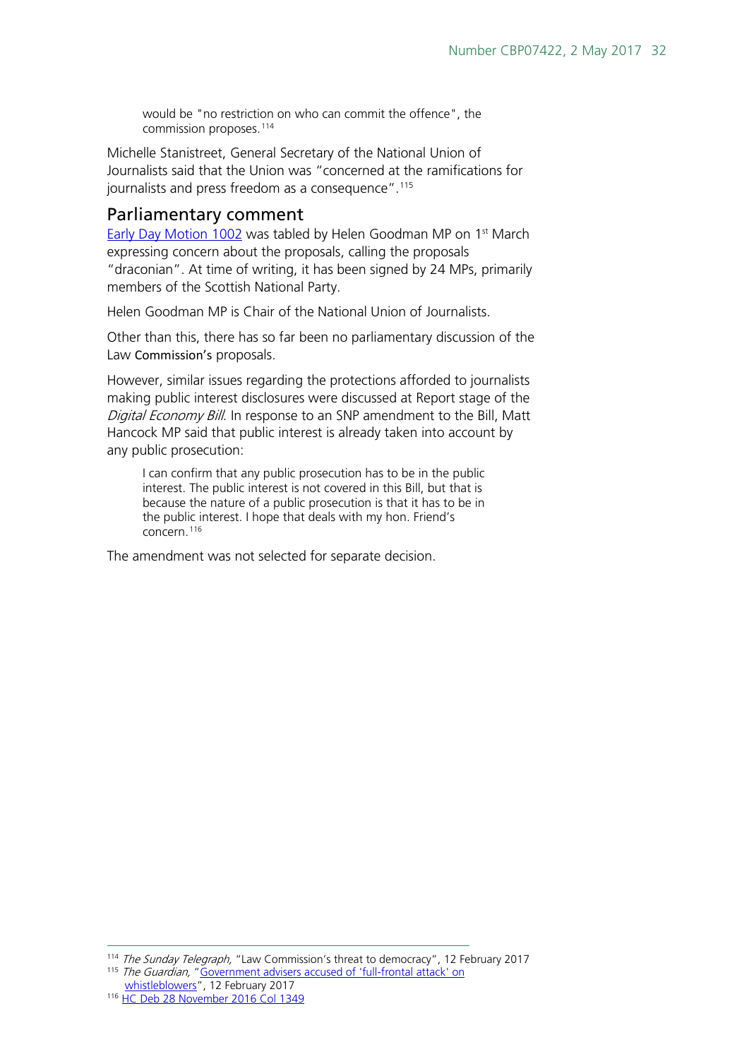would be "no restriction on who can commit the offence", the commission proposes.<sup>[114](#page-31-1)</sup>

Michelle Stanistreet, General Secretary of the National Union of Journalists said that the Union was "concerned at the ramifications for journalists and press freedom as a consequence".<sup>[115](#page-31-2)</sup>

### <span id="page-31-0"></span>Parliamentary comment

[Early Day Motion 1002](http://www.parliament.uk/edm/2016-17/1002) was tabled by Helen Goodman MP on 1<sup>st</sup> March expressing concern about the proposals, calling the proposals "draconian". At time of writing, it has been signed by 24 MPs, primarily members of the Scottish National Party.

Helen Goodman MP is Chair of the National Union of Journalists.

Other than this, there has so far been no parliamentary discussion of the Law Commission's proposals.

However, similar issues regarding the protections afforded to journalists making public interest disclosures were discussed at Report stage of the Digital Economy Bill. In response to an SNP amendment to the Bill, Matt Hancock MP said that public interest is already taken into account by any public prosecution:

I can confirm that any public prosecution has to be in the public interest. The public interest is not covered in this Bill, but that is because the nature of a public prosecution is that it has to be in the public interest. I hope that deals with my hon. Friend's concern.[116](#page-31-3)

The amendment was not selected for separate decision.

<span id="page-31-2"></span><span id="page-31-1"></span><sup>114</sup> The Sunday Telegraph, "Law Commission's threat to democracy", 12 February 2017

<sup>115</sup> The Guardian, "Government advisers accused of 'full-frontal attack' on

<span id="page-31-3"></span>[whistleblowers"](https://www.theguardian.com/uk-news/2017/feb/12/uk-government-accused-full-frontal-attack-prison-whistleblowers-media-journalists), 12 February 2017 116 [HC Deb 28 November 2016 Col 1349](https://hansard.parliament.uk/Commons/2016-11-28/debates/CF0A21DE-0B55-4A02-8B9F-824ADFDE7C02/DigitalEconomyBill#contribution-056C4C09-8ECE-4FB3-80A9-DE81B364633C)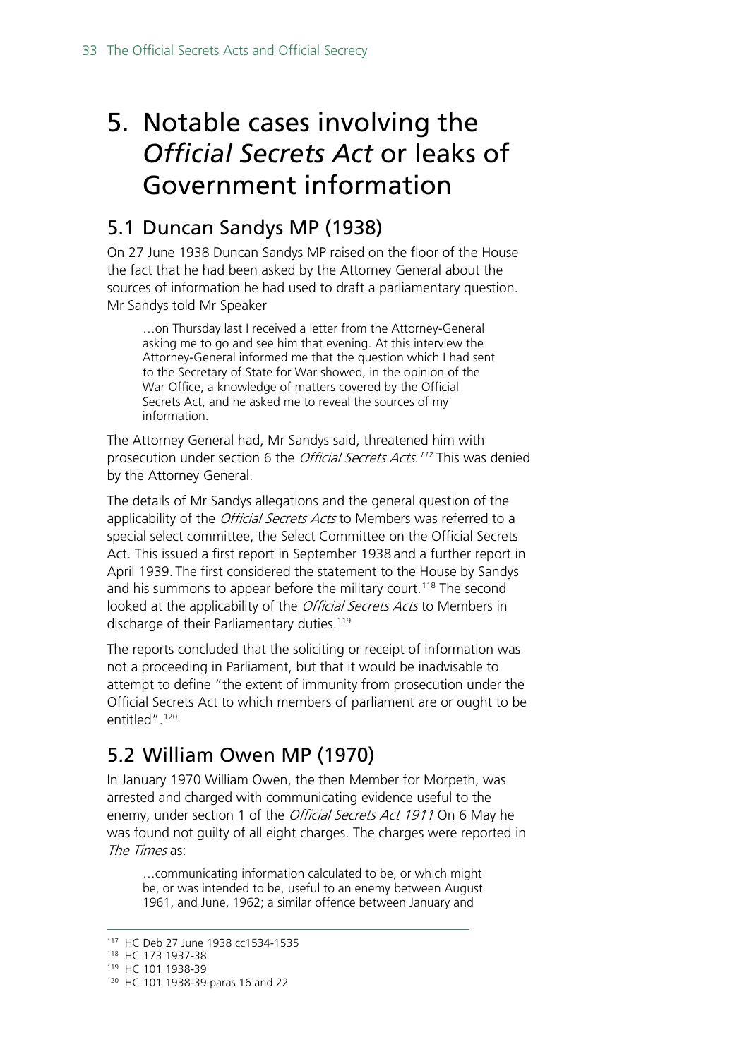# <span id="page-32-0"></span>5. Notable cases involving the *Official Secrets Act* or leaks of Government information

# <span id="page-32-1"></span>5.1 Duncan Sandys MP (1938)

On 27 June 1938 Duncan Sandys MP raised on the floor of the House the fact that he had been asked by the Attorney General about the sources of information he had used to draft a parliamentary question. Mr Sandys told Mr Speaker

…on Thursday last I received a letter from the Attorney-General asking me to go and see him that evening. At this interview the Attorney-General informed me that the question which I had sent to the Secretary of State for War showed, in the opinion of the War Office, a knowledge of matters covered by the Official Secrets Act, and he asked me to reveal the sources of my information.

The Attorney General had, Mr Sandys said, threatened him with prosecution under section 6 the *Official Secrets Acts.<sup>[117](#page-32-3)</sup>* This was denied by the Attorney General.

The details of Mr Sandys allegations and the general question of the applicability of the *Official Secrets Acts* to Members was referred to a special select committee, the Select Committee on the Official Secrets Act. This issued a first report in September 1938 and a further report in April 1939. The first considered the statement to the House by Sandys and his summons to appear before the military court.<sup>[118](#page-32-4)</sup> The second looked at the applicability of the Official Secrets Acts to Members in discharge of their Parliamentary duties.<sup>[119](#page-32-5)</sup>

The reports concluded that the soliciting or receipt of information was not a proceeding in Parliament, but that it would be inadvisable to attempt to define "the extent of immunity from prosecution under the Official Secrets Act to which members of parliament are or ought to be entitled" [120](#page-32-6)

# <span id="page-32-2"></span>5.2 William Owen MP (1970)

In January 1970 William Owen, the then Member for Morpeth, was arrested and charged with communicating evidence useful to the enemy, under section 1 of the *Official Secrets Act 1911* On 6 May he was found not guilty of all eight charges. The charges were reported in The Times as:

…communicating information calculated to be, or which might be, or was intended to be, useful to an enemy between August 1961, and June, 1962; a similar offence between January and

<span id="page-32-3"></span> <sup>117</sup> HC Deb 27 June 1938 cc1534-1535

<span id="page-32-4"></span><sup>118</sup> HC 173 1937-38

<span id="page-32-6"></span><span id="page-32-5"></span><sup>119</sup> HC 101 1938-39

<sup>120</sup> HC 101 1938-39 paras 16 and 22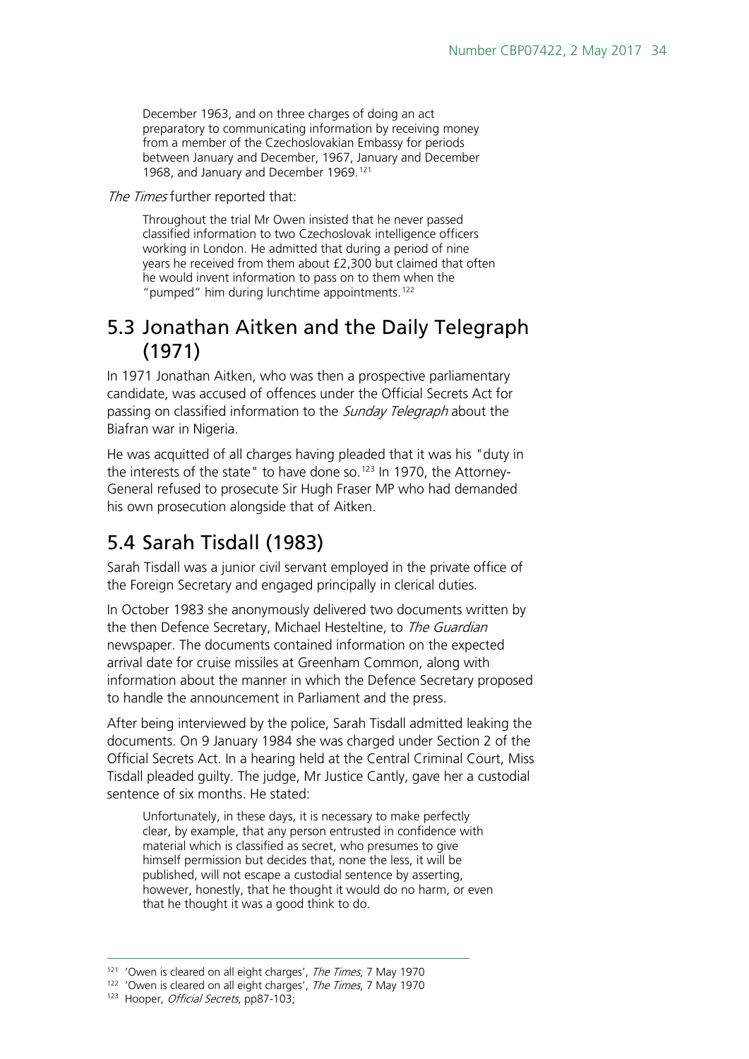December 1963, and on three charges of doing an act preparatory to communicating information by receiving money from a member of the Czechoslovakian Embassy for periods between January and December, 1967, January and December 1968, and January and December 1969.[121](#page-33-2)

The Times further reported that:

Throughout the trial Mr Owen insisted that he never passed classified information to two Czechoslovak intelligence officers working in London. He admitted that during a period of nine years he received from them about £2,300 but claimed that often he would invent information to pass on to them when the "pumped" him during lunchtime appointments. [122](#page-33-3)

# <span id="page-33-0"></span>5.3 Jonathan Aitken and the Daily Telegraph (1971)

In 1971 Jonathan Aitken, who was then a prospective parliamentary candidate, was accused of offences under the Official Secrets Act for passing on classified information to the *Sunday Telegraph* about the Biafran war in Nigeria.

He was acquitted of all charges having pleaded that it was his "duty in the interests of the state" to have done so.<sup>[123](#page-33-4)</sup> In 1970, the Attorney-General refused to prosecute Sir Hugh Fraser MP who had demanded his own prosecution alongside that of Aitken.

# <span id="page-33-1"></span>5.4 Sarah Tisdall (1983)

Sarah Tisdall was a junior civil servant employed in the private office of the Foreign Secretary and engaged principally in clerical duties.

In October 1983 she anonymously delivered two documents written by the then Defence Secretary, Michael Hesteltine, to The Guardian newspaper. The documents contained information on the expected arrival date for cruise missiles at Greenham Common, along with information about the manner in which the Defence Secretary proposed to handle the announcement in Parliament and the press.

After being interviewed by the police, Sarah Tisdall admitted leaking the documents. On 9 January 1984 she was charged under Section 2 of the Official Secrets Act. In a hearing held at the Central Criminal Court, Miss Tisdall pleaded guilty. The judge, Mr Justice Cantly, gave her a custodial sentence of six months. He stated:

Unfortunately, in these days, it is necessary to make perfectly clear, by example, that any person entrusted in confidence with material which is classified as secret, who presumes to give himself permission but decides that, none the less, it will be published, will not escape a custodial sentence by asserting, however, honestly, that he thought it would do no harm, or even that he thought it was a good think to do.

<span id="page-33-2"></span><sup>&</sup>lt;sup>121</sup> 'Owen is cleared on all eight charges', *The Times*, 7 May 1970

<span id="page-33-4"></span><span id="page-33-3"></span><sup>&</sup>lt;sup>122</sup> 'Owen is cleared on all eight charges', The Times, 7 May 1970

<sup>123</sup> Hooper, Official Secrets, pp87-103;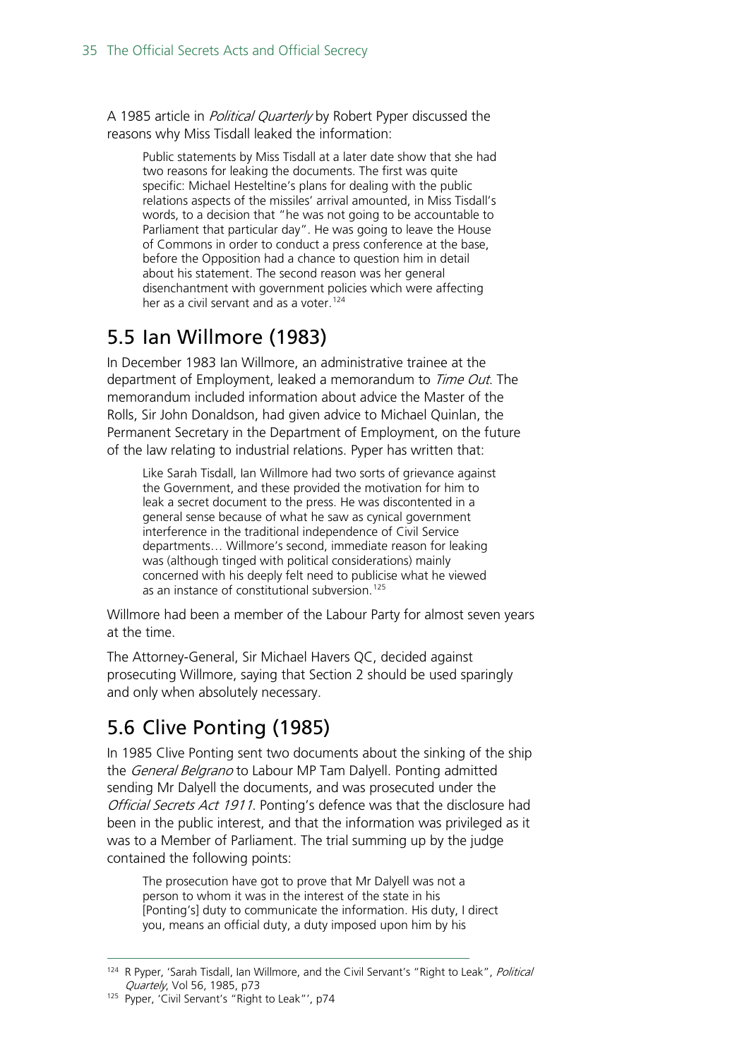A 1985 article in *Political Quarterly* by Robert Pyper discussed the reasons why Miss Tisdall leaked the information:

Public statements by Miss Tisdall at a later date show that she had two reasons for leaking the documents. The first was quite specific: Michael Hesteltine's plans for dealing with the public relations aspects of the missiles' arrival amounted, in Miss Tisdall's words, to a decision that "he was not going to be accountable to Parliament that particular day". He was going to leave the House of Commons in order to conduct a press conference at the base, before the Opposition had a chance to question him in detail about his statement. The second reason was her general disenchantment with government policies which were affecting her as a civil servant and as a voter.<sup>[124](#page-34-2)</sup>

## <span id="page-34-0"></span>5.5 Ian Willmore (1983)

In December 1983 Ian Willmore, an administrative trainee at the department of Employment, leaked a memorandum to *Time Out*. The memorandum included information about advice the Master of the Rolls, Sir John Donaldson, had given advice to Michael Quinlan, the Permanent Secretary in the Department of Employment, on the future of the law relating to industrial relations. Pyper has written that:

Like Sarah Tisdall, Ian Willmore had two sorts of grievance against the Government, and these provided the motivation for him to leak a secret document to the press. He was discontented in a general sense because of what he saw as cynical government interference in the traditional independence of Civil Service departments… Willmore's second, immediate reason for leaking was (although tinged with political considerations) mainly concerned with his deeply felt need to publicise what he viewed as an instance of constitutional subversion.[125](#page-34-3)

Willmore had been a member of the Labour Party for almost seven years at the time.

The Attorney-General, Sir Michael Havers QC, decided against prosecuting Willmore, saying that Section 2 should be used sparingly and only when absolutely necessary.

# <span id="page-34-1"></span>5.6 Clive Ponting (1985)

In 1985 Clive Ponting sent two documents about the sinking of the ship the General Belgrano to Labour MP Tam Dalyell. Ponting admitted sending Mr Dalyell the documents, and was prosecuted under the Official Secrets Act 1911. Ponting's defence was that the disclosure had been in the public interest, and that the information was privileged as it was to a Member of Parliament. The trial summing up by the judge contained the following points:

The prosecution have got to prove that Mr Dalyell was not a person to whom it was in the interest of the state in his [Ponting's] duty to communicate the information. His duty, I direct you, means an official duty, a duty imposed upon him by his

<span id="page-34-2"></span><sup>&</sup>lt;sup>124</sup> R Pyper, 'Sarah Tisdall, Ian Willmore, and the Civil Servant's "Right to Leak", *Political* Quartely, Vol 56, 1985, p73

<span id="page-34-3"></span><sup>125</sup> Pyper, 'Civil Servant's "Right to Leak"', p74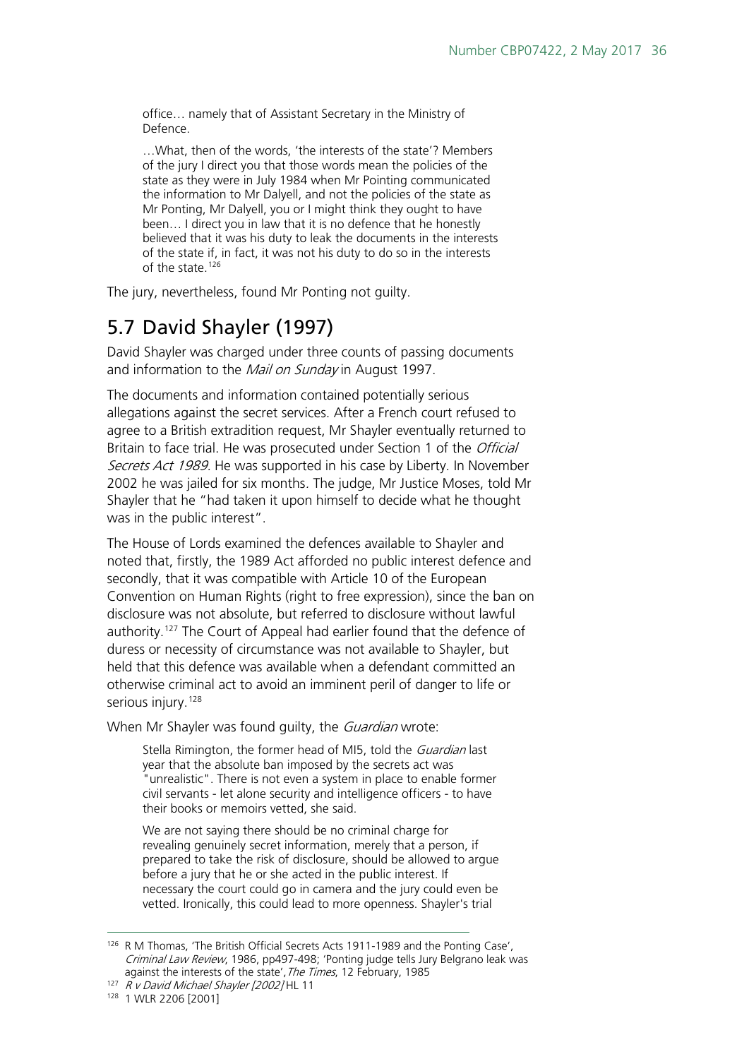office… namely that of Assistant Secretary in the Ministry of Defence.

…What, then of the words, 'the interests of the state'? Members of the jury I direct you that those words mean the policies of the state as they were in July 1984 when Mr Pointing communicated the information to Mr Dalyell, and not the policies of the state as Mr Ponting, Mr Dalyell, you or I might think they ought to have been… I direct you in law that it is no defence that he honestly believed that it was his duty to leak the documents in the interests of the state if, in fact, it was not his duty to do so in the interests of the state.<sup>[126](#page-35-1)</sup>

The jury, nevertheless, found Mr Ponting not guilty.

### <span id="page-35-0"></span>5.7 David Shayler (1997)

David Shayler was charged under three counts of passing documents and information to the *Mail on Sunday* in August 1997.

The documents and information contained potentially serious allegations against the secret services. After a French court refused to agree to a British extradition request, Mr Shayler eventually returned to Britain to face trial. He was prosecuted under Section 1 of the Official Secrets Act 1989. He was supported in his case by Liberty. In November 2002 he was jailed for six months. The judge, Mr Justice Moses, told Mr Shayler that he "had taken it upon himself to decide what he thought was in the public interest".

The House of Lords examined the defences available to Shayler and noted that, firstly, the 1989 Act afforded no public interest defence and secondly, that it was compatible with Article 10 of the European Convention on Human Rights (right to free expression), since the ban on disclosure was not absolute, but referred to disclosure without lawful authority.<sup>[127](#page-35-2)</sup> The Court of Appeal had earlier found that the defence of duress or necessity of circumstance was not available to Shayler, but held that this defence was available when a defendant committed an otherwise criminal act to avoid an imminent peril of danger to life or serious injury.<sup>[128](#page-35-3)</sup>

When Mr Shayler was found quilty, the *Guardian* wrote:

Stella Rimington, the former head of MI5, told the Guardian last year that the absolute ban imposed by the secrets act was "unrealistic". There is not even a system in place to enable former civil servants - let alone security and intelligence officers - to have their books or memoirs vetted, she said.

We are not saying there should be no criminal charge for revealing genuinely secret information, merely that a person, if prepared to take the risk of disclosure, should be allowed to argue before a jury that he or she acted in the public interest. If necessary the court could go in camera and the jury could even be vetted. Ironically, this could lead to more openness. Shayler's trial

<span id="page-35-1"></span><sup>&</sup>lt;sup>126</sup> R M Thomas, 'The British Official Secrets Acts 1911-1989 and the Ponting Case', Criminal Law Review, 1986, pp497-498; 'Ponting judge tells Jury Belgrano leak was against the interests of the state', The Times, 12 February, 1985

<span id="page-35-3"></span><span id="page-35-2"></span><sup>&</sup>lt;sup>127</sup>  $\overline{R}$  *v David Michael Shayler [2002]* HL 11 <sup>128</sup> 1 WLR 2206 [2001]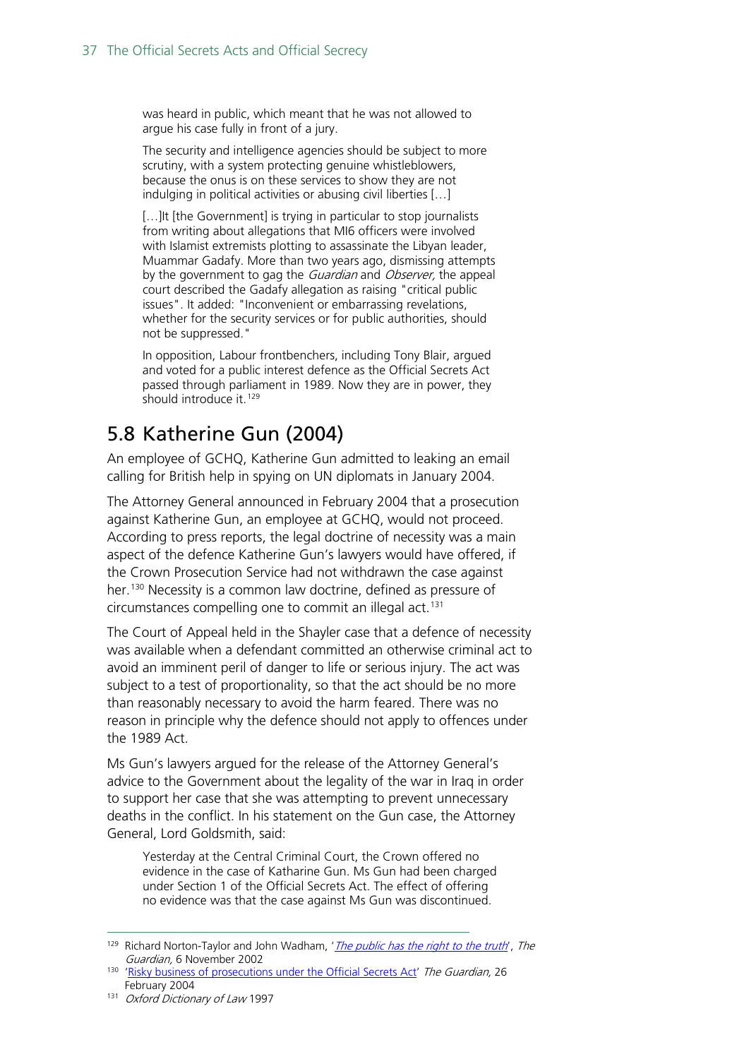was heard in public, which meant that he was not allowed to argue his case fully in front of a jury.

The security and intelligence agencies should be subject to more scrutiny, with a system protecting genuine whistleblowers, because the onus is on these services to show they are not indulging in political activities or abusing civil liberties […]

[...]It [the Government] is trying in particular to stop journalists from writing about allegations that MI6 officers were involved with Islamist extremists plotting to assassinate the Libyan leader, Muammar Gadafy. More than two years ago, dismissing attempts by the government to gag the *Guardian* and *Observer*, the appeal court described the Gadafy allegation as raising "critical public issues". It added: "Inconvenient or embarrassing revelations, whether for the security services or for public authorities, should not be suppressed."

In opposition, Labour frontbenchers, including Tony Blair, argued and voted for a public interest defence as the Official Secrets Act passed through parliament in 1989. Now they are in power, they should introduce it.<sup>[129](#page-36-1)</sup>

## <span id="page-36-0"></span>5.8 Katherine Gun (2004)

An employee of GCHQ, Katherine Gun admitted to leaking an email calling for British help in spying on UN diplomats in January 2004.

The Attorney General announced in February 2004 that a prosecution against Katherine Gun, an employee at GCHQ, would not proceed. According to press reports, the legal doctrine of necessity was a main aspect of the defence Katherine Gun's lawyers would have offered, if the Crown Prosecution Service had not withdrawn the case against her.<sup>[130](#page-36-2)</sup> Necessity is a common law doctrine, defined as pressure of circumstances compelling one to commit an illegal act.<sup>[131](#page-36-3)</sup>

The Court of Appeal held in the Shayler case that a defence of necessity was available when a defendant committed an otherwise criminal act to avoid an imminent peril of danger to life or serious injury. The act was subject to a test of proportionality, so that the act should be no more than reasonably necessary to avoid the harm feared. There was no reason in principle why the defence should not apply to offences under the 1989 Act.

Ms Gun's lawyers argued for the release of the Attorney General's advice to the Government about the legality of the war in Iraq in order to support her case that she was attempting to prevent unnecessary deaths in the conflict. In his statement on the Gun case, the Attorney General, Lord Goldsmith, said:

Yesterday at the Central Criminal Court, the Crown offered no evidence in the case of Katharine Gun. Ms Gun had been charged under Section 1 of the Official Secrets Act. The effect of offering no evidence was that the case against Ms Gun was discontinued.

<span id="page-36-1"></span><sup>&</sup>lt;sup>129</sup> Richard Norton-Taylor and John Wadham, '**[The public has the right to the truth](http://www.theguardian.com/uk/2002/nov/06/davidshayler.comment)'**, The Guardian, 6 November 2002

<span id="page-36-2"></span><sup>&</sup>lt;sup>130</sup> ['Risky business of prosecutions under the Official Secrets Act'](http://www.theguardian.com/uk/2004/feb/26/iraq.freedomofinformation1) The Guardian, 26<br>February 2004

<span id="page-36-3"></span><sup>131</sup> Oxford Dictionary of Law 1997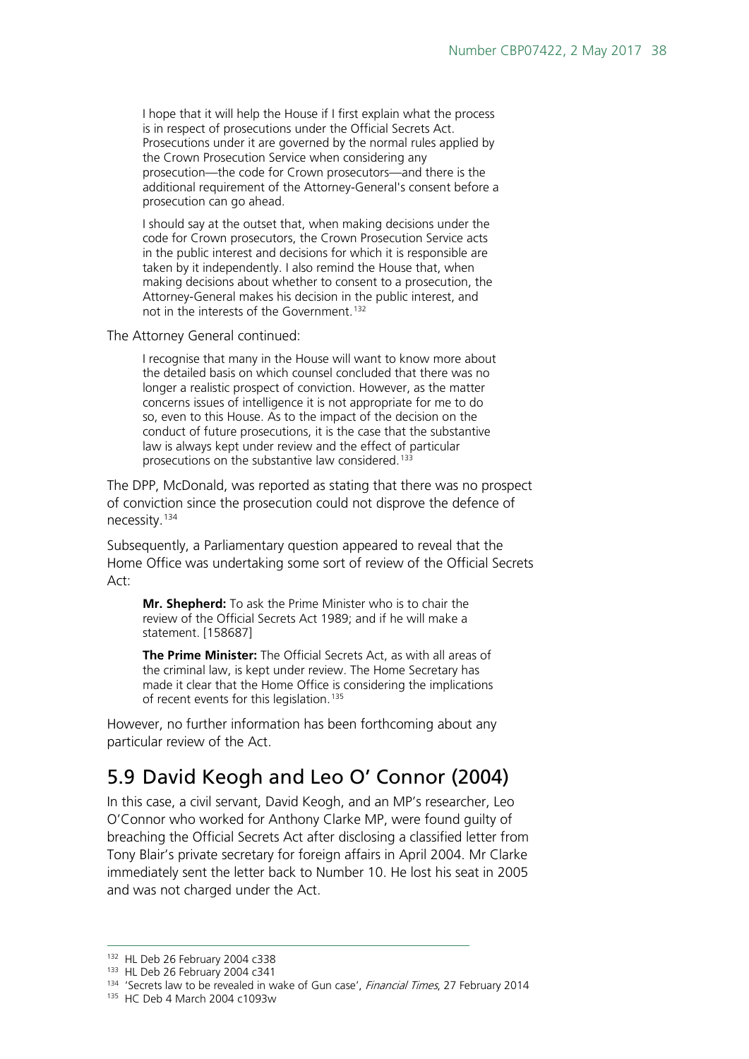I hope that it will help the House if I first explain what the process is in respect of prosecutions under the Official Secrets Act. Prosecutions under it are governed by the normal rules applied by the Crown Prosecution Service when considering any prosecution—the code for Crown prosecutors—and there is the additional requirement of the Attorney-General's consent before a prosecution can go ahead.

I should say at the outset that, when making decisions under the code for Crown prosecutors, the Crown Prosecution Service acts in the public interest and decisions for which it is responsible are taken by it independently. I also remind the House that, when making decisions about whether to consent to a prosecution, the Attorney-General makes his decision in the public interest, and not in the interests of the Government. [132](#page-37-1)

The Attorney General continued:

I recognise that many in the House will want to know more about the detailed basis on which counsel concluded that there was no longer a realistic prospect of conviction. However, as the matter concerns issues of intelligence it is not appropriate for me to do so, even to this House. As to the impact of the decision on the conduct of future prosecutions, it is the case that the substantive law is always kept under review and the effect of particular prosecutions on the substantive law considered.<sup>[133](#page-37-2)</sup>

The DPP, McDonald, was reported as stating that there was no prospect of conviction since the prosecution could not disprove the defence of necessity.[134](#page-37-3)

Subsequently, a Parliamentary question appeared to reveal that the Home Office was undertaking some sort of review of the Official Secrets Act:

**Mr. Shepherd:** To ask the Prime Minister who is to chair the review of the Official Secrets Act 1989; and if he will make a statement. [158687]

**The Prime Minister:** The Official Secrets Act, as with all areas of the criminal law, is kept under review. The Home Secretary has made it clear that the Home Office is considering the implications of recent events for this legislation.<sup>[135](#page-37-4)</sup>

However, no further information has been forthcoming about any particular review of the Act.

# <span id="page-37-0"></span>5.9 David Keogh and Leo O' Connor (2004)

In this case, a civil servant, David Keogh, and an MP's researcher, Leo O'Connor who worked for Anthony Clarke MP, were found guilty of breaching the Official Secrets Act after disclosing a classified letter from Tony Blair's private secretary for foreign affairs in April 2004. Mr Clarke immediately sent the letter back to Number 10. He lost his seat in 2005 and was not charged under the Act.

<span id="page-37-2"></span><span id="page-37-1"></span><sup>132</sup> HL Deb 26 February 2004 c338<br>133 HL Deb 26 February 2004 c341<br><sup>134</sup> 'Secrets law to be revealed in wake of Gun case', *Financial Times*, 27 February 2014

<span id="page-37-4"></span><span id="page-37-3"></span><sup>135</sup> HC Deb 4 March 2004 c1093w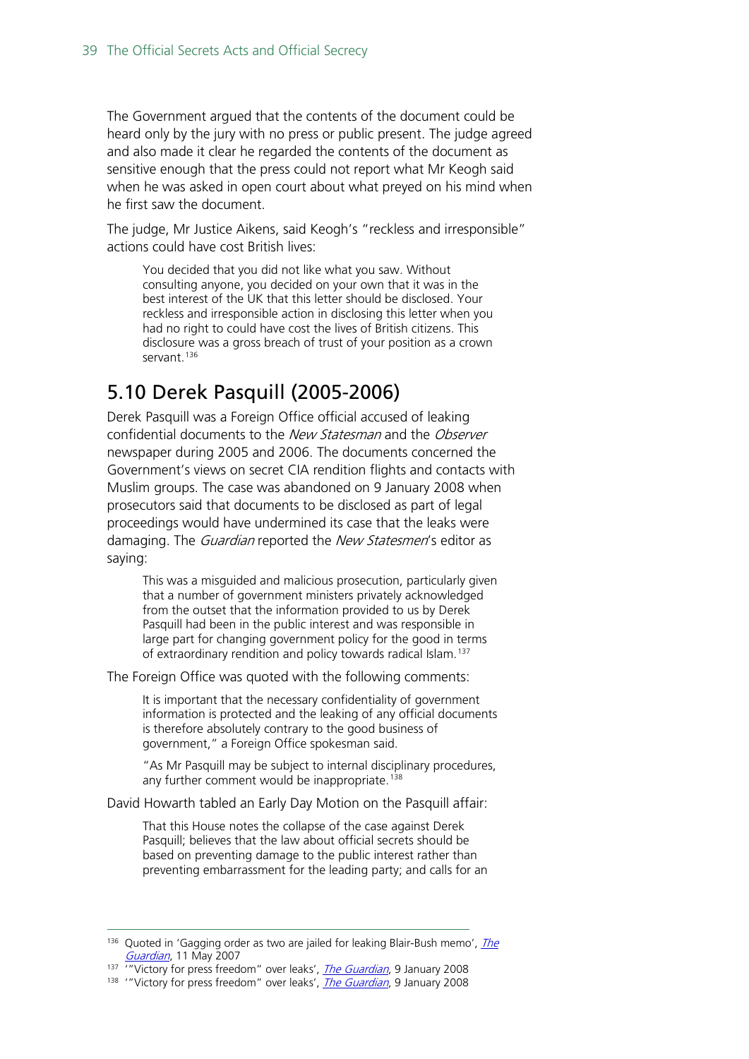The Government argued that the contents of the document could be heard only by the jury with no press or public present. The judge agreed and also made it clear he regarded the contents of the document as sensitive enough that the press could not report what Mr Keogh said when he was asked in open court about what preyed on his mind when he first saw the document.

The judge, Mr Justice Aikens, said Keogh's "reckless and irresponsible" actions could have cost British lives:

You decided that you did not like what you saw. Without consulting anyone, you decided on your own that it was in the best interest of the UK that this letter should be disclosed. Your reckless and irresponsible action in disclosing this letter when you had no right to could have cost the lives of British citizens. This disclosure was a gross breach of trust of your position as a crown servant<sup>[136](#page-38-1)</sup>

## <span id="page-38-0"></span>5.10 Derek Pasquill (2005-2006)

Derek Pasquill was a Foreign Office official accused of leaking confidential documents to the New Statesman and the Observer newspaper during 2005 and 2006. The documents concerned the Government's views on secret CIA rendition flights and contacts with Muslim groups. The case was abandoned on 9 January 2008 when prosecutors said that documents to be disclosed as part of legal proceedings would have undermined its case that the leaks were damaging. The *Guardian* reported the *New Statesmen's* editor as saying:

This was a misguided and malicious prosecution, particularly given that a number of government ministers privately acknowledged from the outset that the information provided to us by Derek Pasquill had been in the public interest and was responsible in large part for changing government policy for the good in terms of extraordinary rendition and policy towards radical Islam.<sup>[137](#page-38-2)</sup>

The Foreign Office was quoted with the following comments:

It is important that the necessary confidentiality of government information is protected and the leaking of any official documents is therefore absolutely contrary to the good business of government," a Foreign Office spokesman said.

"As Mr Pasquill may be subject to internal disciplinary procedures, any further comment would be inappropriate. [138](#page-38-3)

David Howarth tabled an Early Day Motion on the Pasquill affair:

That this House notes the collapse of the case against Derek Pasquill; believes that the law about official secrets should be based on preventing damage to the public interest rather than preventing embarrassment for the leading party; and calls for an

<span id="page-38-1"></span><sup>&</sup>lt;sup>136</sup> Quoted in 'Gagging order as two are jailed for leaking Blair-Bush memo', *The* [Guardian](file://hpap03f/DIS_Rdf$/everettmr/Documents/in%20%E2%80%98Gagging%20order%20as%20two%20are%20jailed%20for%20leaking%20Blair-Bush%20memo%E2%80%99,), 11 May 2007

<span id="page-38-2"></span><sup>&</sup>lt;sup>137</sup> "Victory for press freedom" over leaks', *[The Guardian](http://www.theguardian.com/media/2008/jan/09/pressandpublishing.freedomofinformation)*, 9 January 2008

<span id="page-38-3"></span><sup>&</sup>lt;sup>138</sup> '"Victory for press freedom" over leaks', *[The Guardian](http://www.theguardian.com/media/2008/jan/09/pressandpublishing.freedomofinformation)*, 9 January 2008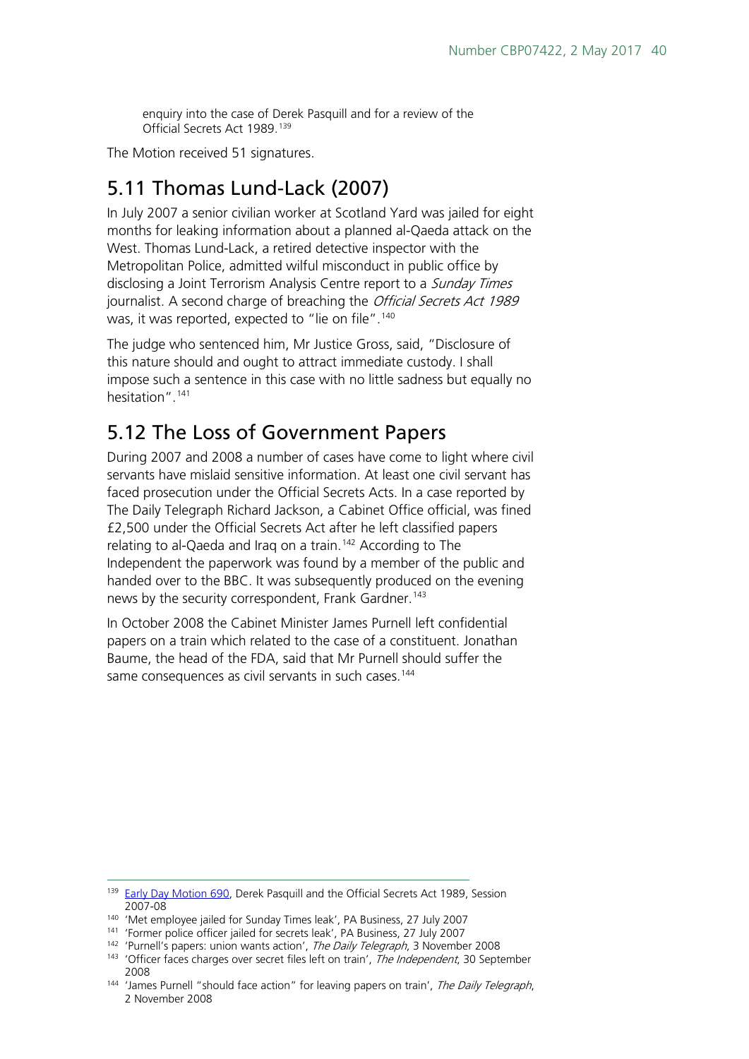enquiry into the case of Derek Pasquill and for a review of the Official Secrets Act 1989.<sup>[139](#page-39-2)</sup>

The Motion received 51 signatures.

## <span id="page-39-0"></span>5.11 Thomas Lund-Lack (2007)

In July 2007 a senior civilian worker at Scotland Yard was jailed for eight months for leaking information about a planned al-Qaeda attack on the West. Thomas Lund-Lack, a retired detective inspector with the Metropolitan Police, admitted wilful misconduct in public office by disclosing a Joint Terrorism Analysis Centre report to a *Sunday Times* journalist. A second charge of breaching the *Official Secrets Act 1989* was, it was reported, expected to "lie on file".<sup>[140](#page-39-3)</sup>

The judge who sentenced him, Mr Justice Gross, said, "Disclosure of this nature should and ought to attract immediate custody. I shall impose such a sentence in this case with no little sadness but equally no hesitation".<sup>[141](#page-39-4)</sup>

## <span id="page-39-1"></span>5.12 The Loss of Government Papers

During 2007 and 2008 a number of cases have come to light where civil servants have mislaid sensitive information. At least one civil servant has faced prosecution under the Official Secrets Acts. In a case reported by The Daily Telegraph Richard Jackson, a Cabinet Office official, was fined £2,500 under the Official Secrets Act after he left classified papers relating to al-Qaeda and Irag on a train.<sup>[142](#page-39-5)</sup> According to The Independent the paperwork was found by a member of the public and handed over to the BBC. It was subsequently produced on the evening news by the security correspondent, Frank Gardner.<sup>[143](#page-39-6)</sup>

In October 2008 the Cabinet Minister James Purnell left confidential papers on a train which related to the case of a constituent. Jonathan Baume, the head of the FDA, said that Mr Purnell should suffer the same consequences as civil servants in such cases.<sup>[144](#page-39-7)</sup>

- <span id="page-39-3"></span><sup>140</sup> 'Met employee jailed for Sunday Times leak', PA Business, 27 July 2007
- <sup>141</sup> 'Former police officer jailed for secrets leak', PA Business, 27 July 2007
- <span id="page-39-5"></span><span id="page-39-4"></span><sup>142</sup> 'Purnell's papers: union wants action', The Daily Telegraph, 3 November 2008

<span id="page-39-2"></span><sup>&</sup>lt;sup>139</sup> [Early Day Motion 690,](http://www.parliament.uk/edm/2007-08/690) Derek Pasquill and the Official Secrets Act 1989, Session 2007-08

<span id="page-39-6"></span><sup>&</sup>lt;sup>143</sup> 'Officer faces charges over secret files left on train', The Independent, 30 September 2008

<span id="page-39-7"></span><sup>&</sup>lt;sup>144</sup> 'James Purnell "should face action" for leaving papers on train', The Daily Telegraph, 2 November 2008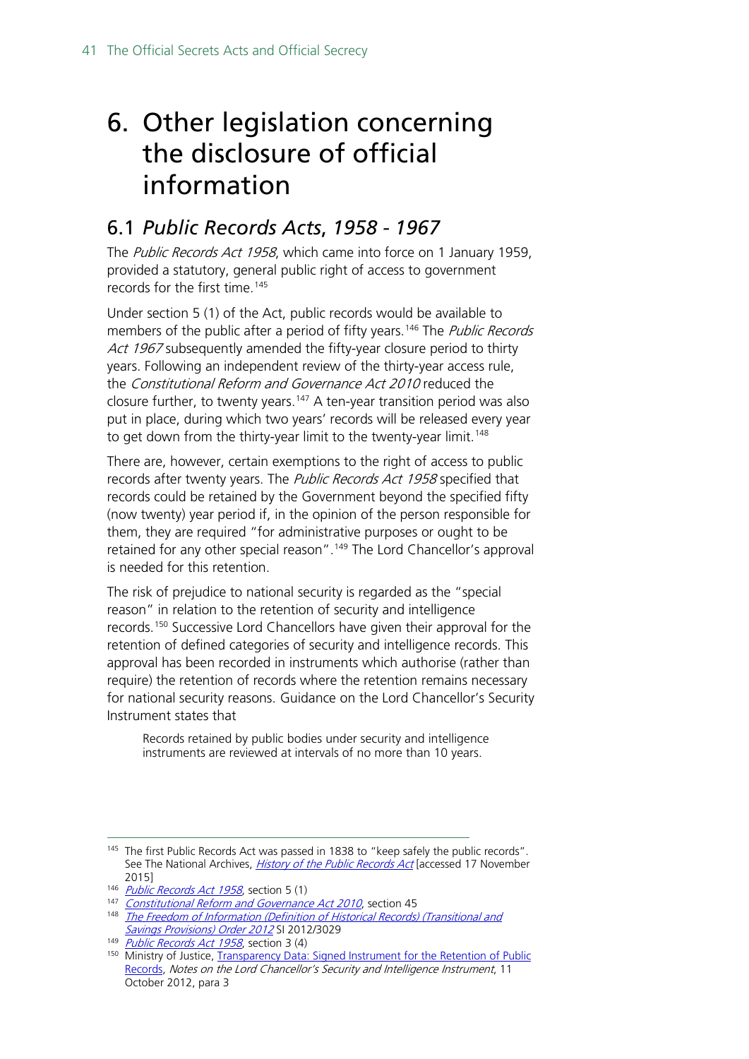# <span id="page-40-0"></span>6. Other legislation concerning the disclosure of official information

## <span id="page-40-1"></span>6.1 *Public Records Acts*, *1958 - 1967*

The Public Records Act 1958, which came into force on 1 January 1959, provided a statutory, general public right of access to government records for the first time. [145](#page-40-2)

Under section 5 (1) of the Act, public records would be available to members of the public after a period of fifty years.<sup>[146](#page-40-3)</sup> The *Public Records* Act 1967 subsequently amended the fifty-year closure period to thirty years. Following an independent review of the thirty-year access rule, the Constitutional Reform and Governance Act 2010 reduced the closure further, to twenty years.<sup>[147](#page-40-4)</sup> A ten-year transition period was also put in place, during which two years' records will be released every year to get down from the thirty-year limit to the twenty-year limit.<sup>[148](#page-40-5)</sup>

There are, however, certain exemptions to the right of access to public records after twenty years. The Public Records Act 1958 specified that records could be retained by the Government beyond the specified fifty (now twenty) year period if, in the opinion of the person responsible for them, they are required "for administrative purposes or ought to be retained for any other special reason".<sup>[149](#page-40-6)</sup> The Lord Chancellor's approval is needed for this retention.

The risk of prejudice to national security is regarded as the "special reason" in relation to the retention of security and intelligence records.[150](#page-40-7) Successive Lord Chancellors have given their approval for the retention of defined categories of security and intelligence records. This approval has been recorded in instruments which authorise (rather than require) the retention of records where the retention remains necessary for national security reasons. Guidance on the Lord Chancellor's Security Instrument states that

Records retained by public bodies under security and intelligence instruments are reviewed at intervals of no more than 10 years.

- <span id="page-40-4"></span>[Constitutional Reform and Governance Act 2010](http://www.legislation.gov.uk/ukpga/2010/25/section/45), section 45
- <span id="page-40-5"></span><sup>148</sup> The Freedom of Information (Definition of Historical Records) (Transitional and [Savings Provisions\) Order 2012](http://www.legislation.gov.uk/uksi/2012/3029/made) SI 2012/3029
- <span id="page-40-6"></span>149 [Public Records Act 1958](http://www.legislation.gov.uk/ukpga/1958/51/pdfs/ukpga_19580051_en.pdf), section 3 (4)

<span id="page-40-2"></span><sup>&</sup>lt;sup>145</sup> The first Public Records Act was passed in 1838 to "keep safely the public records". See The National Archives, *[History of the Public Records Act](http://www.nationalarchives.gov.uk/information-management/legislation/public-records-act/history-of-pra/)* [accessed 17 November 2015]

<span id="page-40-3"></span><sup>&</sup>lt;sup>146</sup> *[Public Records Act 1958](http://www.legislation.gov.uk/ukpga/1958/51/pdfs/ukpga_19580051_en.pdf)*, section 5 (1)

<span id="page-40-7"></span><sup>150</sup> Ministry of Justice, Transparency Data: Signed Instrument for the Retention of Public [Records,](https://www.gov.uk/government/publications/signed-instrument-for-the-retention-of-public-records) Notes on the Lord Chancellor's Security and Intelligence Instrument, 11 October 2012, para 3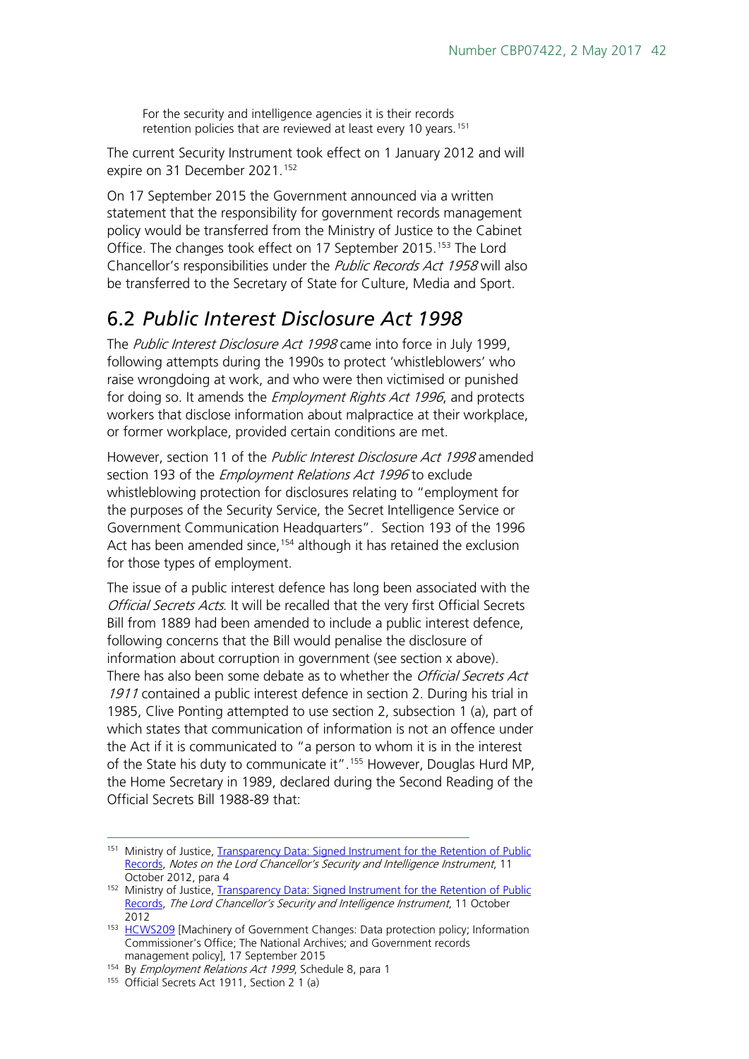For the security and intelligence agencies it is their records retention policies that are reviewed at least every 10 years.<sup>[151](#page-41-1)</sup>

The current Security Instrument took effect on 1 January 2012 and will expire on 31 December 2021.<sup>[152](#page-41-2)</sup>

On 17 September 2015 the Government announced via a written statement that the responsibility for government records management policy would be transferred from the Ministry of Justice to the Cabinet Office. The changes took effect on 17 September 2015.<sup>[153](#page-41-3)</sup> The Lord Chancellor's responsibilities under the Public Records Act 1958 will also be transferred to the Secretary of State for Culture, Media and Sport.

## <span id="page-41-0"></span>6.2 *Public Interest Disclosure Act 1998*

The Public Interest Disclosure Act 1998 came into force in July 1999, following attempts during the 1990s to protect 'whistleblowers' who raise wrongdoing at work, and who were then victimised or punished for doing so. It amends the *Employment Rights Act 1996*, and protects workers that disclose information about malpractice at their workplace, or former workplace, provided certain conditions are met.

However, section 11 of the Public Interest Disclosure Act 1998 amended section 193 of the *Employment Relations Act 1996* to exclude whistleblowing protection for disclosures relating to "employment for the purposes of the Security Service, the Secret Intelligence Service or Government Communication Headquarters". Section 193 of the 1996 Act has been amended since,<sup>[154](#page-41-4)</sup> although it has retained the exclusion for those types of employment.

The issue of a public interest defence has long been associated with the Official Secrets Acts. It will be recalled that the very first Official Secrets Bill from 1889 had been amended to include a public interest defence, following concerns that the Bill would penalise the disclosure of information about corruption in government (see section x above). There has also been some debate as to whether the *Official Secrets Act* 1911 contained a public interest defence in section 2. During his trial in 1985, Clive Ponting attempted to use section 2, subsection 1 (a), part of which states that communication of information is not an offence under the Act if it is communicated to "a person to whom it is in the interest of the State his duty to communicate it".<sup>[155](#page-42-1)</sup> However, Douglas Hurd MP, the Home Secretary in 1989, declared during the Second Reading of the Official Secrets Bill 1988-89 that:

<span id="page-41-1"></span> <sup>151</sup> Ministry of Justice[, Transparency Data: Signed Instrument for the Retention of Public](https://www.gov.uk/government/publications/signed-instrument-for-the-retention-of-public-records)  [Records,](https://www.gov.uk/government/publications/signed-instrument-for-the-retention-of-public-records) Notes on the Lord Chancellor's Security and Intelligence Instrument, 11 October 2012, para 4

<span id="page-41-2"></span><sup>152</sup> Ministry of Justice, Transparency Data: Signed Instrument for the Retention of Public [Records,](https://www.gov.uk/government/publications/signed-instrument-for-the-retention-of-public-records) The Lord Chancellor's Security and Intelligence Instrument, 11 October 2012

<span id="page-41-3"></span><sup>153</sup> [HCWS209](http://www.parliament.uk/written-questions-answers-statements/written-statement/Commons/2015-09-17/HCWS209) [Machinery of Government Changes: Data protection policy; Information Commissioner's Office; The National Archives; and Government records management policy], 17 September 2015

<sup>&</sup>lt;sup>154</sup> By Employment Relations Act 1999, Schedule 8, para 1

<span id="page-41-4"></span><sup>155</sup> Official Secrets Act 1911, Section 2 1 (a)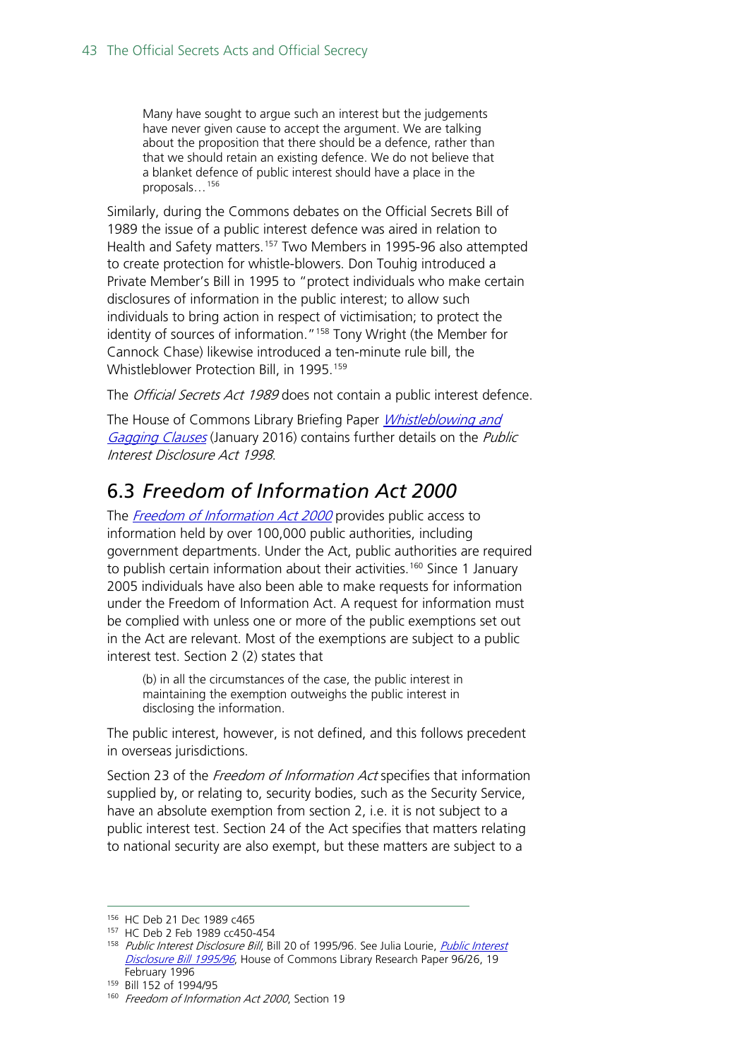Many have sought to argue such an interest but the judgements have never given cause to accept the argument. We are talking about the proposition that there should be a defence, rather than that we should retain an existing defence. We do not believe that a blanket defence of public interest should have a place in the proposals…[156](#page-42-2)

Similarly, during the Commons debates on the Official Secrets Bill of 1989 the issue of a public interest defence was aired in relation to Health and Safety matters.<sup>[157](#page-42-3)</sup> Two Members in 1995-96 also attempted to create protection for whistle-blowers. Don Touhig introduced a Private Member's Bill in 1995 to "protect individuals who make certain disclosures of information in the public interest; to allow such individuals to bring action in respect of victimisation; to protect the identity of sources of information."<sup>[158](#page-42-4)</sup> Tony Wright (the Member for Cannock Chase) likewise introduced a ten-minute rule bill, the Whistleblower Protection Bill, in 1995.[159](#page-42-5)

The *Official Secrets Act 1989* does not contain a public interest defence.

The House of Commons Library Briefing Paper *Whistleblowing and* [Gagging Clauses](http://researchbriefings.parliament.uk/ResearchBriefing/Summary/CBP-7442) (January 2016) contains further details on the Public Interest Disclosure Act 1998.

## <span id="page-42-0"></span>6.3 *Freedom of Information Act 2000*

The **[Freedom of Information Act 2000](http://www.legislation.gov.uk/ukpga/2000/36/contents)** provides public access to information held by over 100,000 public authorities, including government departments. Under the Act, public authorities are required to publish certain information about their activities.<sup>[160](#page-42-6)</sup> Since 1 January 2005 individuals have also been able to make requests for information under the Freedom of Information Act. A request for information must be complied with unless one or more of the public exemptions set out in the Act are relevant. Most of the exemptions are subject to a public interest test. Section 2 (2) states that

(b) in all the circumstances of the case, the public interest in maintaining the exemption outweighs the public interest in disclosing the information.

The public interest, however, is not defined, and this follows precedent in overseas jurisdictions.

Section 23 of the *Freedom of Information Act* specifies that information supplied by, or relating to, security bodies, such as the Security Service, have an absolute exemption from section 2, i.e. it is not subject to a public interest test. Section 24 of the Act specifies that matters relating to national security are also exempt, but these matters are subject to a

<span id="page-42-3"></span><span id="page-42-2"></span><span id="page-42-1"></span> <sup>156</sup> HC Deb 21 Dec 1989 c465

<sup>157</sup> HC Deb 2 Feb 1989 cc450-454

<span id="page-42-4"></span><sup>&</sup>lt;sup>158</sup> [Public Interest](http://researchbriefings.intranet.parliament.uk/ResearchBriefing/Summary/RP96-26) Disclosure Bill, Bill 20 of 1995/96. See Julia Lourie, Public Interest [Disclosure Bill 1995/96](http://researchbriefings.intranet.parliament.uk/ResearchBriefing/Summary/RP96-26), House of Commons Library Research Paper 96/26, 19 February 1996

<span id="page-42-6"></span><span id="page-42-5"></span><sup>159</sup> Bill 152 of 1994/95

<sup>&</sup>lt;sup>160</sup> Freedom of Information Act 2000, Section 19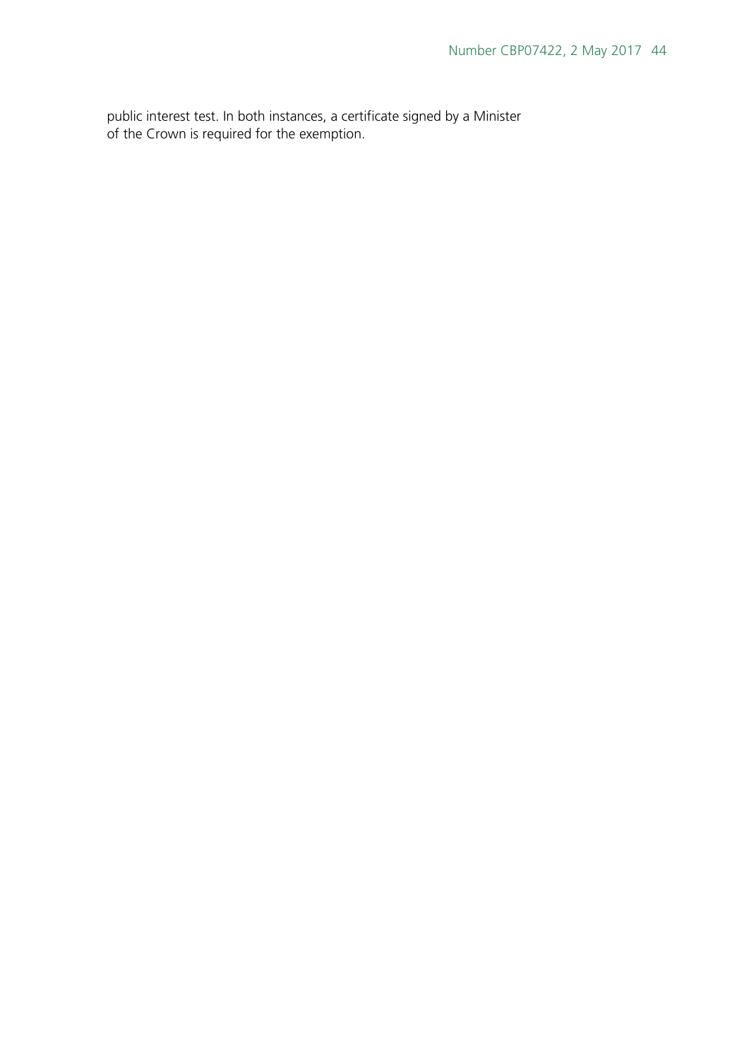public interest test. In both instances, a certificate signed by a Minister of the Crown is required for the exemption.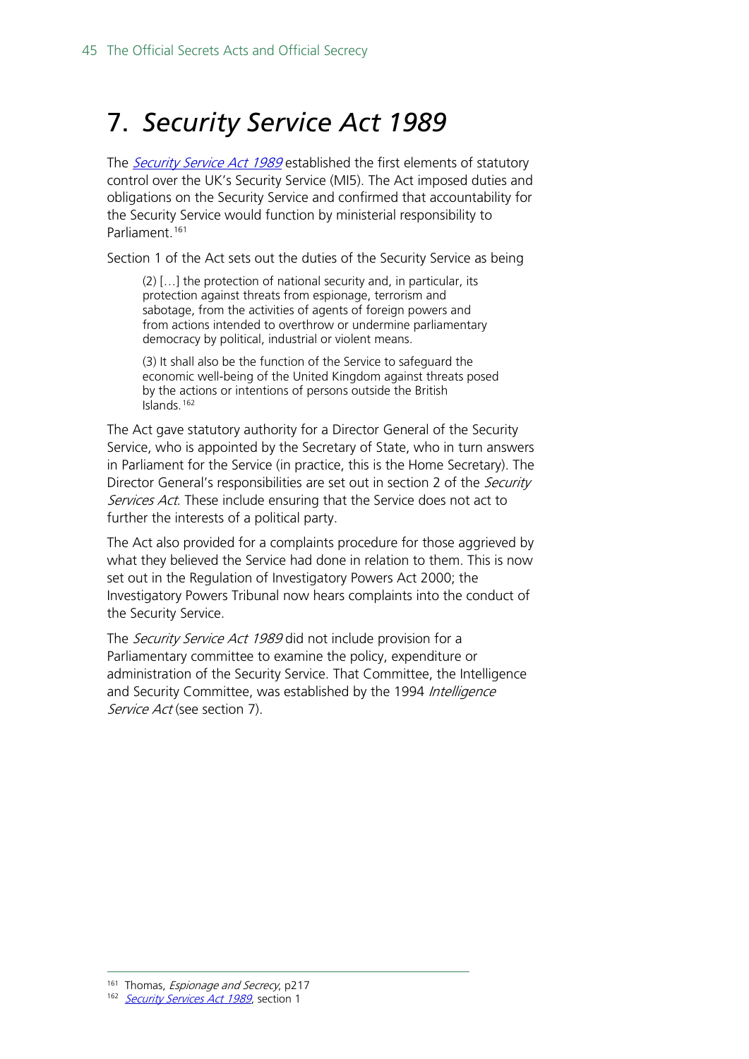# <span id="page-44-0"></span>7. *Security Service Act 1989*

The *[Security Service Act 1989](http://www.legislation.gov.uk/ukpga/1989/5/contents)* established the first elements of statutory control over the UK's Security Service (MI5). The Act imposed duties and obligations on the Security Service and confirmed that accountability for the Security Service would function by ministerial responsibility to Parliament.<sup>[161](#page-44-1)</sup>

Section 1 of the Act sets out the duties of the Security Service as being

(2) […] the protection of national security and, in particular, its protection against threats from espionage, terrorism and sabotage, from the activities of agents of foreign powers and from actions intended to overthrow or undermine parliamentary democracy by political, industrial or violent means.

(3) It shall also be the function of the Service to safeguard the economic well-being of the United Kingdom against threats posed by the actions or intentions of persons outside the British Islands.[162](#page-44-2)

The Act gave statutory authority for a Director General of the Security Service, who is appointed by the Secretary of State, who in turn answers in Parliament for the Service (in practice, this is the Home Secretary). The Director General's responsibilities are set out in section 2 of the *Security* Services Act. These include ensuring that the Service does not act to further the interests of a political party.

The Act also provided for a complaints procedure for those aggrieved by what they believed the Service had done in relation to them. This is now set out in the Regulation of Investigatory Powers Act 2000; the Investigatory Powers Tribunal now hears complaints into the conduct of the Security Service.

The *Security Service Act 1989* did not include provision for a Parliamentary committee to examine the policy, expenditure or administration of the Security Service. That Committee, the Intelligence and Security Committee, was established by the 1994 Intelligence Service Act (see section 7).

<span id="page-44-1"></span><sup>161</sup> Thomas, *Espionage and Secrecy*, p217

<span id="page-44-2"></span><sup>162</sup> [Security Services Act 1989](http://www.legislation.gov.uk/ukpga/1989/5/contents), section 1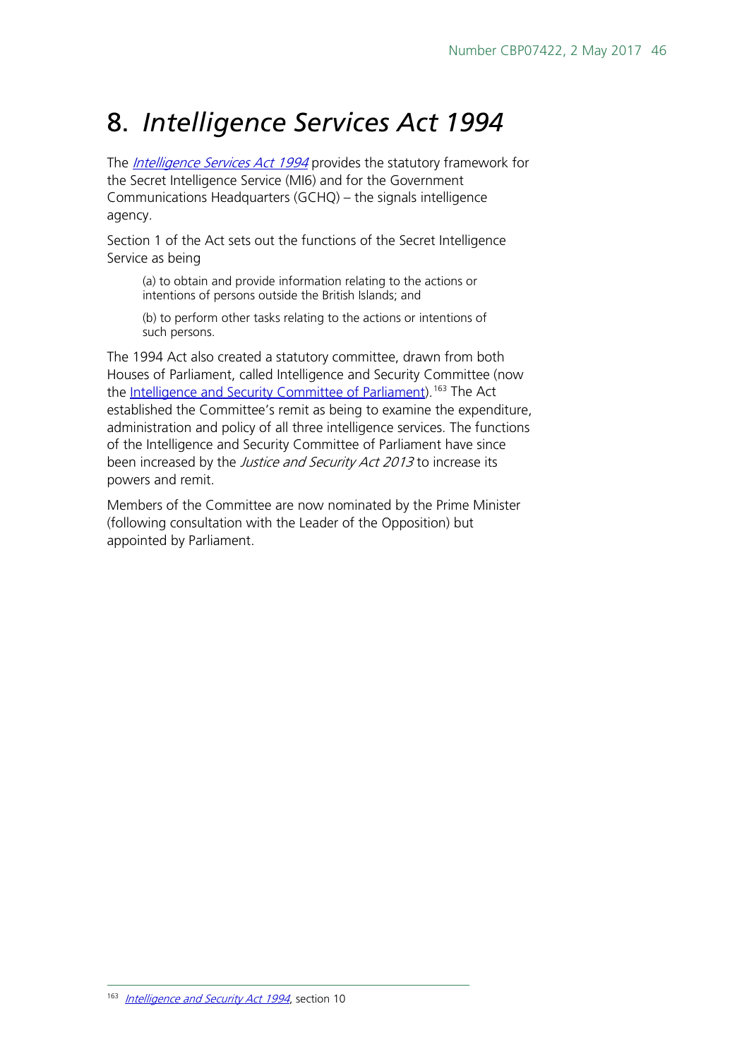# <span id="page-45-0"></span>8. *Intelligence Services Act 1994*

The *[Intelligence Services Act 1994](http://www.legislation.gov.uk/ukpga/1994/13/contents)* provides the statutory framework for the Secret Intelligence Service (MI6) and for the Government Communications Headquarters (GCHQ) – the signals intelligence agency.

Section 1 of the Act sets out the functions of the Secret Intelligence Service as being

(a) to obtain and provide information relating to the actions or intentions of persons outside the British Islands; and

(b) to perform other tasks relating to the actions or intentions of such persons.

The 1994 Act also created a statutory committee, drawn from both Houses of Parliament, called Intelligence and Security Committee (now the [Intelligence and Security Committee of Parliament\)](http://isc.independent.gov.uk/).<sup>[163](#page-45-1)</sup> The Act established the Committee's remit as being to examine the expenditure, administration and policy of all three intelligence services. The functions of the Intelligence and Security Committee of Parliament have since been increased by the *Justice and Security Act 2013* to increase its powers and remit.

<span id="page-45-1"></span>Members of the Committee are now nominated by the Prime Minister (following consultation with the Leader of the Opposition) but appointed by Parliament.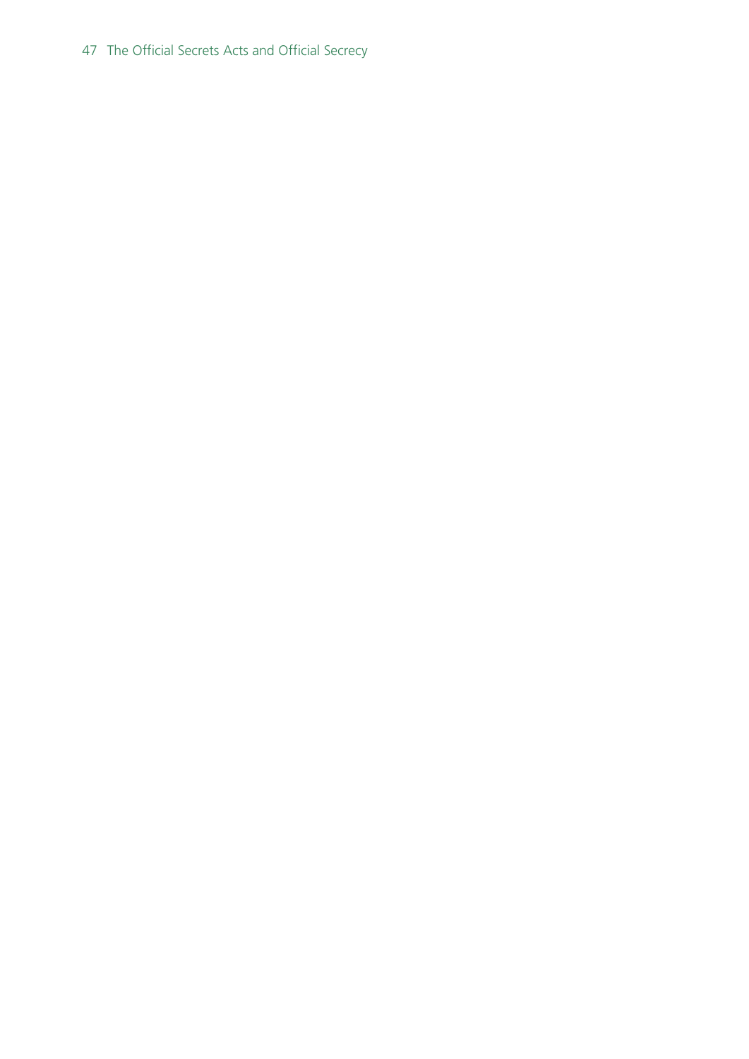#### The Official Secrets Acts and Official Secrecy